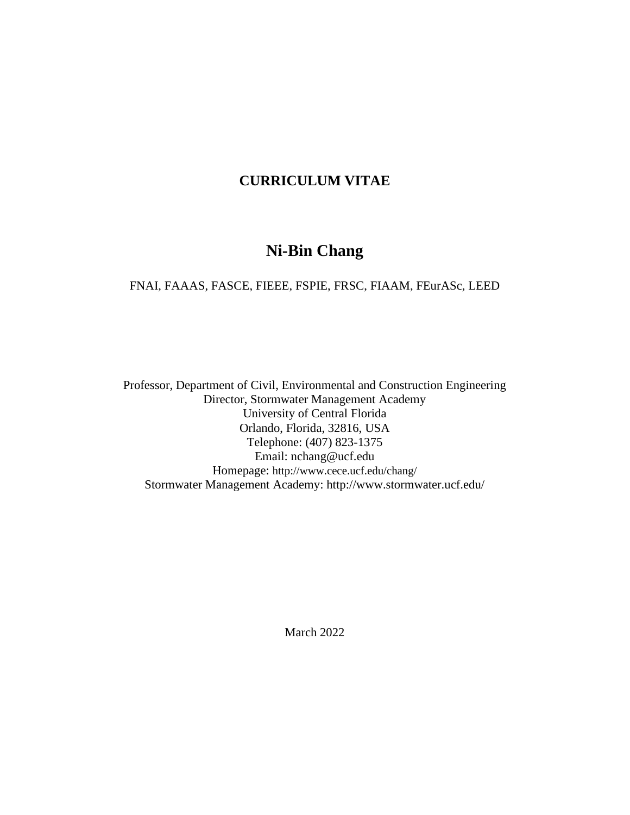# **CURRICULUM VITAE**

# **Ni-Bin Chang**

FNAI, FAAAS, FASCE, FIEEE, FSPIE, FRSC, FIAAM, FEurASc, LEED

Professor, Department of Civil, Environmental and Construction Engineering Director, Stormwater Management Academy University of Central Florida Orlando, Florida, 32816, USA Telephone: (407) 823-1375 Email: nchang@ucf.edu Homepage: http://www.cece.ucf.edu/chang/ Stormwater Management Academy: http://www.stormwater.ucf.edu/

March 2022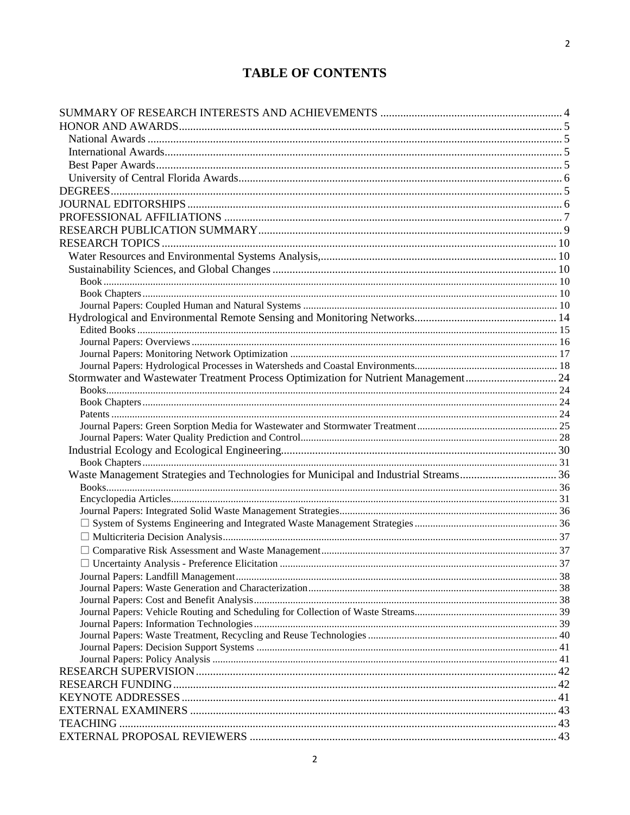# **TABLE OF CONTENTS**

| Stormwater and Wastewater Treatment Process Optimization for Nutrient Management 24 |  |
|-------------------------------------------------------------------------------------|--|
|                                                                                     |  |
|                                                                                     |  |
|                                                                                     |  |
|                                                                                     |  |
|                                                                                     |  |
|                                                                                     |  |
|                                                                                     |  |
|                                                                                     |  |
|                                                                                     |  |
|                                                                                     |  |
|                                                                                     |  |
|                                                                                     |  |
|                                                                                     |  |
|                                                                                     |  |
|                                                                                     |  |
|                                                                                     |  |
|                                                                                     |  |
|                                                                                     |  |
|                                                                                     |  |
|                                                                                     |  |
|                                                                                     |  |
|                                                                                     |  |
|                                                                                     |  |
|                                                                                     |  |
|                                                                                     |  |
|                                                                                     |  |
|                                                                                     |  |
|                                                                                     |  |
|                                                                                     |  |
|                                                                                     |  |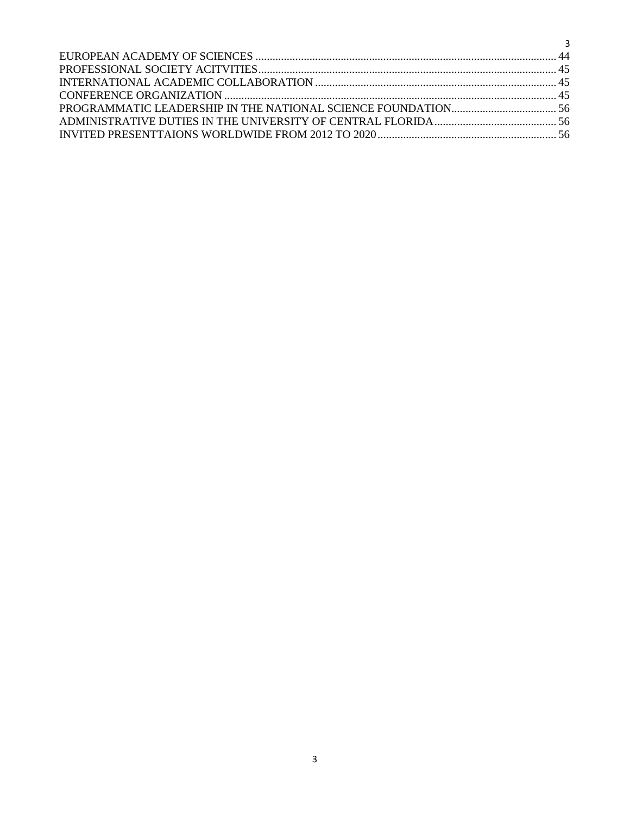| $\sim$ 3 |  |
|----------|--|
|          |  |
|          |  |
|          |  |
|          |  |
|          |  |
|          |  |
|          |  |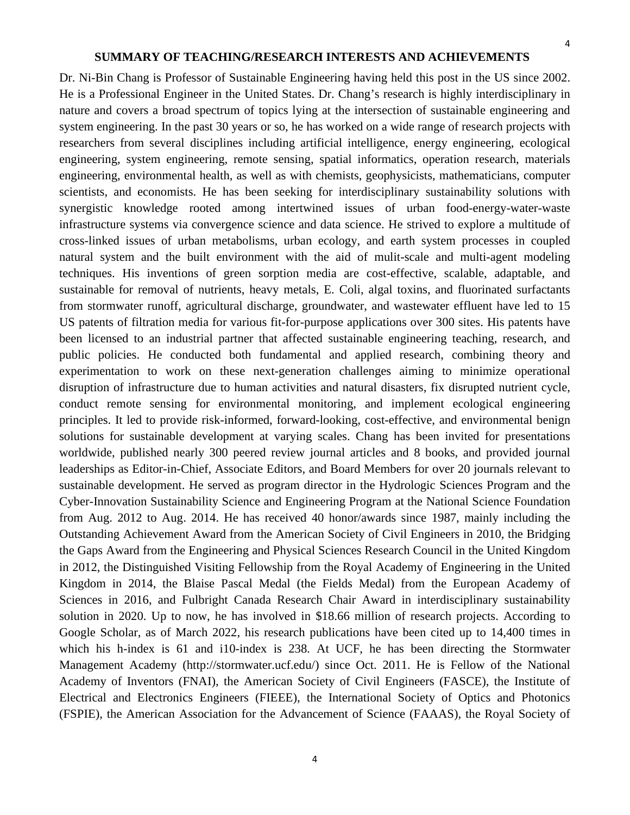#### **SUMMARY OF TEACHING/RESEARCH INTERESTS AND ACHIEVEMENTS**

<span id="page-3-0"></span>Dr. Ni-Bin Chang is Professor of Sustainable Engineering having held this post in the US since 2002. He is a Professional Engineer in the United States. Dr. Chang's research is highly interdisciplinary in nature and covers a broad spectrum of topics lying at the intersection of sustainable engineering and system engineering. In the past 30 years or so, he has worked on a wide range of research projects with researchers from several disciplines including artificial intelligence, energy engineering, ecological engineering, system engineering, remote sensing, spatial informatics, operation research, materials engineering, environmental health, as well as with chemists, geophysicists, mathematicians, computer scientists, and economists. He has been seeking for interdisciplinary sustainability solutions with synergistic knowledge rooted among intertwined issues of urban food-energy-water-waste infrastructure systems via convergence science and data science. He strived to explore a multitude of cross-linked issues of urban metabolisms, urban ecology, and earth system processes in coupled natural system and the built environment with the aid of mulit-scale and multi-agent modeling techniques. His inventions of green sorption media are cost-effective, scalable, adaptable, and sustainable for removal of nutrients, heavy metals, E. Coli, algal toxins, and fluorinated surfactants from stormwater runoff, agricultural discharge, groundwater, and wastewater effluent have led to 15 US patents of filtration media for various fit-for-purpose applications over 300 sites. His patents have been licensed to an industrial partner that affected sustainable engineering teaching, research, and public policies. He conducted both fundamental and applied research, combining theory and experimentation to work on these next-generation challenges aiming to minimize operational disruption of infrastructure due to human activities and natural disasters, fix disrupted nutrient cycle, conduct remote sensing for environmental monitoring, and implement ecological engineering principles. It led to provide risk-informed, forward-looking, cost-effective, and environmental benign solutions for sustainable development at varying scales. Chang has been invited for presentations worldwide, published nearly 300 peered review journal articles and 8 books, and provided journal leaderships as Editor-in-Chief, Associate Editors, and Board Members for over 20 journals relevant to sustainable development. He served as program director in the Hydrologic Sciences Program and the Cyber-Innovation Sustainability Science and Engineering Program at the National Science Foundation from Aug. 2012 to Aug. 2014. He has received 40 honor/awards since 1987, mainly including the Outstanding Achievement Award from the American Society of Civil Engineers in 2010, the Bridging the Gaps Award from the Engineering and Physical Sciences Research Council in the United Kingdom in 2012, the Distinguished Visiting Fellowship from the Royal Academy of Engineering in the United Kingdom in 2014, the Blaise Pascal Medal (the Fields Medal) from the European Academy of Sciences in 2016, and Fulbright Canada Research Chair Award in interdisciplinary sustainability solution in 2020. Up to now, he has involved in \$18.66 million of research projects. According to Google Scholar, as of March 2022, his research publications have been cited up to 14,400 times in which his h-index is 61 and i10-index is 238. At UCF, he has been directing the Stormwater Management Academy (http://stormwater.ucf.edu/) since Oct. 2011. He is Fellow of the National Academy of Inventors (FNAI), the American Society of Civil Engineers (FASCE), the Institute of Electrical and Electronics Engineers (FIEEE), the International Society of Optics and Photonics (FSPIE), the American Association for the Advancement of Science (FAAAS), the Royal Society of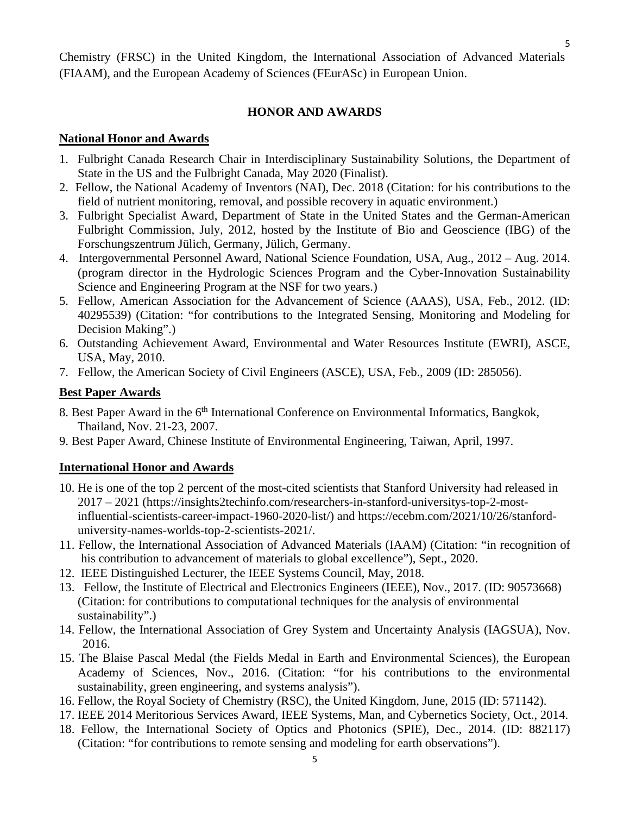Chemistry (FRSC) in the United Kingdom, the International Association of Advanced Materials (FIAAM), and the European Academy of Sciences (FEurASc) in European Union.

## **HONOR AND AWARDS**

## <span id="page-4-1"></span><span id="page-4-0"></span>**National Honor and Awards**

- 1. Fulbright Canada Research Chair in Interdisciplinary Sustainability Solutions, the Department of State in the US and the Fulbright Canada, May 2020 (Finalist).
- 2. Fellow, the National Academy of Inventors (NAI), Dec. 2018 (Citation: for his contributions to the field of nutrient monitoring, removal, and possible recovery in aquatic environment.)
- 3. Fulbright Specialist Award, Department of State in the United States and the German-American Fulbright Commission, July, 2012, hosted by the Institute of Bio and Geoscience (IBG) of the Forschungszentrum Jülich, Germany, Jülich, Germany.
- 4. Intergovernmental Personnel Award, National Science Foundation, USA, Aug., 2012 Aug. 2014. (program director in the Hydrologic Sciences Program and the Cyber-Innovation Sustainability Science and Engineering Program at the NSF for two years.)
- 5. Fellow, American Association for the Advancement of Science (AAAS), USA, Feb., 2012. (ID: 40295539) (Citation: "for contributions to the Integrated Sensing, Monitoring and Modeling for Decision Making".)
- 6. Outstanding Achievement Award, Environmental and Water Resources Institute (EWRI), ASCE, USA, May, 2010.
- 7. Fellow, the American Society of Civil Engineers (ASCE), USA, Feb., 2009 (ID: 285056).

## <span id="page-4-2"></span>**Best Paper Awards**

- 8. Best Paper Award in the 6<sup>th</sup> International Conference on Environmental Informatics, Bangkok, Thailand, Nov. 21-23, 2007.
- 9. Best Paper Award, Chinese Institute of Environmental Engineering, Taiwan, April, 1997.

## **International Honor and Awards**

- 10. He is one of the top 2 percent of the most-cited scientists that Stanford University had released in 2017 – 2021 (https://insights2techinfo.com/researchers-in-stanford-universitys-top-2-mostinfluential-scientists-career-impact-1960-2020-list/) and https://ecebm.com/2021/10/26/stanforduniversity-names-worlds-top-2-scientists-2021/.
- 11. Fellow, the International Association of Advanced Materials (IAAM) (Citation: "in recognition of his contribution to advancement of materials to global excellence"), Sept., 2020.
- 12. IEEE Distinguished Lecturer, the IEEE Systems Council, May, 2018.
- 13. Fellow, the Institute of Electrical and Electronics Engineers (IEEE), Nov., 2017. (ID: 90573668) (Citation: for contributions to computational techniques for the analysis of environmental sustainability".)
- 14. Fellow, the International Association of Grey System and Uncertainty Analysis (IAGSUA), Nov. 2016.
- 15. The Blaise Pascal Medal (the Fields Medal in Earth and Environmental Sciences), the European Academy of Sciences, Nov., 2016. (Citation: "for his contributions to the environmental sustainability, green engineering, and systems analysis").
- 16. Fellow, the Royal Society of Chemistry (RSC), the United Kingdom, June, 2015 (ID: 571142).
- 17. IEEE 2014 Meritorious Services Award, IEEE Systems, Man, and Cybernetics Society, Oct., 2014.
- 18. Fellow, the International Society of Optics and Photonics (SPIE), Dec., 2014. (ID: 882117) (Citation: "for contributions to remote sensing and modeling for earth observations").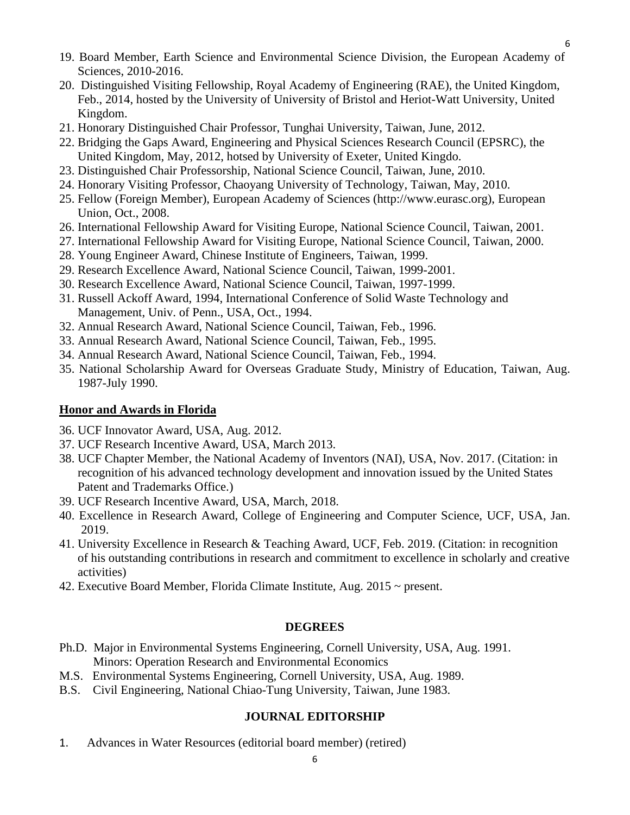- 19. Board Member, Earth Science and Environmental Science Division, the European Academy of Sciences, 2010-2016.
- 20. Distinguished Visiting Fellowship, Royal Academy of Engineering (RAE), the United Kingdom, Feb., 2014, hosted by the University of University of Bristol and Heriot-Watt University, United Kingdom.
- 21. Honorary Distinguished Chair Professor, Tunghai University, Taiwan, June, 2012.
- 22. Bridging the Gaps Award, Engineering and Physical Sciences Research Council (EPSRC), the United Kingdom, May, 2012, hotsed by University of Exeter, United Kingdo.
- 23. Distinguished Chair Professorship, National Science Council, Taiwan, June, 2010.
- 24. Honorary Visiting Professor, Chaoyang University of Technology, Taiwan, May, 2010.
- 25. Fellow (Foreign Member), European Academy of Sciences (http://www.eurasc.org), European Union, Oct., 2008.
- 26. International Fellowship Award for Visiting Europe, National Science Council, Taiwan, 2001.
- 27. International Fellowship Award for Visiting Europe, National Science Council, Taiwan, 2000.
- 28. Young Engineer Award, Chinese Institute of Engineers, Taiwan, 1999.
- 29. Research Excellence Award, National Science Council, Taiwan, 1999-2001.
- 30. Research Excellence Award, National Science Council, Taiwan, 1997-1999.
- 31. Russell Ackoff Award, 1994, International Conference of Solid Waste Technology and Management, Univ. of Penn., USA, Oct., 1994.
- 32. Annual Research Award, National Science Council, Taiwan, Feb., 1996.
- 33. Annual Research Award, National Science Council, Taiwan, Feb., 1995.
- 34. Annual Research Award, National Science Council, Taiwan, Feb., 1994.
- 35. National Scholarship Award for Overseas Graduate Study, Ministry of Education, Taiwan, Aug. 1987-July 1990.

#### <span id="page-5-0"></span>**Honor and Awards in Florida**

- 36. UCF Innovator Award, USA, Aug. 2012.
- 37. UCF Research Incentive Award, USA, March 2013.
- 38. UCF Chapter Member, the National Academy of Inventors (NAI), USA, Nov. 2017. (Citation: in recognition of his advanced technology development and innovation issued by the United States Patent and Trademarks Office.)
- 39. UCF Research Incentive Award, USA, March, 2018.
- 40. Excellence in Research Award, College of Engineering and Computer Science, UCF, USA, Jan. 2019.
- 41. University Excellence in Research & Teaching Award, UCF, Feb. 2019. (Citation: in recognition of his outstanding contributions in research and commitment to excellence in scholarly and creative activities)
- 42. Executive Board Member, Florida Climate Institute, Aug.  $2015 \sim$  present.

#### **DEGREES**

- Ph.D. Major in Environmental Systems Engineering, Cornell University, USA, Aug. 1991. Minors: Operation Research and Environmental Economics
- M.S. Environmental Systems Engineering, Cornell University, USA, Aug. 1989.
- <span id="page-5-1"></span>B.S. Civil Engineering, National Chiao-Tung University, Taiwan, June 1983.

#### **JOURNAL EDITORSHIP**

1. Advances in Water Resources (editorial board member) (retired)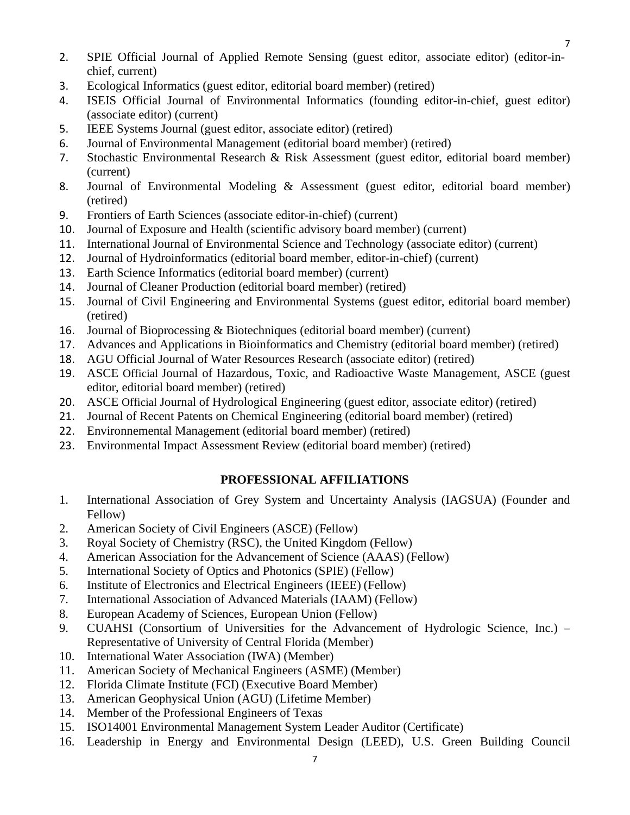- 2. SPIE Official Journal of Applied Remote Sensing (guest editor, associate editor) (editor-inchief, current)
- 3. Ecological Informatics (guest editor, editorial board member) (retired)
- 4. ISEIS Official Journal of Environmental Informatics (founding editor-in-chief, guest editor) (associate editor) (current)
- 5. IEEE Systems Journal (guest editor, associate editor) (retired)
- 6. Journal of Environmental Management (editorial board member) (retired)
- 7. Stochastic Environmental Research & Risk Assessment (guest editor, editorial board member) (current)
- 8. Journal of Environmental Modeling & Assessment (guest editor, editorial board member) (retired)
- 9. Frontiers of Earth Sciences (associate editor-in-chief) (current)
- 10. Journal of Exposure and Health (scientific advisory board member) (current)
- 11. International Journal of Environmental Science and Technology (associate editor) (current)
- 12. Journal of Hydroinformatics (editorial board member, editor-in-chief) (current)
- 13. Earth Science Informatics (editorial board member) (current)
- 14. Journal of Cleaner Production (editorial board member) (retired)
- 15. Journal of Civil Engineering and Environmental Systems (guest editor, editorial board member) (retired)
- 16. Journal of Bioprocessing & Biotechniques (editorial board member) (current)
- 17. Advances and Applications in Bioinformatics and Chemistry (editorial board member) (retired)
- 18. AGU Official Journal of Water Resources Research (associate editor) (retired)
- 19. ASCE Official Journal of Hazardous, Toxic, and Radioactive Waste Management, ASCE (guest editor, editorial board member) (retired)
- 20. ASCE Official Journal of Hydrological Engineering (guest editor, associate editor) (retired)
- 21. Journal of Recent Patents on Chemical Engineering (editorial board member) (retired)
- 22. Environnemental Management (editorial board member) (retired)
- <span id="page-6-0"></span>23. Environmental Impact Assessment Review (editorial board member) (retired)

## **PROFESSIONAL AFFILIATIONS**

- 1. International Association of Grey System and Uncertainty Analysis (IAGSUA) (Founder and Fellow)
- 2. American Society of Civil Engineers (ASCE) (Fellow)
- 3. Royal Society of Chemistry (RSC), the United Kingdom (Fellow)
- 4. American Association for the Advancement of Science (AAAS) (Fellow)
- 5. International Society of Optics and Photonics (SPIE) (Fellow)
- 6. Institute of Electronics and Electrical Engineers (IEEE) (Fellow)
- 7. International Association of Advanced Materials (IAAM) (Fellow)
- 8. European Academy of Sciences, European Union (Fellow)
- 9. CUAHSI (Consortium of Universities for the Advancement of Hydrologic Science, Inc.) Representative of University of Central Florida (Member)
- 10. International Water Association (IWA) (Member)
- 11. American Society of Mechanical Engineers (ASME) (Member)
- 12. Florida Climate Institute (FCI) (Executive Board Member)
- 13. American Geophysical Union (AGU) (Lifetime Member)
- 14. Member of the Professional Engineers of Texas
- 15. ISO14001 Environmental Management System Leader Auditor (Certificate)
- 16. Leadership in Energy and Environmental Design (LEED), U.S. Green Building Council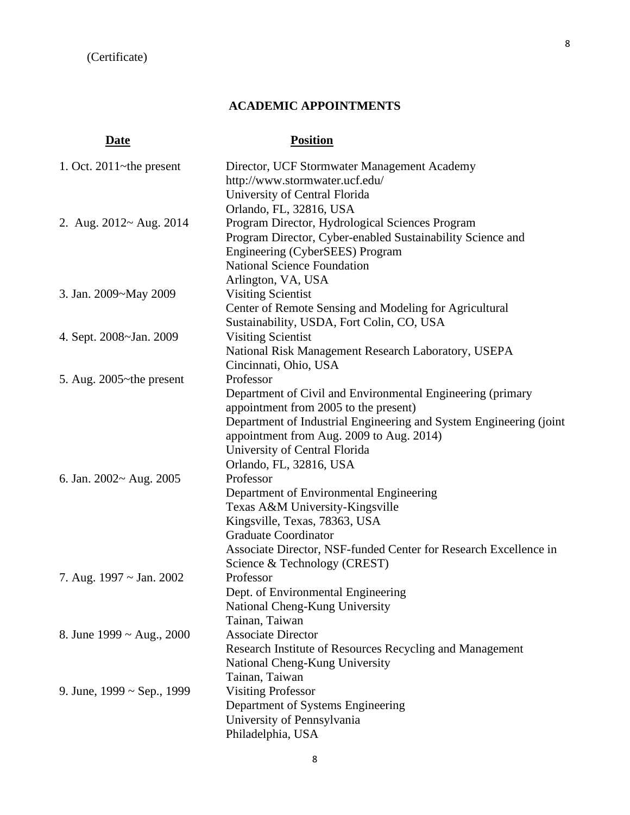## **ACADEMIC APPOINTMENTS**

# **Date Position**

| 1. Oct. $2011$ ~the present           | Director, UCF Stormwater Management Academy<br>http://www.stormwater.ucf.edu/<br>University of Central Florida                                                                                                                                                      |
|---------------------------------------|---------------------------------------------------------------------------------------------------------------------------------------------------------------------------------------------------------------------------------------------------------------------|
| 2. Aug. $2012 \sim$ Aug. $2014$       | Orlando, FL, 32816, USA<br>Program Director, Hydrological Sciences Program<br>Program Director, Cyber-enabled Sustainability Science and<br>Engineering (CyberSEES) Program<br><b>National Science Foundation</b>                                                   |
| 3. Jan. 2009~May 2009                 | Arlington, VA, USA<br><b>Visiting Scientist</b><br>Center of Remote Sensing and Modeling for Agricultural<br>Sustainability, USDA, Fort Colin, CO, USA                                                                                                              |
| 4. Sept. 2008~Jan. 2009               | <b>Visiting Scientist</b><br>National Risk Management Research Laboratory, USEPA<br>Cincinnati, Ohio, USA                                                                                                                                                           |
| 5. Aug. $2005$ ~the present           | Professor<br>Department of Civil and Environmental Engineering (primary<br>appointment from 2005 to the present)<br>Department of Industrial Engineering and System Engineering (joint<br>appointment from Aug. 2009 to Aug. 2014)<br>University of Central Florida |
| 6. Jan. $2002 \sim \text{Aug. } 2005$ | Orlando, FL, 32816, USA<br>Professor<br>Department of Environmental Engineering<br>Texas A&M University-Kingsville<br>Kingsville, Texas, 78363, USA<br><b>Graduate Coordinator</b><br>Associate Director, NSF-funded Center for Research Excellence in              |
| 7. Aug. $1997 \sim \text{Jan. } 2002$ | Science & Technology (CREST)<br>Professor<br>Dept. of Environmental Engineering<br>National Cheng-Kung University<br>Tainan, Taiwan                                                                                                                                 |
| 8. June 1999 ~ Aug., 2000             | <b>Associate Director</b><br>Research Institute of Resources Recycling and Management<br>National Cheng-Kung University<br>Tainan, Taiwan                                                                                                                           |
| 9. June, $1999 \sim$ Sep., 1999       | <b>Visiting Professor</b><br>Department of Systems Engineering<br>University of Pennsylvania<br>Philadelphia, USA                                                                                                                                                   |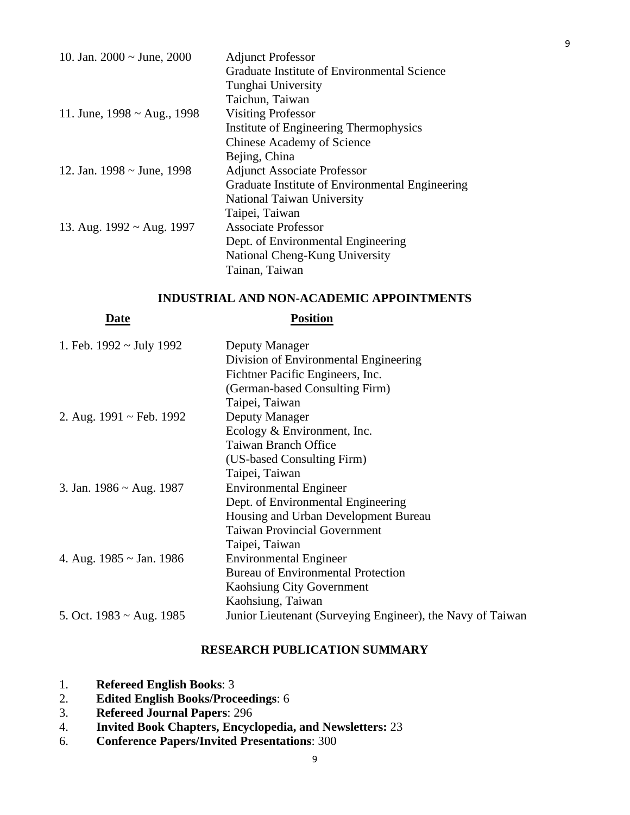| 10. Jan. $2000 \sim$ June, $2000$       | <b>Adjunct Professor</b>                        |
|-----------------------------------------|-------------------------------------------------|
|                                         | Graduate Institute of Environmental Science     |
|                                         | Tunghai University                              |
|                                         | Taichun, Taiwan                                 |
| 11. June, $1998 \sim \text{Aug.}, 1998$ | <b>Visiting Professor</b>                       |
|                                         | Institute of Engineering Thermophysics          |
|                                         | <b>Chinese Academy of Science</b>               |
|                                         | Bejing, China                                   |
| 12. Jan. $1998 \sim$ June, 1998         | <b>Adjunct Associate Professor</b>              |
|                                         | Graduate Institute of Environmental Engineering |
|                                         | National Taiwan University                      |
|                                         | Taipei, Taiwan                                  |
| 13. Aug. $1992 \sim$ Aug. 1997          | <b>Associate Professor</b>                      |
|                                         | Dept. of Environmental Engineering              |
|                                         | National Cheng-Kung University                  |
|                                         | Tainan, Taiwan                                  |

## **INDUSTRIAL AND NON-ACADEMIC APPOINTMENTS**

| <b>Position</b>                                            |
|------------------------------------------------------------|
| Deputy Manager                                             |
| Division of Environmental Engineering                      |
| Fichtner Pacific Engineers, Inc.                           |
| (German-based Consulting Firm)                             |
| Taipei, Taiwan                                             |
| Deputy Manager                                             |
| Ecology & Environment, Inc.                                |
| <b>Taiwan Branch Office</b>                                |
| (US-based Consulting Firm)                                 |
| Taipei, Taiwan                                             |
| <b>Environmental Engineer</b>                              |
| Dept. of Environmental Engineering                         |
| Housing and Urban Development Bureau                       |
| <b>Taiwan Provincial Government</b>                        |
| Taipei, Taiwan                                             |
| <b>Environmental Engineer</b>                              |
| <b>Bureau of Environmental Protection</b>                  |
| Kaohsiung City Government                                  |
| Kaohsiung, Taiwan                                          |
| Junior Lieutenant (Surveying Engineer), the Navy of Taiwan |
|                                                            |

## **RESEARCH PUBLICATION SUMMARY**

- <span id="page-8-0"></span>1. **Refereed English Books**: 3
- 2. **Edited English Books/Proceedings**: 6
- 3. **Refereed Journal Papers**: 296
- 4. **Invited Book Chapters, Encyclopedia, and Newsletters:** 23
- 6. **Conference Papers/Invited Presentations**: 300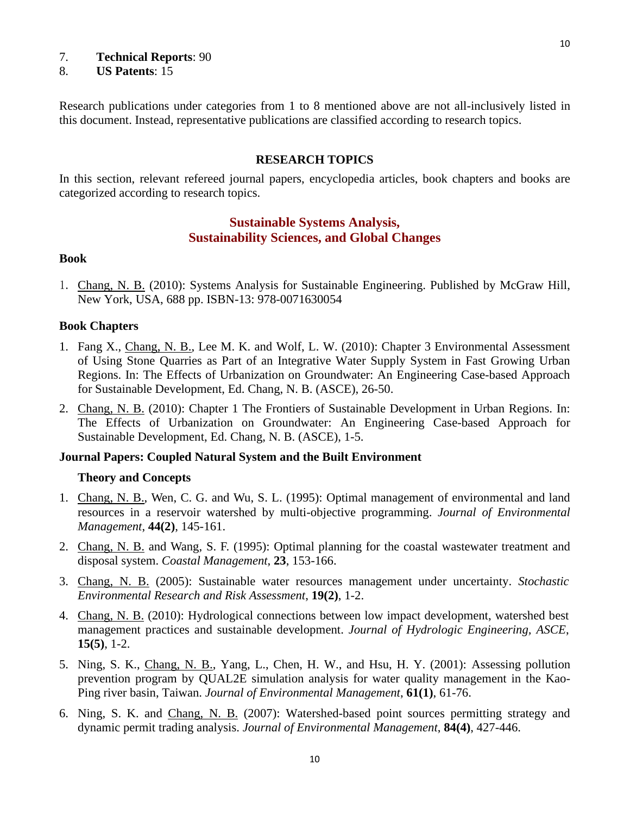#### 7. **Technical Reports**: 90

#### 8. **US Patents**: 15

Research publications under categories from 1 to 8 mentioned above are not all-inclusively listed in this document. Instead, representative publications are classified according to research topics.

#### **RESEARCH TOPICS**

<span id="page-9-0"></span>In this section, relevant refereed journal papers, encyclopedia articles, book chapters and books are categorized according to research topics.

## **Sustainable Systems Analysis, Sustainability Sciences, and Global Changes**

#### <span id="page-9-3"></span><span id="page-9-2"></span><span id="page-9-1"></span>**Book**

<span id="page-9-4"></span>1. Chang, N. B. (2010): Systems Analysis for Sustainable Engineering. Published by McGraw Hill, New York, USA, 688 pp. ISBN-13: 978-0071630054

#### **Book Chapters**

- 1. Fang X., Chang, N. B., Lee M. K. and Wolf, L. W. (2010): Chapter 3 Environmental Assessment of Using Stone Quarries as Part of an Integrative Water Supply System in Fast Growing Urban Regions. In: The Effects of Urbanization on Groundwater: An Engineering Case-based Approach for Sustainable Development, Ed. Chang, N. B. (ASCE), 26-50.
- 2. Chang, N. B. (2010): Chapter 1 The Frontiers of Sustainable Development in Urban Regions. In: The Effects of Urbanization on Groundwater: An Engineering Case-based Approach for Sustainable Development, Ed. Chang, N. B. (ASCE), 1-5.

#### <span id="page-9-5"></span>**Journal Papers: Coupled Natural System and the Built Environment**

#### **Theory and Concepts**

- 1. Chang, N. B., Wen, C. G. and Wu, S. L. (1995): Optimal management of environmental and land resources in a reservoir watershed by multi-objective programming. *Journal of Environmental Management*, **44(2)**, 145-161.
- 2. Chang, N. B. and Wang, S. F. (1995): Optimal planning for the coastal wastewater treatment and disposal system. *Coastal Management*, **23**, 153-166.
- 3. Chang, N. B. (2005): Sustainable water resources management under uncertainty. *Stochastic Environmental Research and Risk Assessment*, **19(2)**, 1-2.
- 4. Chang, N. B. (2010): Hydrological connections between low impact development, watershed best management practices and sustainable development. *Journal of Hydrologic Engineering, ASCE*, **15(5)**, 1-2.
- 5. Ning, S. K., Chang, N. B., Yang, L., Chen, H. W., and Hsu, H. Y. (2001): Assessing pollution prevention program by QUAL2E simulation analysis for water quality management in the Kao-Ping river basin, Taiwan. *Journal of Environmental Management*, **61(1)**, 61-76.
- 6. Ning, S. K. and Chang, N. B. (2007): Watershed-based point sources permitting strategy and dynamic permit trading analysis. *Journal of Environmental Management*, **84(4)**, 427-446.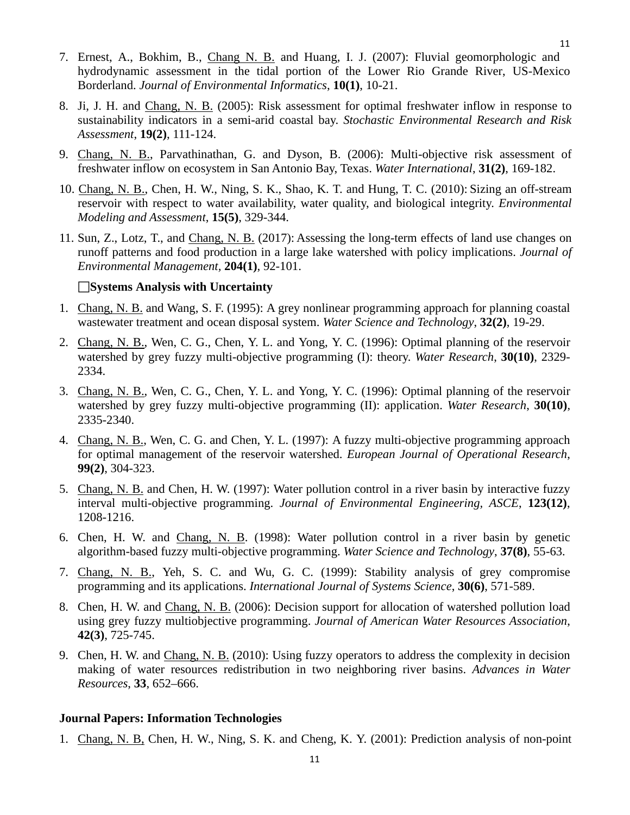- 7. Ernest, A., Bokhim, B., Chang N. B. and Huang, I. J. (2007): Fluvial geomorphologic and hydrodynamic assessment in the tidal portion of the Lower Rio Grande River, US-Mexico Borderland. *Journal of Environmental Informatics*, **10(1)**, 10-21.
- 8. Ji, J. H. and Chang, N. B. (2005): Risk assessment for optimal freshwater inflow in response to sustainability indicators in a semi-arid coastal bay. *Stochastic Environmental Research and Risk Assessment*, **19(2)**, 111-124.
- 9. Chang, N. B., Parvathinathan, G. and Dyson, B. (2006): Multi-objective risk assessment of freshwater inflow on ecosystem in San Antonio Bay, Texas. *Water International*, **31(2)**, 169-182.
- 10. Chang, N. B., Chen, H. W., Ning, S. K., Shao, K. T. and Hung, T. C. (2010): Sizing an off-stream reservoir with respect to water availability, water quality, and biological integrity. *Environmental Modeling and Assessment*, **15(5)**, 329-344.
- 11. Sun, Z., Lotz, T., and Chang, N. B. (2017): Assessing the long-term effects of land use changes on runoff patterns and food production in a large lake watershed with policy implications. *Journal of Environmental Management,* **204(1)**, 92-101.

#### **Systems Analysis with Uncertainty**

- 1. Chang, N. B. and Wang, S. F. (1995): A grey nonlinear programming approach for planning coastal wastewater treatment and ocean disposal system. *Water Science and Technology*, **32(2)**, 19-29.
- 2. Chang, N. B., Wen, C. G., Chen, Y. L. and Yong, Y. C. (1996): Optimal planning of the reservoir watershed by grey fuzzy multi-objective programming (I): theory. *Water Research*, **30(10)**, 2329- 2334.
- 3. Chang, N. B., Wen, C. G., Chen, Y. L. and Yong, Y. C. (1996): Optimal planning of the reservoir watershed by grey fuzzy multi-objective programming (II): application. *Water Research*, **30(10)**, 2335-2340.
- 4. Chang, N. B., Wen, C. G. and Chen, Y. L. (1997): A fuzzy multi-objective programming approach for optimal management of the reservoir watershed. *European Journal of Operational Research*, **99(2)**, 304-323.
- 5. Chang, N. B. and Chen, H. W. (1997): Water pollution control in a river basin by interactive fuzzy interval multi-objective programming. *Journal of Environmental Engineering, ASCE*, **123(12)**, 1208-1216.
- 6. Chen, H. W. and Chang, N. B. (1998): Water pollution control in a river basin by genetic algorithm-based fuzzy multi-objective programming. *Water Science and Technology*, **37(8)**, 55-63.
- 7. Chang, N. B., Yeh, S. C. and Wu, G. C. (1999): Stability analysis of grey compromise programming and its applications. *International Journal of Systems Science*, **30(6)**, 571-589.
- 8. Chen, H. W. and Chang, N. B. (2006): Decision support for allocation of watershed pollution load using grey fuzzy multiobjective programming. *Journal of American Water Resources Association*, **42(3)**, 725-745.
- 9. Chen, H. W. and Chang, N. B. (2010): Using fuzzy operators to address the complexity in decision making of water resources redistribution in two neighboring river basins. *Advances in Water Resources*, **33**, 652–666.

#### **Journal Papers: Information Technologies**

1. Chang, N. B, Chen, H. W., Ning, S. K. and Cheng, K. Y. (2001): Prediction analysis of non-point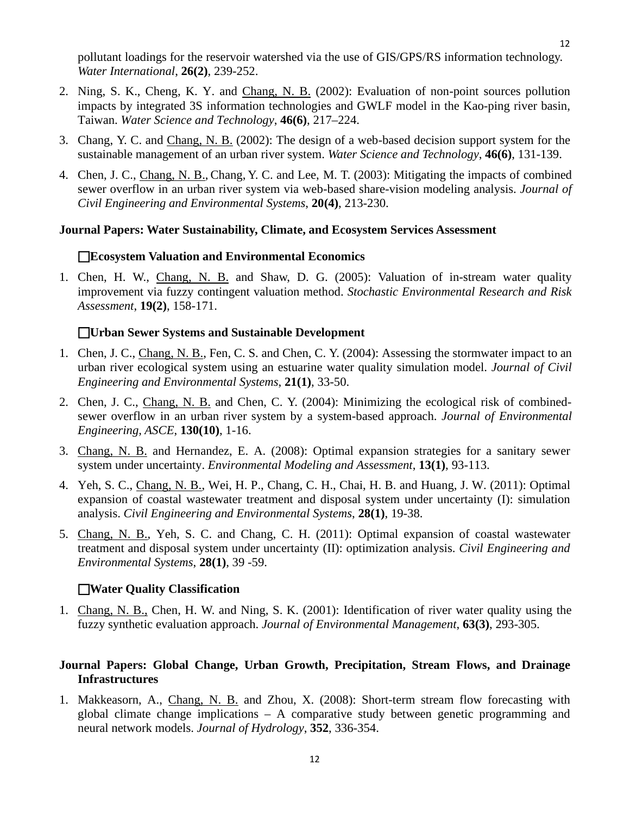pollutant loadings for the reservoir watershed via the use of GIS/GPS/RS information technology. *Water International*, **26(2)**, 239-252.

- 2. Ning, S. K., Cheng, K. Y. and Chang, N. B. (2002): Evaluation of non-point sources pollution impacts by integrated 3S information technologies and GWLF model in the Kao-ping river basin, Taiwan. *Water Science and Technology*, **46(6)**, 217–224.
- 3. Chang, Y. C. and Chang, N. B. (2002): The design of a web-based decision support system for the sustainable management of an urban river system. *Water Science and Technology*, **46(6)**, 131-139.
- 4. Chen, J. C., Chang, N. B., Chang, Y. C. and Lee, M. T. (2003): Mitigating the impacts of combined sewer overflow in an urban river system via web-based share-vision modeling analysis. *Journal of Civil Engineering and Environmental Systems*, **20(4)**, 213-230.

#### **Journal Papers: Water Sustainability, Climate, and Ecosystem Services Assessment**

#### **Ecosystem Valuation and Environmental Economics**

1. Chen, H. W., Chang, N. B. and Shaw, D. G. (2005): Valuation of in-stream water quality improvement via fuzzy contingent valuation method. *Stochastic Environmental Research and Risk Assessment*, **19(2)**, 158-171.

#### **Urban Sewer Systems and Sustainable Development**

- 1. Chen, J. C., Chang, N. B., Fen, C. S. and Chen, C. Y. (2004): Assessing the stormwater impact to an urban river ecological system using an estuarine water quality simulation model. *Journal of Civil Engineering and Environmental Systems*, **21(1)**, 33-50.
- 2. Chen, J. C., Chang, N. B. and Chen, C. Y. (2004): Minimizing the ecological risk of combinedsewer overflow in an urban river system by a system-based approach. *Journal of Environmental Engineering, ASCE*, **130(10)**, 1-16.
- 3. Chang, N. B. and Hernandez, E. A. (2008): Optimal expansion strategies for a sanitary sewer system under uncertainty. *Environmental Modeling and Assessment*, **13(1)**, 93-113.
- 4. Yeh, S. C., Chang, N. B., Wei, H. P., Chang, C. H., Chai, H. B. and Huang, J. W. (2011): Optimal expansion of coastal wastewater treatment and disposal system under uncertainty (I): simulation analysis. *Civil Engineering and Environmental Systems*, **28(1)**, 19-38.
- 5. Chang, N. B., Yeh, S. C. and Chang, C. H. (2011): Optimal expansion of coastal wastewater treatment and disposal system under uncertainty (II): optimization analysis. *Civil Engineering and Environmental Systems*, **28(1)**, 39 -59.

#### **Water Quality Classification**

1. Chang, N. B., Chen, H. W. and Ning, S. K. (2001): Identification of river water quality using the fuzzy synthetic evaluation approach. *Journal of Environmental Management*, **63(3)**, 293-305.

## **Journal Papers: Global Change, Urban Growth, Precipitation, Stream Flows, and Drainage Infrastructures**

1. Makkeasorn, A., Chang, N. B. and Zhou, X. (2008): Short-term stream flow forecasting with global climate change implications – A comparative study between genetic programming and neural network models. *Journal of Hydrology*, **352**, 336-354.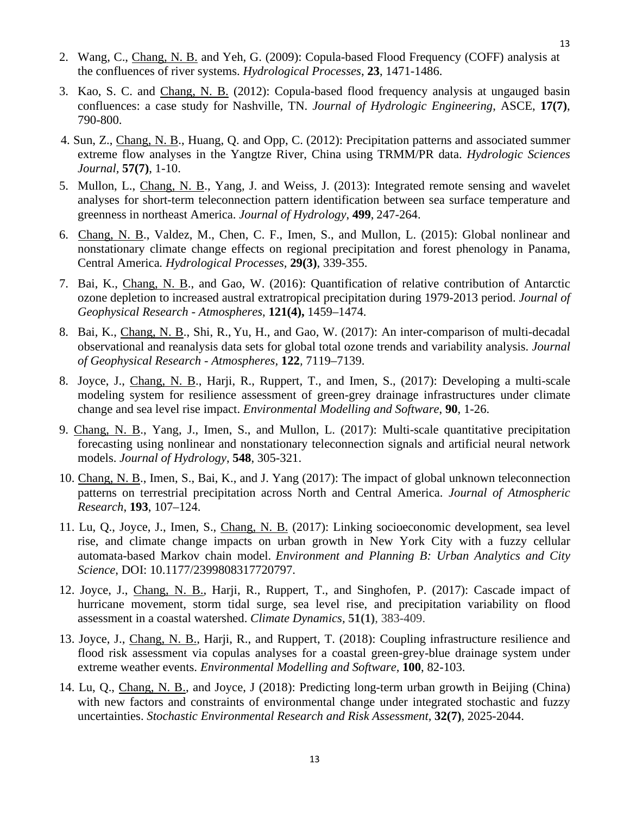- 2. Wang, C., Chang, N. B. and Yeh, G. (2009): Copula-based Flood Frequency (COFF) analysis at the confluences of river systems. *Hydrological Processes*, **23**, 1471-1486.
- 3. Kao, S. C. and Chang, N. B. (2012): Copula-based flood frequency analysis at ungauged basin confluences: a case study for Nashville, TN. *Journal of Hydrologic Engineering*, ASCE, **17(7)**, 790-800.
- 4. Sun, Z., Chang, N. B., Huang, Q. and Opp, C. (2012): Precipitation patterns and associated summer extreme flow analyses in the Yangtze River, China using TRMM/PR data. *Hydrologic Sciences Journal,* **57(7)**, 1-10.
- 5. Mullon, L., Chang, N. B., Yang, J. and Weiss, J. (2013): Integrated remote sensing and wavelet analyses for short-term teleconnection pattern identification between sea surface temperature and greenness in northeast America. *Journal of Hydrology*, **499**, 247-264.
- 6. Chang, N. B., Valdez, M., Chen, C. F., Imen, S., and Mullon, L. (2015): Global nonlinear and nonstationary climate change effects on regional precipitation and forest phenology in Panama, Central America*. Hydrological Processes,* **29(3)**, 339-355.
- 7. Bai, K., Chang, N. B., and Gao, W. (2016): Quantification of relative contribution of Antarctic ozone depletion to increased austral extratropical precipitation during 1979-2013 period. *Journal of Geophysical Research - Atmospheres*, **121(4),** 1459–1474.
- 8. Bai, K., Chang, N. B., Shi, R., Yu, H., and Gao, W. (2017): An inter-comparison of multi-decadal observational and reanalysis data sets for global total ozone trends and variability analysis. *Journal of Geophysical Research - Atmospheres,* **122***,* 7119*–*7139.
- 8. Joyce, J., Chang, N. B., Harji, R., Ruppert, T., and Imen, S., (2017): Developing a multi-scale modeling system for resilience assessment of green-grey drainage infrastructures under climate change and sea level rise impact. *Environmental Modelling and Software*, **90**, 1-26.
- 9. Chang, N. B., Yang, J., Imen, S., and Mullon, L. (2017): Multi-scale quantitative precipitation forecasting using nonlinear and nonstationary teleconnection signals and artificial neural network models. *Journal of Hydrology*, **548**, 305-321.
- 10. Chang, N. B., Imen, S., Bai, K., and J. Yang (2017): The impact of global unknown teleconnection patterns on terrestrial precipitation across North and Central America. *Journal of Atmospheric Research*, **193**, 107–124.
- 11. Lu, Q., Joyce, J., Imen, S., Chang, N. B. (2017): Linking socioeconomic development, sea level rise, and climate change impacts on urban growth in New York City with a fuzzy cellular automata-based Markov chain model. *Environment and Planning B: Urban Analytics and City Science*, DOI: 10.1177/2399808317720797.
- 12. Joyce, J., Chang, N. B., Harji, R., Ruppert, T., and Singhofen, P. (2017): Cascade impact of hurricane movement, storm tidal surge, sea level rise, and precipitation variability on flood assessment in a coastal watershed. *Climate Dynamics,* **51(1)**, 383-409.
- 13. Joyce, J., Chang, N. B., Harji, R., and Ruppert, T. (2018): Coupling infrastructure resilience and flood risk assessment via copulas analyses for a coastal green-grey-blue drainage system under extreme weather events. *Environmental Modelling and Software,* **100**, 82-103.
- 14. Lu, Q., Chang, N. B., and Joyce, J (2018): Predicting long-term urban growth in Beijing (China) with new factors and constraints of environmental change under integrated stochastic and fuzzy uncertainties. *Stochastic Environmental Research and Risk Assessment,* **32(7)**, 2025-2044.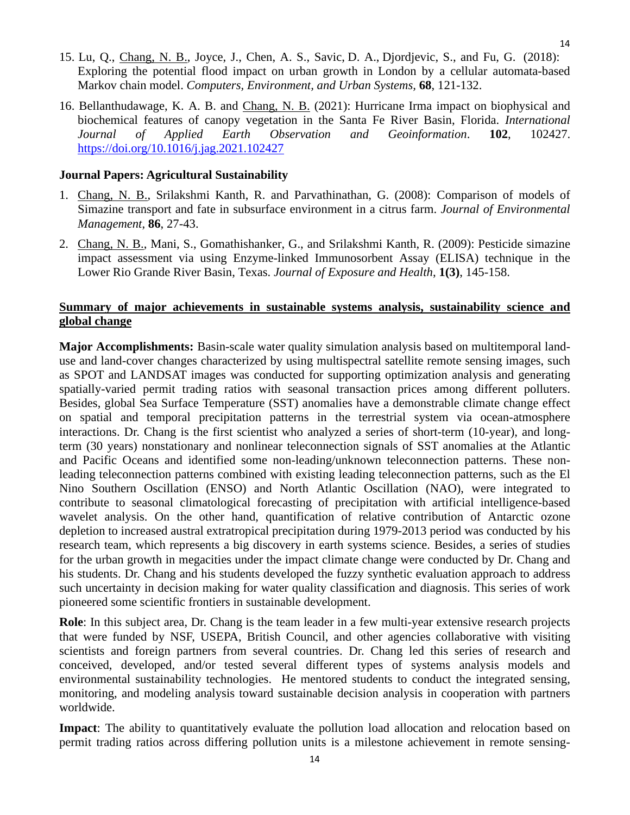- 15. Lu, Q., Chang, N. B., Joyce, J., Chen, A. S., Savic, D. A., Djordjevic, S., and Fu, G. (2018): Exploring the potential flood impact on urban growth in London by a cellular automata-based Markov chain model. *Computers, Environment, and Urban Systems,* **68**, 121-132.
- 16. Bellanthudawage, K. A. B. and Chang, N. B. (2021): Hurricane Irma impact on biophysical and biochemical features of canopy vegetation in the Santa Fe River Basin, Florida. *International Journal of Applied Earth Observation and Geoinformation*. **102**, 102427. <https://doi.org/10.1016/j.jag.2021.102427>

## **Journal Papers: Agricultural Sustainability**

- 1. Chang, N. B., Srilakshmi Kanth, R. and Parvathinathan, G. (2008): Comparison of models of Simazine transport and fate in subsurface environment in a citrus farm. *Journal of Environmental Management*, **86**, 27-43.
- 2. Chang, N. B., Mani, S., Gomathishanker, G., and Srilakshmi Kanth, R. (2009): Pesticide simazine impact assessment via using Enzyme-linked Immunosorbent Assay (ELISA) technique in the Lower Rio Grande River Basin, Texas. *Journal of Exposure and Health*, **1(3)**, 145-158.

## **Summary of major achievements in sustainable systems analysis, sustainability science and global change**

<span id="page-13-0"></span>**Major Accomplishments:** Basin-scale water quality simulation analysis based on multitemporal landuse and land-cover changes characterized by using multispectral satellite remote sensing images, such as SPOT and LANDSAT images was conducted for supporting optimization analysis and generating spatially-varied permit trading ratios with seasonal transaction prices among different polluters. Besides, global Sea Surface Temperature (SST) anomalies have a demonstrable climate change effect on spatial and temporal precipitation patterns in the terrestrial system via ocean-atmosphere interactions. Dr. Chang is the first scientist who analyzed a series of short-term (10-year), and longterm (30 years) nonstationary and nonlinear teleconnection signals of SST anomalies at the Atlantic and Pacific Oceans and identified some non-leading/unknown teleconnection patterns. These nonleading teleconnection patterns combined with existing leading teleconnection patterns, such as the El Nino Southern Oscillation (ENSO) and North Atlantic Oscillation (NAO), were integrated to contribute to seasonal climatological forecasting of precipitation with artificial intelligence-based wavelet analysis. On the other hand, quantification of relative contribution of Antarctic ozone depletion to increased austral extratropical precipitation during 1979-2013 period was conducted by his research team, which represents a big discovery in earth systems science. Besides, a series of studies for the urban growth in megacities under the impact climate change were conducted by Dr. Chang and his students. Dr. Chang and his students developed the fuzzy synthetic evaluation approach to address such uncertainty in decision making for water quality classification and diagnosis. This series of work pioneered some scientific frontiers in sustainable development.

**Role**: In this subject area, Dr. Chang is the team leader in a few multi-year extensive research projects that were funded by NSF, USEPA, British Council, and other agencies collaborative with visiting scientists and foreign partners from several countries. Dr. Chang led this series of research and conceived, developed, and/or tested several different types of systems analysis models and environmental sustainability technologies. He mentored students to conduct the integrated sensing, monitoring, and modeling analysis toward sustainable decision analysis in cooperation with partners worldwide.

Impact: The ability to quantitatively evaluate the pollution load allocation and relocation based on permit trading ratios across differing pollution units is a milestone achievement in remote sensing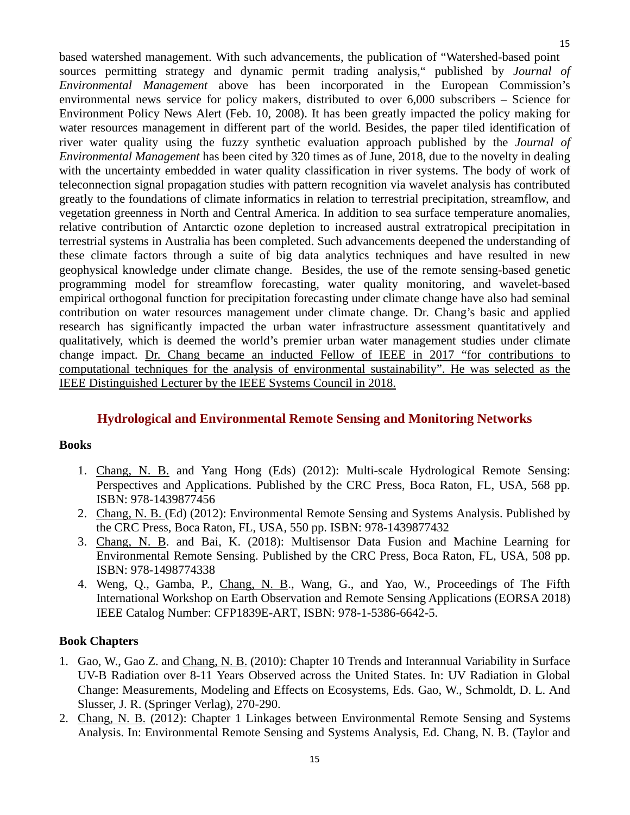based watershed management. With such advancements, the publication of "Watershed-based point sources permitting strategy and dynamic permit trading analysis," published by *Journal of Environmental Management* above has been incorporated in the European Commission's environmental news service for policy makers, distributed to over 6,000 subscribers – Science for Environment Policy News Alert (Feb. 10, 2008). It has been greatly impacted the policy making for water resources management in different part of the world. Besides, the paper tiled identification of river water quality using the fuzzy synthetic evaluation approach published by the *Journal of Environmental Management* has been cited by 320 times as of June, 2018, due to the novelty in dealing with the uncertainty embedded in water quality classification in river systems. The body of work of teleconnection signal propagation studies with pattern recognition via wavelet analysis has contributed greatly to the foundations of climate informatics in relation to terrestrial precipitation, streamflow, and vegetation greenness in North and Central America. In addition to sea surface temperature anomalies, relative contribution of Antarctic ozone depletion to increased austral extratropical precipitation in terrestrial systems in Australia has been completed. Such advancements deepened the understanding of these climate factors through a suite of big data analytics techniques and have resulted in new geophysical knowledge under climate change. Besides, the use of the remote sensing-based genetic programming model for streamflow forecasting, water quality monitoring, and wavelet-based empirical orthogonal function for precipitation forecasting under climate change have also had seminal contribution on water resources management under climate change. Dr. Chang's basic and applied research has significantly impacted the urban water infrastructure assessment quantitatively and qualitatively, which is deemed the world's premier urban water management studies under climate change impact. Dr. Chang became an inducted Fellow of IEEE in 2017 "for contributions to computational techniques for the analysis of environmental sustainability". He was selected as the IEEE Distinguished Lecturer by the IEEE Systems Council in 2018.

## **Hydrological and Environmental Remote Sensing and Monitoring Networks**

#### <span id="page-14-0"></span>**Books**

- 1. Chang, N. B. and Yang Hong (Eds) (2012): Multi-scale Hydrological Remote Sensing: Perspectives and Applications. Published by the CRC Press, Boca Raton, FL, USA, 568 pp. ISBN: 978-1439877456
- 2. Chang, N. B. (Ed) (2012): Environmental Remote Sensing and Systems Analysis. Published by the CRC Press, Boca Raton, FL, USA, 550 pp. ISBN: 978-1439877432
- 3. Chang, N. B. and Bai, K. (2018): Multisensor Data Fusion and Machine Learning for Environmental Remote Sensing. Published by the CRC Press, Boca Raton, FL, USA, 508 pp. ISBN: 978-1498774338
- 4. Weng, Q., Gamba, P., Chang, N. B., Wang, G., and Yao, W., Proceedings of The Fifth International Workshop on Earth Observation and Remote Sensing Applications (EORSA 2018) IEEE Catalog Number: CFP1839E-ART, ISBN: 978-1-5386-6642-5.

## **Book Chapters**

- 1. Gao, W., Gao Z. and Chang, N. B. (2010): Chapter 10 Trends and Interannual Variability in Surface UV-B Radiation over 8-11 Years Observed across the United States. In: UV Radiation in Global Change: Measurements, Modeling and Effects on Ecosystems, Eds. Gao, W., Schmoldt, D. L. And Slusser, J. R. (Springer Verlag), 270-290.
- 2. Chang, N. B. (2012): Chapter 1 Linkages between Environmental Remote Sensing and Systems Analysis. In: Environmental Remote Sensing and Systems Analysis, Ed. Chang, N. B. (Taylor and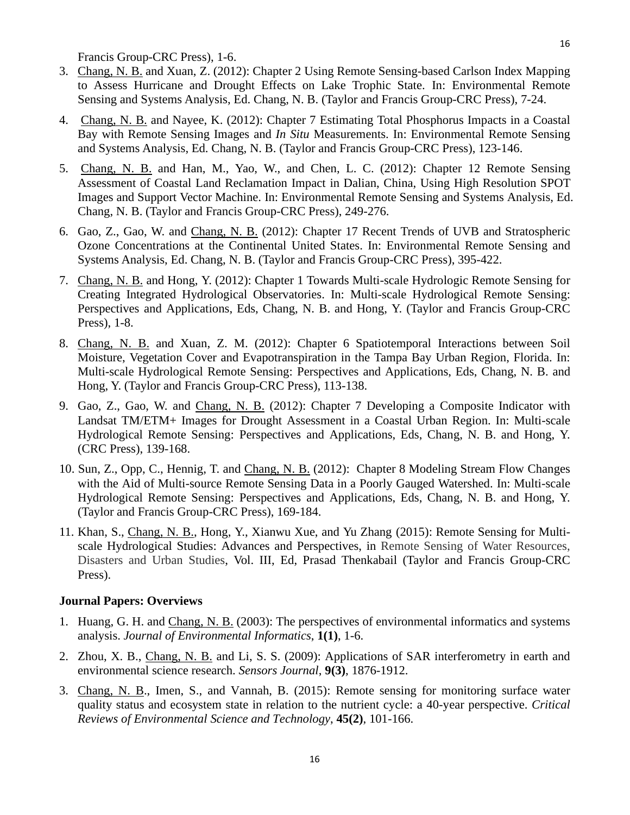Francis Group-CRC Press), 1-6.

- 3. Chang, N. B. and Xuan, Z. (2012): Chapter 2 Using Remote Sensing-based Carlson Index Mapping to Assess Hurricane and Drought Effects on Lake Trophic State. In: Environmental Remote Sensing and Systems Analysis, Ed. Chang, N. B. (Taylor and Francis Group-CRC Press), 7-24.
- 4. Chang, N. B. and Nayee, K. (2012): Chapter 7 Estimating Total Phosphorus Impacts in a Coastal Bay with Remote Sensing Images and *In Situ* Measurements. In: Environmental Remote Sensing and Systems Analysis, Ed. Chang, N. B. (Taylor and Francis Group-CRC Press), 123-146.
- 5. Chang, N. B. and Han, M., Yao, W., and Chen, L. C. (2012): Chapter 12 Remote Sensing Assessment of Coastal Land Reclamation Impact in Dalian, China, Using High Resolution SPOT Images and Support Vector Machine. In: Environmental Remote Sensing and Systems Analysis, Ed. Chang, N. B. (Taylor and Francis Group-CRC Press), 249-276.
- 6. Gao, Z., Gao, W. and Chang, N. B. (2012): Chapter 17 Recent Trends of UVB and Stratospheric Ozone Concentrations at the Continental United States. In: Environmental Remote Sensing and Systems Analysis, Ed. Chang, N. B. (Taylor and Francis Group-CRC Press), 395-422.
- 7. Chang, N. B. and Hong, Y. (2012): Chapter 1 Towards Multi-scale Hydrologic Remote Sensing for Creating Integrated Hydrological Observatories. In: Multi-scale Hydrological Remote Sensing: Perspectives and Applications, Eds, Chang, N. B. and Hong, Y. (Taylor and Francis Group-CRC Press), 1-8.
- 8. Chang, N. B. and Xuan, Z. M. (2012): Chapter 6 Spatiotemporal Interactions between Soil Moisture, Vegetation Cover and Evapotranspiration in the Tampa Bay Urban Region, Florida. In: Multi-scale Hydrological Remote Sensing: Perspectives and Applications, Eds, Chang, N. B. and Hong, Y. (Taylor and Francis Group-CRC Press), 113-138.
- 9. Gao, Z., Gao, W. and Chang, N. B. (2012): Chapter 7 Developing a Composite Indicator with Landsat TM/ETM+ Images for Drought Assessment in a Coastal Urban Region. In: Multi-scale Hydrological Remote Sensing: Perspectives and Applications, Eds, Chang, N. B. and Hong, Y. (CRC Press), 139-168.
- 10. Sun, Z., Opp, C., Hennig, T. and Chang, N. B. (2012): Chapter 8 Modeling Stream Flow Changes with the Aid of Multi-source Remote Sensing Data in a Poorly Gauged Watershed. In: Multi-scale Hydrological Remote Sensing: Perspectives and Applications, Eds, Chang, N. B. and Hong, Y. (Taylor and Francis Group-CRC Press), 169-184.
- 11. Khan, S., Chang, N. B., Hong, Y., Xianwu Xue, and Yu Zhang (2015): Remote Sensing for Multiscale Hydrological Studies: Advances and Perspectives, in Remote Sensing of Water Resources, Disasters and Urban Studies, Vol. III, Ed, Prasad Thenkabail (Taylor and Francis Group-CRC Press).

#### <span id="page-15-0"></span>**Journal Papers: Overviews**

- 1. Huang, G. H. and Chang, N. B. (2003): The perspectives of environmental informatics and systems analysis. *Journal of Environmental Informatics*, **1(1)**, 1-6.
- 2. Zhou, X. B., Chang, N. B. and Li, S. S. (2009): Applications of SAR interferometry in earth and environmental science research. *Sensors Journal*, **9(3)**, 1876-1912.
- 3. Chang, N. B., Imen, S., and Vannah, B. (2015): Remote sensing for monitoring surface water quality status and ecosystem state in relation to the nutrient cycle: a 40-year perspective. *Critical Reviews of Environmental Science and Technology*, **45(2)**, 101-166.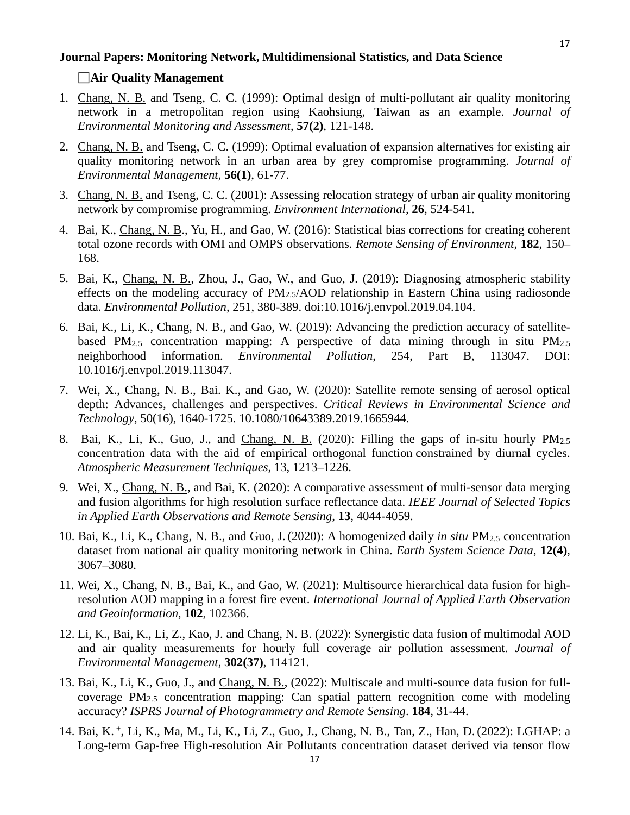#### <span id="page-16-0"></span>**Journal Papers: Monitoring Network, Multidimensional Statistics, and Data Science**

#### **Air Quality Management**

- 1. Chang, N. B. and Tseng, C. C. (1999): Optimal design of multi-pollutant air quality monitoring network in a metropolitan region using Kaohsiung, Taiwan as an example. *Journal of Environmental Monitoring and Assessment*, **57(2)**, 121-148.
- 2. Chang, N. B. and Tseng, C. C. (1999): Optimal evaluation of expansion alternatives for existing air quality monitoring network in an urban area by grey compromise programming. *Journal of Environmental Management*, **56(1)**, 61-77.
- 3. Chang, N. B. and Tseng, C. C. (2001): Assessing relocation strategy of urban air quality monitoring network by compromise programming. *Environment International*, **26**, 524-541.
- 4. Bai, K., Chang, N. B., Yu, H., and Gao, W. (2016): Statistical bias corrections for creating coherent total ozone records with OMI and OMPS observations. *Remote Sensing of Environment*, **182**, 150– 168.
- 5. Bai, K., Chang, N. B., Zhou, J., Gao, W., and Guo, J. (2019): Diagnosing atmospheric stability effects on the modeling accuracy of  $PM_2s/AOD$  relationship in Eastern China using radiosonde data. *Environmental Pollution*, 251, 380-389. doi:10.1016/j.envpol.2019.04.104.
- 6. Bai, K., Li, K., Chang, N. B., and Gao, W. (2019): Advancing the prediction accuracy of satellitebased PM<sub>2.5</sub> concentration mapping: A perspective of data mining through in situ PM<sub>2.5</sub> neighborhood information. *Environmental Pollution*, 254, Part B, 113047. DOI: 10.1016/j.envpol.2019.113047.
- 7. Wei, X., Chang, N. B., Bai. K., and Gao, W. (2020): Satellite remote sensing of aerosol optical depth: Advances, challenges and perspectives. *Critical Reviews in Environmental Science and Technology*, 50(16), 1640-1725. 10.1080/10643389.2019.1665944.
- 8. Bai, K., Li, K., Guo, J., and Chang, N. B. (2020): Filling the gaps of in-situ hourly PM2.5 concentration data with the aid of empirical orthogonal function constrained by diurnal cycles. *Atmospheric Measurement Techniques*, 13, 1213–1226.
- 9. Wei, X., Chang, N. B., and Bai, K. (2020): A comparative assessment of multi-sensor data merging and fusion algorithms for high resolution surface reflectance data. *IEEE Journal of Selected Topics in Applied Earth Observations and Remote Sensing*, **13**, 4044-4059.
- 10. Bai, K., Li, K., Chang, N. B., and Guo, J. (2020): A homogenized daily *in situ* PM2.5 concentration dataset from national air quality monitoring network in China. *Earth System Science Data*, **12(4)**, 3067–3080.
- 11. Wei, X., Chang, N. B., Bai, K., and Gao, W. (2021): Multisource hierarchical data fusion for highresolution AOD mapping in a forest fire event. *International Journal of Applied Earth Observation and Geoinformation*, **102**, 102366.
- 12. Li, K., Bai, K., Li, Z., Kao, J. and Chang, N. B. (2022): Synergistic data fusion of multimodal AOD and air quality measurements for hourly full coverage air pollution assessment. *Journal of Environmental Management*, **302(37)**, 114121.
- 13. Bai, K., Li, K., Guo, J., and Chang, N. B., (2022): Multiscale and multi-source data fusion for fullcoverage  $PM_{2.5}$  concentration mapping: Can spatial pattern recognition come with modeling accuracy? *ISPRS Journal of Photogrammetry and Remote Sensing*. **184**, 31-44.
- 14. Bai, K. **<sup>+</sup>**, Li, K., Ma, M., Li, K., Li, Z., Guo, J., Chang, N. B., Tan, Z., Han, D. (2022): LGHAP: a Long-term Gap-free High-resolution Air Pollutants concentration dataset derived via tensor flow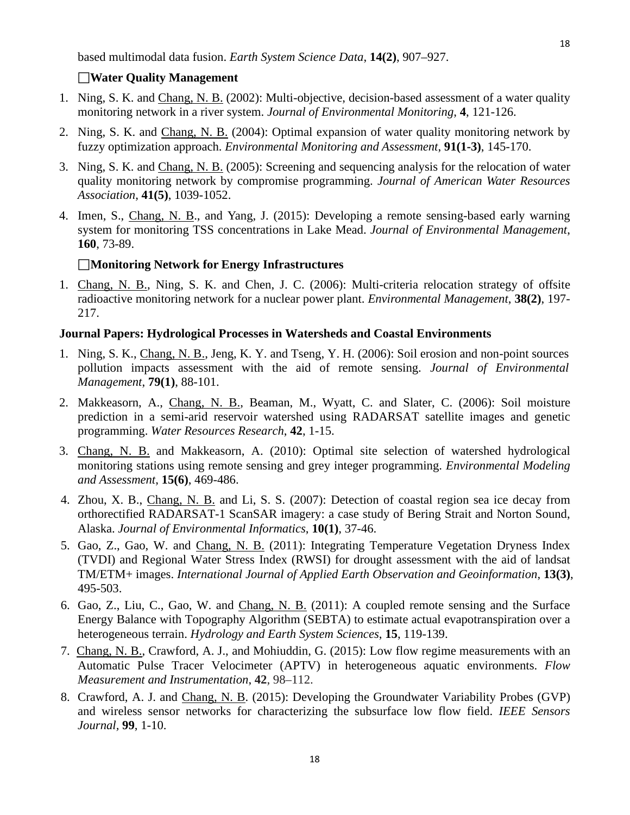#### **Water Quality Management**

- 1. Ning, S. K. and Chang, N. B. (2002): Multi-objective, decision-based assessment of a water quality monitoring network in a river system. *Journal of Environmental Monitoring*, **4**, 121-126.
- 2. Ning, S. K. and Chang, N. B. (2004): Optimal expansion of water quality monitoring network by fuzzy optimization approach. *Environmental Monitoring and Assessment*, **91(1-3)**, 145-170.
- 3. Ning, S. K. and Chang, N. B. (2005): Screening and sequencing analysis for the relocation of water quality monitoring network by compromise programming. *Journal of American Water Resources Association*, **41(5)**, 1039-1052.
- 4. Imen, S., Chang, N. B., and Yang, J. (2015): Developing a remote sensing-based early warning system for monitoring TSS concentrations in Lake Mead. *Journal of Environmental Management*, **160**, 73-89.

#### **Monitoring Network for Energy Infrastructures**

1. Chang, N. B., Ning, S. K. and Chen, J. C. (2006): Multi-criteria relocation strategy of offsite radioactive monitoring network for a nuclear power plant. *Environmental Management*, **38(2)**, 197- 217.

#### <span id="page-17-0"></span>**Journal Papers: Hydrological Processes in Watersheds and Coastal Environments**

- 1. Ning, S. K., Chang, N. B., Jeng, K. Y. and Tseng, Y. H. (2006): Soil erosion and non-point sources pollution impacts assessment with the aid of remote sensing. *Journal of Environmental Management*, **79(1)**, 88-101.
- 2. Makkeasorn, A., Chang, N. B., Beaman, M., Wyatt, C. and Slater, C. (2006): Soil moisture prediction in a semi-arid reservoir watershed using RADARSAT satellite images and genetic programming. *Water Resources Research*, **42**, 1-15.
- 3. Chang, N. B. and Makkeasorn, A. (2010): Optimal site selection of watershed hydrological monitoring stations using remote sensing and grey integer programming. *Environmental Modeling and Assessment*, **15(6)**, 469-486.
- 4. Zhou, X. B., Chang, N. B. and Li, S. S. (2007): Detection of coastal region sea ice decay from orthorectified RADARSAT-1 ScanSAR imagery: a case study of Bering Strait and Norton Sound, Alaska. *Journal of Environmental Informatics*, **10(1)**, 37-46.
- 5. Gao, Z., Gao, W. and Chang, N. B. (2011): Integrating Temperature Vegetation Dryness Index (TVDI) and Regional Water Stress Index (RWSI) for drought assessment with the aid of landsat TM/ETM+ images. *International Journal of Applied Earth Observation and Geoinformation*, **13(3)**, 495-503.
- 6. Gao, Z., Liu, C., Gao, W. and Chang, N. B. (2011): A coupled remote sensing and the Surface Energy Balance with Topography Algorithm (SEBTA) to estimate actual evapotranspiration over a heterogeneous terrain. *Hydrology and Earth System Sciences*, **15**, 119-139.
- 7. Chang, N. B., Crawford, A. J., and Mohiuddin, G. (2015): Low flow regime measurements with an Automatic Pulse Tracer Velocimeter (APTV) in heterogeneous aquatic environments. *Flow Measurement and Instrumentation*, **42**, 98–112.
- 8. Crawford, A. J. and Chang, N. B. (2015): Developing the Groundwater Variability Probes (GVP) and wireless sensor networks for characterizing the subsurface low flow field. *IEEE Sensors Journal,* **99**, 1-10.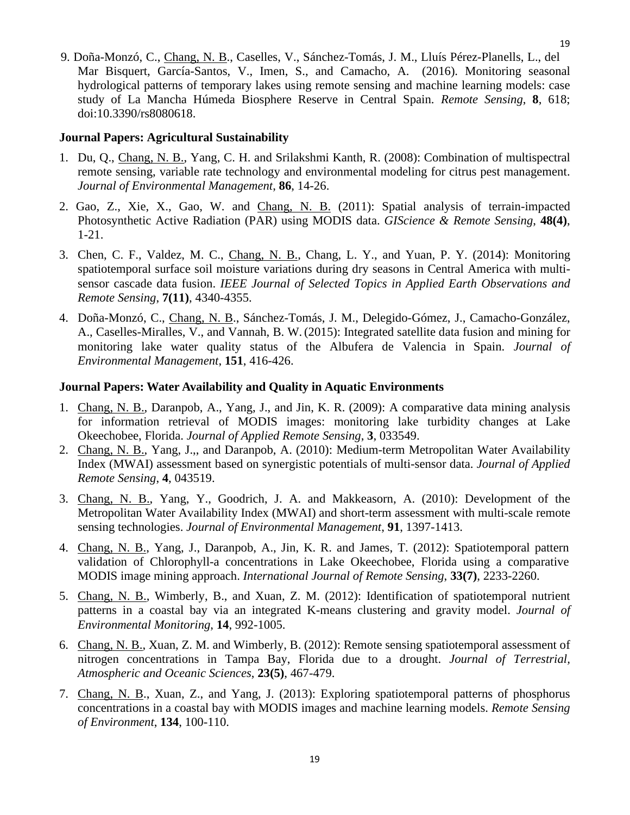9. Doña-Monzó, C., Chang, N. B., Caselles, V., Sánchez-Tomás, J. M., Lluís Pérez-Planells, L., del Mar Bisquert, García-Santos, V., Imen, S., and Camacho, A. (2016). Monitoring seasonal hydrological patterns of temporary lakes using remote sensing and machine learning models: case study of La Mancha Húmeda Biosphere Reserve in Central Spain. *Remote Sensing*, **8**, 618; doi:10.3390/rs8080618.

#### **Journal Papers: Agricultural Sustainability**

- 1. Du, Q., Chang, N. B., Yang, C. H. and Srilakshmi Kanth, R. (2008): Combination of multispectral remote sensing, variable rate technology and environmental modeling for citrus pest management. *Journal of Environmental Management*, **86**, 14-26.
- 2. Gao, Z., Xie, X., Gao, W. and Chang, N. B. (2011): Spatial analysis of terrain-impacted Photosynthetic Active Radiation (PAR) using MODIS data. *GIScience & Remote Sensing*, **48(4)**, 1-21.
- 3. Chen, C. F., Valdez, M. C., Chang, N. B., Chang, L. Y., and Yuan, P. Y. (2014): Monitoring spatiotemporal surface soil moisture variations during dry seasons in Central America with multisensor cascade data fusion. *IEEE Journal of Selected Topics in Applied Earth Observations and Remote Sensing*, **7(11)**, 4340-4355.
- 4. Doña-Monzó, C., Chang, N. B., Sánchez-Tomás, J. M., Delegido-Gómez, J., Camacho-González, A., Caselles-Miralles, V., and Vannah, B. W. (2015): Integrated satellite data fusion and mining for monitoring lake water quality status of the Albufera de Valencia in Spain. *Journal of Environmental Management*, **151**, 416-426.

#### **Journal Papers: Water Availability and Quality in Aquatic Environments**

- 1. Chang, N. B., Daranpob, A., Yang, J., and Jin, K. R. (2009): A comparative data mining analysis for information retrieval of MODIS images: monitoring lake turbidity changes at Lake Okeechobee, Florida. *Journal of Applied Remote Sensing*, **3**, 033549.
- 2. Chang, N. B., Yang, J.,, and Daranpob, A. (2010): Medium-term Metropolitan Water Availability Index (MWAI) assessment based on synergistic potentials of multi-sensor data. *Journal of Applied Remote Sensing*, **4**, 043519.
- 3. Chang, N. B., Yang, Y., Goodrich, J. A. and Makkeasorn, A. (2010): Development of the Metropolitan Water Availability Index (MWAI) and short-term assessment with multi-scale remote sensing technologies. *Journal of Environmental Management*, **91**, 1397-1413.
- 4. Chang, N. B., Yang, J., Daranpob, A., Jin, K. R. and James, T. (2012): Spatiotemporal pattern validation of Chlorophyll-a concentrations in Lake Okeechobee, Florida using a comparative MODIS image mining approach. *International Journal of Remote Sensing*, **33(7)**, 2233-2260.
- 5. Chang, N. B., Wimberly, B., and Xuan, Z. M. (2012): Identification of spatiotemporal nutrient patterns in a coastal bay via an integrated K-means clustering and gravity model. *Journal of Environmental Monitoring*, **14**, 992-1005.
- 6. Chang, N. B., Xuan, Z. M. and Wimberly, B. (2012): Remote sensing spatiotemporal assessment of nitrogen concentrations in Tampa Bay, Florida due to a drought. *Journal of Terrestrial, Atmospheric and Oceanic Sciences*, **23(5)**, 467-479.
- 7. Chang, N. B., Xuan, Z., and Yang, J. (2013): Exploring spatiotemporal patterns of phosphorus concentrations in a coastal bay with MODIS images and machine learning models. *Remote Sensing of Environment*, **134**, 100-110.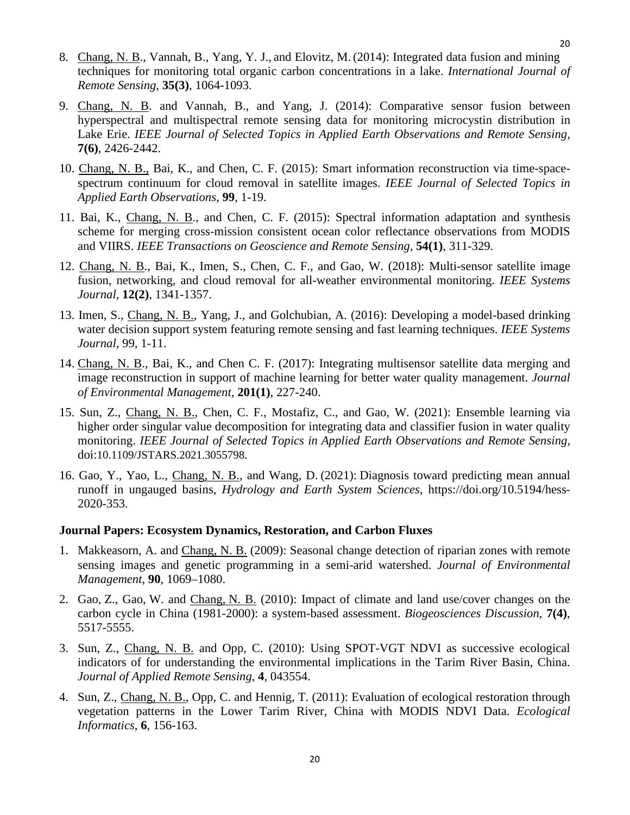- 8. Chang, N. B., Vannah, B., Yang, Y. J., and Elovitz, M. (2014): Integrated data fusion and mining techniques for monitoring total organic carbon concentrations in a lake. *International Journal of Remote Sensing*, **35(3)**, 1064-1093.
- 9. Chang, N. B. and Vannah, B., and Yang, J. (2014): Comparative sensor fusion between hyperspectral and multispectral remote sensing data for monitoring microcystin distribution in Lake Erie. *IEEE Journal of Selected Topics in Applied Earth Observations and Remote Sensing,* **7(6)**, 2426-2442.
- 10. Chang, N. B., Bai, K., and Chen, C. F. (2015): Smart information reconstruction via time-spacespectrum continuum for cloud removal in satellite images. *IEEE Journal of Selected Topics in Applied Earth Observations*, **99**, 1-19.
- 11. Bai, K., Chang, N. B., and Chen, C. F. (2015): Spectral information adaptation and synthesis scheme for merging cross-mission consistent ocean color reflectance observations from MODIS and VIIRS. *IEEE Transactions on Geoscience and Remote Sensing,* **54(1)**, 311-329.
- 12. Chang, N. B., Bai, K., Imen, S., Chen, C. F., and Gao, W. (2018): Multi-sensor satellite image fusion, networking, and cloud removal for all-weather environmental monitoring. *IEEE Systems Journal*, **12(2)**, 1341-1357.
- 13. Imen, S., Chang, N. B., Yang, J., and Golchubian, A. (2016): Developing a model-based drinking water decision support system featuring remote sensing and fast learning techniques. *IEEE Systems Journal*, 99, 1-11.
- 14. Chang, N. B., Bai, K., and Chen C. F. (2017): Integrating multisensor satellite data merging and image reconstruction in support of machine learning for better water quality management. *Journal of Environmental Management,* **201(1)**, 227-240.
- 15. Sun, Z., Chang, N. B., Chen, C. F., Mostafiz, C., and Gao, W. (2021): Ensemble learning via higher order singular value decomposition for integrating data and classifier fusion in water quality monitoring. *IEEE Journal of Selected Topics in Applied Earth Observations and Remote Sensing*, doi:10.1109/JSTARS.2021.3055798.
- 16. Gao, Y., Yao, L., Chang, N. B., and Wang, D. (2021): Diagnosis toward predicting mean annual runoff in ungauged basins, *Hydrology and Earth System Sciences*, https://doi.org/10.5194/hess-2020-353.

#### **Journal Papers: Ecosystem Dynamics, Restoration, and Carbon Fluxes**

- 1. Makkeasorn, A. and Chang, N. B. (2009): Seasonal change detection of riparian zones with remote sensing images and genetic programming in a semi-arid watershed. *Journal of Environmental Management*, **90**, 1069–1080.
- 2. Gao, Z., Gao, W. and Chang, N. B. (2010): Impact of climate and land use/cover changes on the carbon cycle in China (1981-2000): a system-based assessment. *Biogeosciences Discussion*, **7(4)**, 5517-5555.
- 3. Sun, Z., Chang, N. B. and Opp, C. (2010): Using SPOT-VGT NDVI as successive ecological indicators of for understanding the environmental implications in the Tarim River Basin, China. *Journal of Applied Remote Sensing*, **4**, 043554.
- 4. Sun, Z., Chang, N. B., Opp, C. and Hennig, T. (2011): Evaluation of ecological restoration through vegetation patterns in the Lower Tarim River, China with MODIS NDVI Data. *Ecological Informatics*, **6**, 156-163.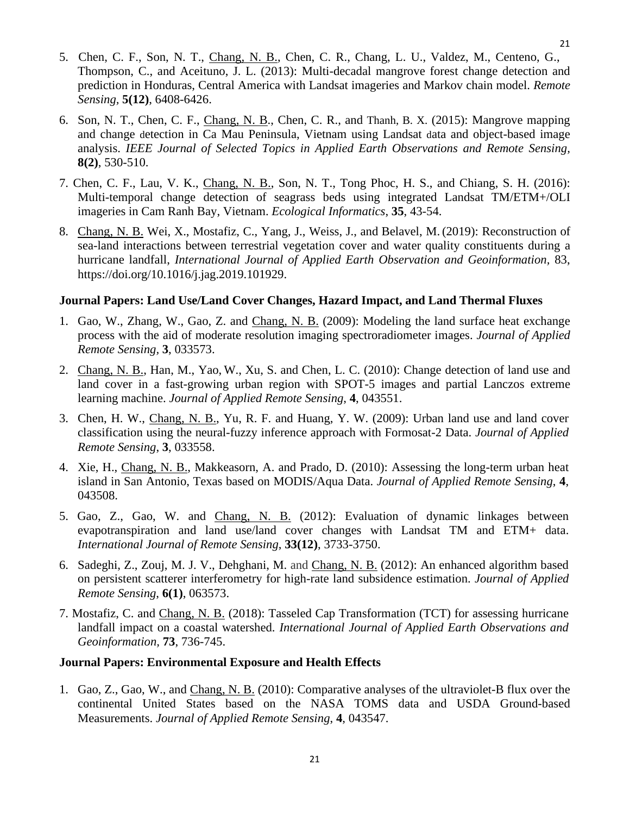- 5. Chen, C. F., Son, N. T., Chang, N. B., Chen, C. R., Chang, L. U., Valdez, M., Centeno, G., Thompson, C., and Aceituno, J. L. (2013): Multi-decadal mangrove forest change detection and prediction in Honduras, Central America with Landsat imageries and Markov chain model. *Remote Sensing,* **5(12)**, 6408-6426.
- 6. Son, N. T., Chen, C. F., Chang, N. B., Chen, C. R., and Thanh, B. X. (2015): Mangrove mapping and change detection in Ca Mau Peninsula, Vietnam using Landsat data and object-based image analysis. *IEEE Journal of Selected Topics in Applied Earth Observations and Remote Sensing,* **8(2)**, 530-510.
- 7. Chen, C. F., Lau, V. K., Chang, N. B., Son, N. T., Tong Phoc, H. S., and Chiang, S. H. (2016): Multi-temporal change detection of seagrass beds using integrated Landsat TM/ETM+/OLI imageries in Cam Ranh Bay, Vietnam. *Ecological Informatics*, **35**, 43-54.
- 8. Chang, N. B. Wei, X., Mostafiz, C., Yang, J., Weiss, J., and Belavel, M. (2019): Reconstruction of sea-land interactions between terrestrial vegetation cover and water quality constituents during a hurricane landfall, *International Journal of Applied Earth Observation and Geoinformation,* 83, https://doi.org/10.1016/j.jag.2019.101929.

## **Journal Papers: Land Use/Land Cover Changes, Hazard Impact, and Land Thermal Fluxes**

- 1. Gao, W., Zhang, W., Gao, Z. and Chang, N. B. (2009): Modeling the land surface heat exchange process with the aid of moderate resolution imaging spectroradiometer images. *Journal of Applied Remote Sensing,* **3**, 033573.
- 2. Chang, N. B., Han, M., Yao, W., Xu, S. and Chen, L. C. (2010): Change detection of land use and land cover in a fast-growing urban region with SPOT-5 images and partial Lanczos extreme learning machine. *Journal of Applied Remote Sensing*, **4**, 043551.
- 3. Chen, H. W., Chang, N. B., Yu, R. F. and Huang, Y. W. (2009): Urban land use and land cover classification using the neural-fuzzy inference approach with Formosat-2 Data. *Journal of Applied Remote Sensing*, **3**, 033558.
- 4. Xie, H., Chang, N. B., Makkeasorn, A. and Prado, D. (2010): Assessing the long-term urban heat island in San Antonio, Texas based on MODIS/Aqua Data. *Journal of Applied Remote Sensing*, **4**, 043508.
- 5. Gao, Z., Gao, W. and Chang, N. B. (2012): Evaluation of dynamic linkages between evapotranspiration and land use/land cover changes with Landsat TM and ETM+ data. *International Journal of Remote Sensing*, **33(12)**, 3733-3750.
- 6. Sadeghi, Z., Zouj, M. J. V., Dehghani, M. and Chang, N. B. (2012): An enhanced algorithm based on persistent scatterer interferometry for high-rate land subsidence estimation. *Journal of Applied Remote Sensing*, **6(1)**, 063573.
- 7. Mostafiz, C. and Chang, N. B. (2018): Tasseled Cap Transformation (TCT) for assessing hurricane landfall impact on a coastal watershed. *International Journal of Applied Earth Observations and Geoinformation,* **73**, 736-745.

## **Journal Papers: Environmental Exposure and Health Effects**

1. Gao, Z., Gao, W., and Chang, N. B. (2010): Comparative analyses of the ultraviolet-B flux over the continental United States based on the NASA TOMS data and USDA Ground-based Measurements. *Journal of Applied Remote Sensing*, **4**, 043547.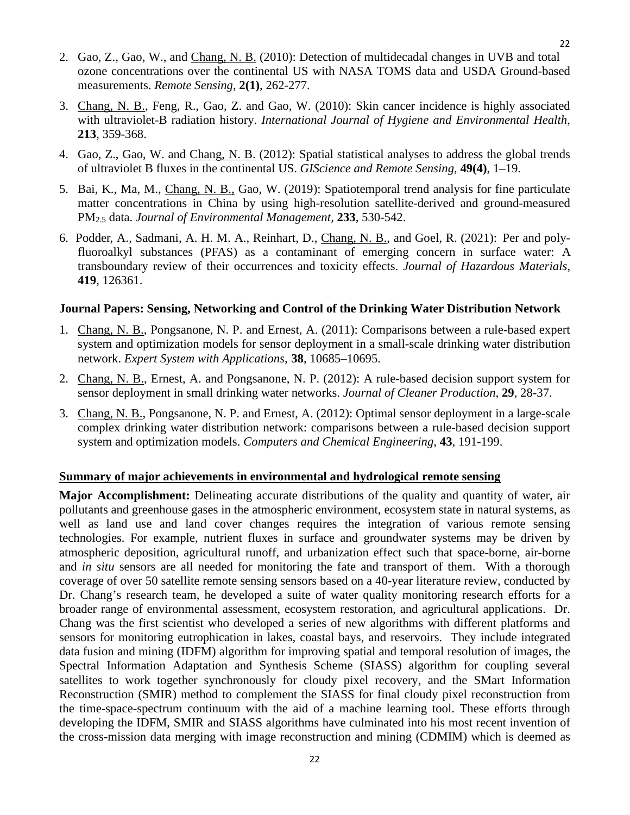- 2. Gao, Z., Gao, W., and Chang, N. B. (2010): Detection of multidecadal changes in UVB and total ozone concentrations over the continental US with NASA TOMS data and USDA Ground-based measurements. *Remote Sensing*, **2(1)**, 262-277.
- 3. Chang, N. B., Feng, R., Gao, Z. and Gao, W. (2010): Skin cancer incidence is highly associated with ultraviolet-B radiation history. *International Journal of Hygiene and Environmental Health*, **213**, 359-368.
- 4. Gao, Z., Gao, W. and Chang, N. B. (2012): Spatial statistical analyses to address the global trends of ultraviolet B fluxes in the continental US. *GIScience and Remote Sensing*, **49(4)**, 1–19.
- 5. Bai, K., Ma, M., Chang, N. B., Gao, W. (2019): Spatiotemporal trend analysis for fine particulate matter concentrations in China by using high-resolution satellite-derived and ground-measured PM2.5 data. *Journal of Environmental Management,* **233**, 530-542.
- 6. Podder, A., Sadmani, A. H. M. A., Reinhart, D., Chang, N. B., and Goel, R. (2021): Per and polyfluoroalkyl substances (PFAS) as a contaminant of emerging concern in surface water: A transboundary review of their occurrences and toxicity effects. *Journal of Hazardous Materials*, **419**, 126361.

#### **Journal Papers: Sensing, Networking and Control of the Drinking Water Distribution Network**

- 1. Chang, N. B., Pongsanone, N. P. and Ernest, A. (2011): Comparisons between a rule-based expert system and optimization models for sensor deployment in a small-scale drinking water distribution network. *Expert System with Applications*, **38**, 10685–10695.
- 2. Chang, N. B., Ernest, A. and Pongsanone, N. P. (2012): A rule-based decision support system for sensor deployment in small drinking water networks. *Journal of Cleaner Production*, **29**, 28-37.
- 3. Chang, N. B., Pongsanone, N. P. and Ernest, A. (2012): Optimal sensor deployment in a large-scale complex drinking water distribution network: comparisons between a rule-based decision support system and optimization models. *Computers and Chemical Engineering*, **43**, 191-199.

#### **Summary of major achievements in environmental and hydrological remote sensing**

**Major Accomplishment:** Delineating accurate distributions of the quality and quantity of water, air pollutants and greenhouse gases in the atmospheric environment, ecosystem state in natural systems, as well as land use and land cover changes requires the integration of various remote sensing technologies. For example, nutrient fluxes in surface and groundwater systems may be driven by atmospheric deposition, agricultural runoff, and urbanization effect such that space-borne, air-borne and *in situ* sensors are all needed for monitoring the fate and transport of them. With a thorough coverage of over 50 satellite remote sensing sensors based on a 40-year literature review, conducted by Dr. Chang's research team, he developed a suite of water quality monitoring research efforts for a broader range of environmental assessment, ecosystem restoration, and agricultural applications. Dr. Chang was the first scientist who developed a series of new algorithms with different platforms and sensors for monitoring eutrophication in lakes, coastal bays, and reservoirs. They include integrated data fusion and mining (IDFM) algorithm for improving spatial and temporal resolution of images, the Spectral Information Adaptation and Synthesis Scheme (SIASS) algorithm for coupling several satellites to work together synchronously for cloudy pixel recovery, and the SMart Information Reconstruction (SMIR) method to complement the SIASS for final cloudy pixel reconstruction from the time-space-spectrum continuum with the aid of a machine learning tool. These efforts through developing the IDFM, SMIR and SIASS algorithms have culminated into his most recent invention of the cross-mission data merging with image reconstruction and mining (CDMIM) which is deemed as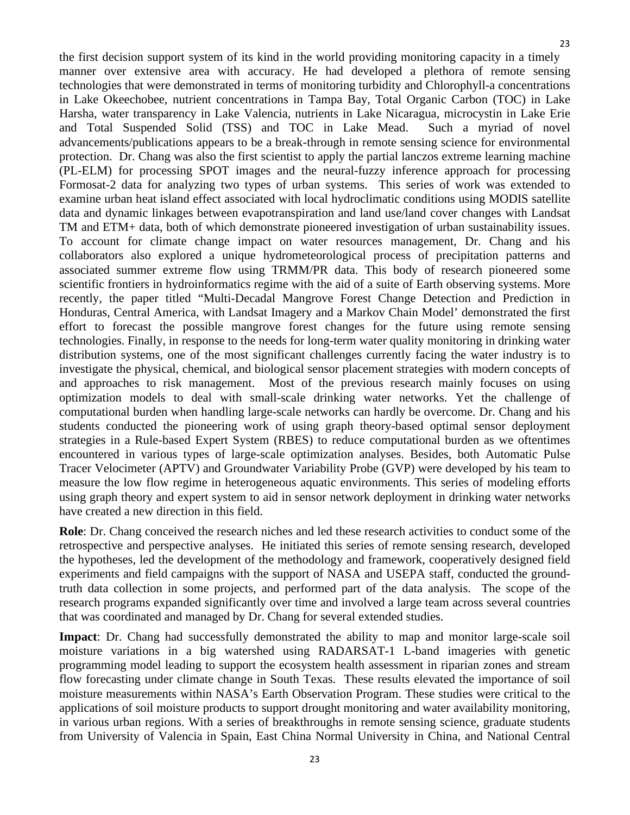the first decision support system of its kind in the world providing monitoring capacity in a timely manner over extensive area with accuracy. He had developed a plethora of remote sensing technologies that were demonstrated in terms of monitoring turbidity and Chlorophyll-a concentrations in Lake Okeechobee, nutrient concentrations in Tampa Bay, Total Organic Carbon (TOC) in Lake Harsha, water transparency in Lake Valencia, nutrients in Lake Nicaragua, microcystin in Lake Erie and Total Suspended Solid (TSS) and TOC in Lake Mead. Such a myriad of novel advancements/publications appears to be a break-through in remote sensing science for environmental protection. Dr. Chang was also the first scientist to apply the partial lanczos extreme learning machine (PL-ELM) for processing SPOT images and the neural-fuzzy inference approach for processing Formosat-2 data for analyzing two types of urban systems. This series of work was extended to examine urban heat island effect associated with local hydroclimatic conditions using MODIS satellite data and dynamic linkages between evapotranspiration and land use/land cover changes with Landsat TM and ETM+ data, both of which demonstrate pioneered investigation of urban sustainability issues. To account for climate change impact on water resources management, Dr. Chang and his collaborators also explored a unique hydrometeorological process of precipitation patterns and associated summer extreme flow using TRMM/PR data. This body of research pioneered some scientific frontiers in hydroinformatics regime with the aid of a suite of Earth observing systems. More recently, the paper titled "Multi‐Decadal Mangrove Forest Change Detection and Prediction in Honduras, Central America, with Landsat Imagery and a Markov Chain Model' demonstrated the first effort to forecast the possible mangrove forest changes for the future using remote sensing technologies. Finally, in response to the needs for long-term water quality monitoring in drinking water distribution systems, one of the most significant challenges currently facing the water industry is to investigate the physical, chemical, and biological sensor placement strategies with modern concepts of and approaches to risk management. Most of the previous research mainly focuses on using optimization models to deal with small-scale drinking water networks. Yet the challenge of computational burden when handling large-scale networks can hardly be overcome. Dr. Chang and his students conducted the pioneering work of using graph theory-based optimal sensor deployment strategies in a Rule-based Expert System (RBES) to reduce computational burden as we oftentimes encountered in various types of large-scale optimization analyses. Besides, both Automatic Pulse Tracer Velocimeter (APTV) and Groundwater Variability Probe (GVP) were developed by his team to measure the low flow regime in heterogeneous aquatic environments. This series of modeling efforts using graph theory and expert system to aid in sensor network deployment in drinking water networks have created a new direction in this field.

**Role**: Dr. Chang conceived the research niches and led these research activities to conduct some of the retrospective and perspective analyses. He initiated this series of remote sensing research, developed the hypotheses, led the development of the methodology and framework, cooperatively designed field experiments and field campaigns with the support of NASA and USEPA staff, conducted the groundtruth data collection in some projects, and performed part of the data analysis. The scope of the research programs expanded significantly over time and involved a large team across several countries that was coordinated and managed by Dr. Chang for several extended studies.

**Impact**: Dr. Chang had successfully demonstrated the ability to map and monitor large-scale soil moisture variations in a big watershed using RADARSAT-1 L-band imageries with genetic programming model leading to support the ecosystem health assessment in riparian zones and stream flow forecasting under climate change in South Texas. These results elevated the importance of soil moisture measurements within NASA's Earth Observation Program. These studies were critical to the applications of soil moisture products to support drought monitoring and water availability monitoring, in various urban regions. With a series of breakthroughs in remote sensing science, graduate students from University of Valencia in Spain, East China Normal University in China, and National Central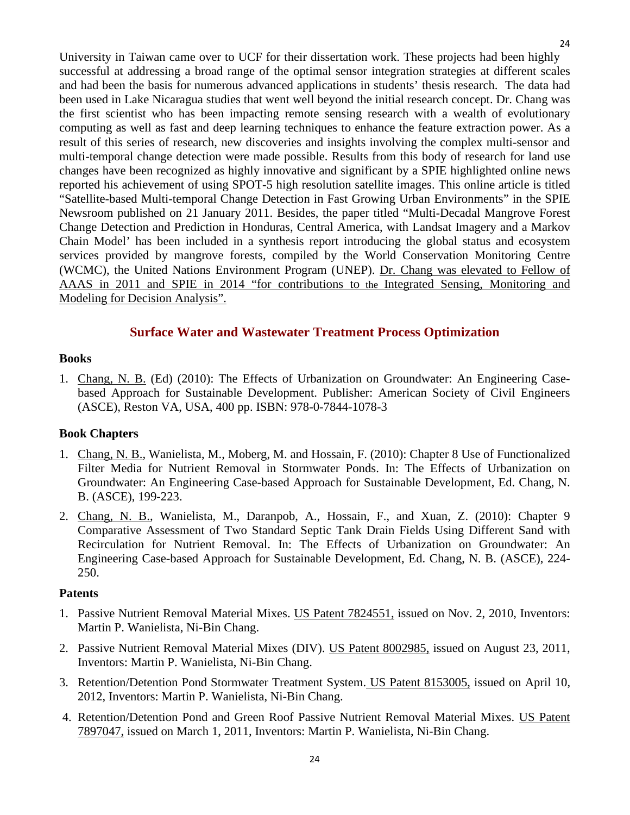University in Taiwan came over to UCF for their dissertation work. These projects had been highly successful at addressing a broad range of the optimal sensor integration strategies at different scales and had been the basis for numerous advanced applications in students' thesis research. The data had been used in Lake Nicaragua studies that went well beyond the initial research concept. Dr. Chang was the first scientist who has been impacting remote sensing research with a wealth of evolutionary computing as well as fast and deep learning techniques to enhance the feature extraction power. As a result of this series of research, new discoveries and insights involving the complex multi-sensor and multi-temporal change detection were made possible. Results from this body of research for land use changes have been recognized as highly innovative and significant by a SPIE highlighted online news reported his achievement of using SPOT-5 high resolution satellite images. This online article is titled "Satellite-based Multi-temporal Change Detection in Fast Growing Urban Environments" in the SPIE Newsroom published on 21 January 2011. Besides, the paper titled "Multi‐Decadal Mangrove Forest Change Detection and Prediction in Honduras, Central America, with Landsat Imagery and a Markov Chain Model' has been included in a synthesis report introducing the global status and ecosystem services provided by mangrove forests, compiled by the World Conservation Monitoring Centre (WCMC), the United Nations Environment Program (UNEP). Dr. Chang was elevated to Fellow of AAAS in 2011 and SPIE in 2014 "for contributions to the Integrated Sensing, Monitoring and Modeling for Decision Analysis".

## **Surface Water and Wastewater Treatment Process Optimization**

#### <span id="page-23-1"></span><span id="page-23-0"></span>**Books**

1. Chang, N. B. (Ed) (2010): The Effects of Urbanization on Groundwater: An Engineering Casebased Approach for Sustainable Development. Publisher: American Society of Civil Engineers (ASCE), Reston VA, USA, 400 pp. ISBN: 978-0-7844-1078-3

#### <span id="page-23-2"></span>**Book Chapters**

- 1. Chang, N. B., Wanielista, M., Moberg, M. and Hossain, F. (2010): Chapter 8 Use of Functionalized Filter Media for Nutrient Removal in Stormwater Ponds. In: The Effects of Urbanization on Groundwater: An Engineering Case-based Approach for Sustainable Development, Ed. Chang, N. B. (ASCE), 199-223.
- 2. Chang, N. B., Wanielista, M., Daranpob, A., Hossain, F., and Xuan, Z. (2010): Chapter 9 Comparative Assessment of Two Standard Septic Tank Drain Fields Using Different Sand with Recirculation for Nutrient Removal. In: The Effects of Urbanization on Groundwater: An Engineering Case-based Approach for Sustainable Development, Ed. Chang, N. B. (ASCE), 224- 250.

#### <span id="page-23-3"></span>**Patents**

- 1. Passive Nutrient Removal Material Mixes. US Patent 7824551, issued on Nov. 2, 2010, Inventors: Martin P. Wanielista, Ni-Bin Chang.
- 2. Passive Nutrient Removal Material Mixes (DIV). US Patent 8002985, issued on August 23, 2011, Inventors: Martin P. Wanielista, Ni-Bin Chang.
- 3. Retention/Detention Pond Stormwater Treatment System. US Patent 8153005, issued on April 10, 2012, Inventors: Martin P. Wanielista, Ni-Bin Chang.
- 4. Retention/Detention Pond and Green Roof Passive Nutrient Removal Material Mixes. US Patent 7897047, issued on March 1, 2011, Inventors: Martin P. Wanielista, Ni-Bin Chang.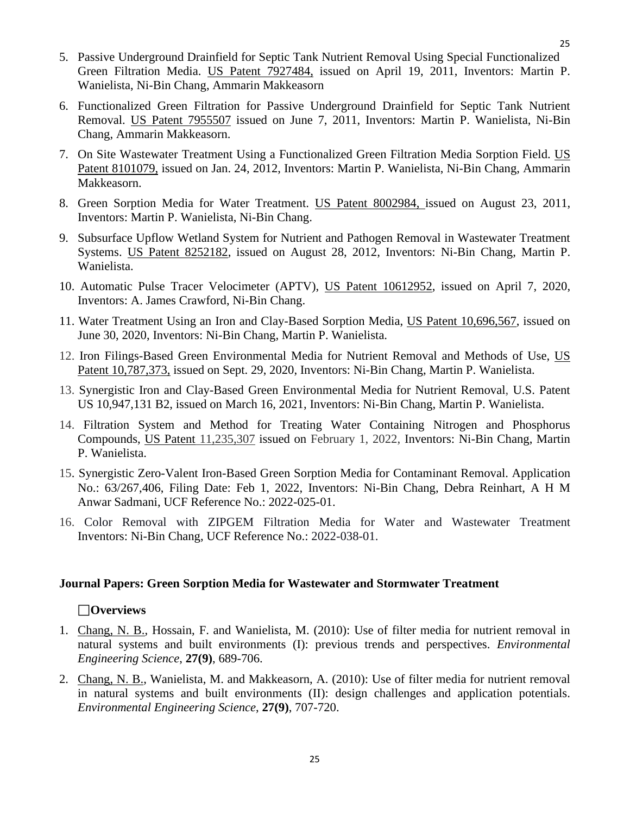- 5. Passive Underground Drainfield for Septic Tank Nutrient Removal Using Special Functionalized Green Filtration Media. US Patent 7927484, issued on April 19, 2011, Inventors: Martin P. Wanielista, Ni-Bin Chang, Ammarin Makkeasorn
- 6. Functionalized Green Filtration for Passive Underground Drainfield for Septic Tank Nutrient Removal. US Patent 7955507 issued on June 7, 2011, Inventors: Martin P. Wanielista, Ni-Bin Chang, Ammarin Makkeasorn.
- 7. On Site Wastewater Treatment Using a Functionalized Green Filtration Media Sorption Field. US Patent 8101079, issued on Jan. 24, 2012, Inventors: Martin P. Wanielista, Ni-Bin Chang, Ammarin Makkeasorn.
- 8. Green Sorption Media for Water Treatment. US Patent 8002984, issued on August 23, 2011, Inventors: Martin P. Wanielista, Ni-Bin Chang.
- 9. Subsurface Upflow Wetland System for Nutrient and Pathogen Removal in Wastewater Treatment Systems. US Patent 8252182, issued on August 28, 2012, Inventors: Ni-Bin Chang, Martin P. Wanielista.
- 10. Automatic Pulse Tracer Velocimeter (APTV), US Patent 10612952, issued on April 7, 2020, Inventors: A. James Crawford, Ni-Bin Chang.
- 11. Water Treatment Using an Iron and Clay-Based Sorption Media, US Patent 10,696,567, issued on June 30, 2020, Inventors: Ni-Bin Chang, Martin P. Wanielista.
- 12. Iron Filings-Based Green Environmental Media for Nutrient Removal and Methods of Use, US Patent 10,787,373, issued on Sept. 29, 2020, Inventors: Ni-Bin Chang, Martin P. Wanielista.
- 13. Synergistic Iron and Clay-Based Green Environmental Media for Nutrient Removal, U.S. Patent US 10,947,131 B2, issued on March 16, 2021, Inventors: Ni-Bin Chang, Martin P. Wanielista.
- 14. Filtration System and Method for Treating Water Containing Nitrogen and Phosphorus Compounds, US Patent 11,235,307 issued on February 1, 2022, Inventors: Ni-Bin Chang, Martin P. Wanielista.
- 15. Synergistic Zero-Valent Iron-Based Green Sorption Media for Contaminant Removal. Application No.: 63/267,406, Filing Date: Feb 1, 2022, Inventors: Ni-Bin Chang, Debra Reinhart, A H M Anwar Sadmani, UCF Reference No.: 2022-025-01.
- 16. Color Removal with ZIPGEM Filtration Media for Water and Wastewater Treatment Inventors: Ni-Bin Chang, UCF Reference No.: 2022-038-01.

#### <span id="page-24-0"></span>**Journal Papers: Green Sorption Media for Wastewater and Stormwater Treatment**

#### **Overviews**

- 1. Chang, N. B., Hossain, F. and Wanielista, M. (2010): Use of filter media for nutrient removal in natural systems and built environments (I): previous trends and perspectives. *Environmental Engineering Science*, **27(9)**, 689-706.
- 2. Chang, N. B., Wanielista, M. and Makkeasorn, A. (2010): Use of filter media for nutrient removal in natural systems and built environments (II): design challenges and application potentials. *Environmental Engineering Science*, **27(9)**, 707-720.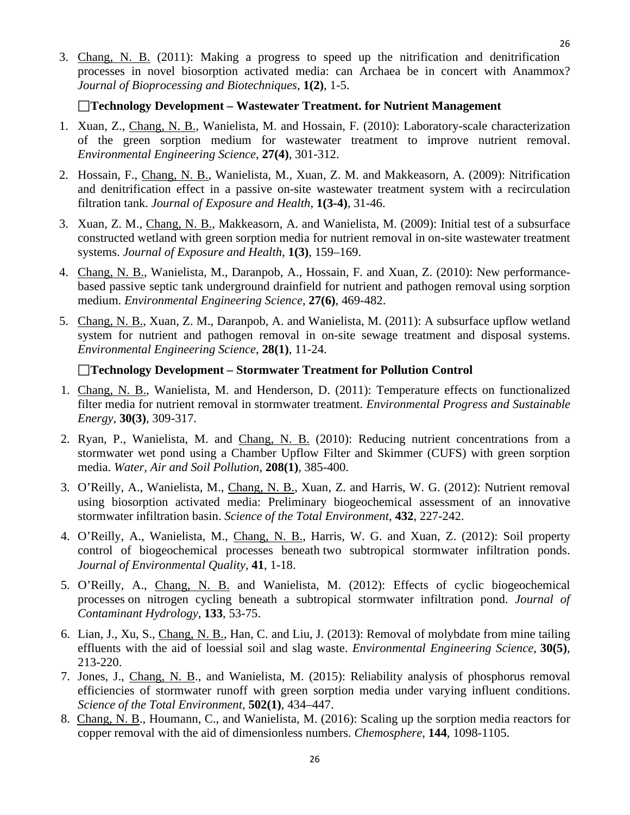3. Chang, N. B. (2011): Making a progress to speed up the nitrification and denitrification processes in novel biosorption activated media: can Archaea be in concert with Anammox? *Journal of Bioprocessing and Biotechniques*, **1(2)**, 1-5.

#### **Technology Development – Wastewater Treatment. for Nutrient Management**

- 1. Xuan, Z., Chang, N. B., Wanielista, M. and Hossain, F. (2010): Laboratory-scale characterization of the green sorption medium for wastewater treatment to improve nutrient removal. *Environmental Engineering Science*, **27(4)**, 301-312.
- 2. Hossain, F., Chang, N. B., Wanielista, M., Xuan, Z. M. and Makkeasorn, A. (2009): Nitrification and denitrification effect in a passive on-site wastewater treatment system with a recirculation filtration tank. *Journal of Exposure and Health*, **1(3-4)**, 31-46.
- 3. Xuan, Z. M., Chang, N. B., Makkeasorn, A. and Wanielista, M. (2009): Initial test of a subsurface constructed wetland with green sorption media for nutrient removal in on-site wastewater treatment systems. *Journal of Exposure and Health*, **1(3)**, 159–169.
- 4. Chang, N. B., Wanielista, M., Daranpob, A., Hossain, F. and Xuan, Z. (2010): New performancebased passive septic tank underground drainfield for nutrient and pathogen removal using sorption medium. *Environmental Engineering Science*, **27(6)**, 469-482.
- 5. Chang, N. B., Xuan, Z. M., Daranpob, A. and Wanielista, M. (2011): A subsurface upflow wetland system for nutrient and pathogen removal in on-site sewage treatment and disposal systems. *Environmental Engineering Science*, **28(1)**, 11-24.

## **Technology Development – Stormwater Treatment for Pollution Control**

- 1. Chang, N. B., Wanielista, M. and Henderson, D. (2011): Temperature effects on functionalized filter media for nutrient removal in stormwater treatment. *Environmental Progress and Sustainable Energy*, **30(3)**, 309-317.
- 2. Ryan, P., Wanielista, M. and Chang, N. B. (2010): Reducing nutrient concentrations from a stormwater wet pond using a Chamber Upflow Filter and Skimmer (CUFS) with green sorption media. *Water, Air and Soil Pollution*, **208(1)**, 385-400.
- 3. O'Reilly, A., Wanielista, M., Chang, N. B., Xuan, Z. and Harris, W. G. (2012): Nutrient removal using biosorption activated media: Preliminary biogeochemical assessment of an innovative stormwater infiltration basin. *Science of the Total Environment*, **432**, 227-242.
- 4. O'Reilly, A., Wanielista, M., Chang, N. B., Harris, W. G. and Xuan, Z. (2012): Soil property control of biogeochemical processes beneath two subtropical stormwater infiltration ponds. *Journal of Environmental Quality*, **41**, 1-18.
- 5. O'Reilly, A., Chang, N. B. and Wanielista, M. (2012): Effects of cyclic biogeochemical processes on nitrogen cycling beneath a subtropical stormwater infiltration pond. *Journal of Contaminant Hydrology*, **133**, 53-75.
- 6. Lian, J., Xu, S., Chang, N. B., Han, C. and Liu, J. (2013): Removal of molybdate from mine tailing effluents with the aid of loessial soil and slag waste. *Environmental Engineering Science*, **30(5)**, 213-220.
- 7. Jones, J., Chang, N. B., and Wanielista, M. (2015): Reliability analysis of phosphorus removal efficiencies of stormwater runoff with green sorption media under varying influent conditions. *Science of the Total Environment*, **502(1)**, 434–447.
- 8. Chang, N. B., Houmann, C., and Wanielista, M. (2016): Scaling up the sorption media reactors for copper removal with the aid of dimensionless numbers. *Chemosphere*, **144**, 1098-1105.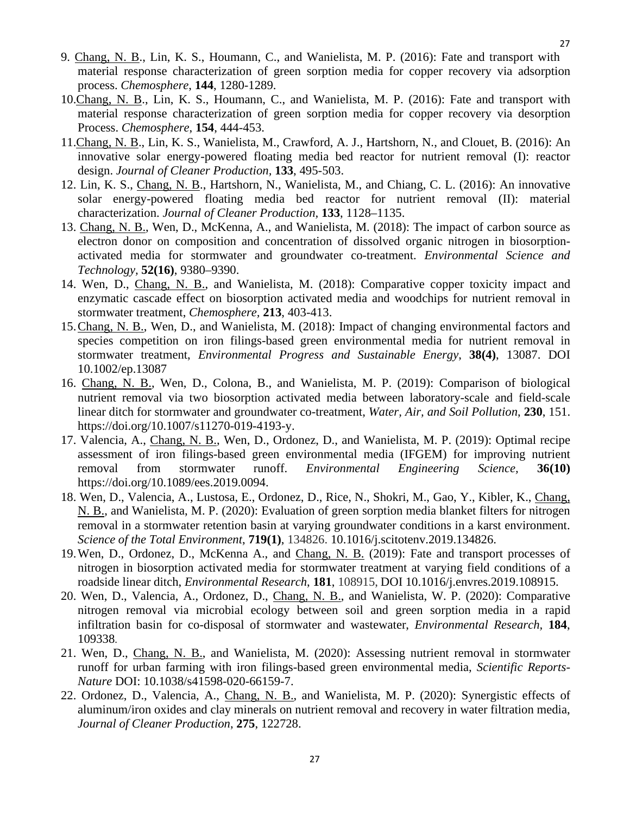- 9. Chang, N. B., Lin, K. S., Houmann, C., and Wanielista, M. P. (2016): Fate and transport with material response characterization of green sorption media for copper recovery via adsorption process. *Chemosphere*, **144**, 1280-1289.
- 10.Chang, N. B., Lin, K. S., Houmann, C., and Wanielista, M. P. (2016): Fate and transport with material response characterization of green sorption media for copper recovery via desorption Process. *Chemosphere*, **154**, 444-453.
- 11.Chang, N. B., Lin, K. S., Wanielista, M., Crawford, A. J., Hartshorn, N., and Clouet, B. (2016): An innovative solar energy-powered floating media bed reactor for nutrient removal (I): reactor design. *Journal of Cleaner Production,* **133**, 495-503.
- 12. Lin, K. S., Chang, N. B., Hartshorn, N., Wanielista, M., and Chiang, C. L. (2016): An innovative solar energy-powered floating media bed reactor for nutrient removal (II): material characterization. *Journal of Cleaner Production,* **133**, 1128–1135.
- 13. Chang, N. B., Wen, D., McKenna, A., and Wanielista, M. (2018): The impact of carbon source as electron donor on composition and concentration of dissolved organic nitrogen in biosorptionactivated media for stormwater and groundwater co-treatment. *Environmental Science and Technology,* **52(16)**, 9380–9390.
- 14. Wen, D., Chang, N. B., and Wanielista, M. (2018): Comparative copper toxicity impact and enzymatic cascade effect on biosorption activated media and woodchips for nutrient removal in stormwater treatment, *Chemosphere,* **213**, 403-413.
- 15.Chang, N. B., Wen, D., and Wanielista, M. (2018): Impact of changing environmental factors and species competition on iron filings-based green environmental media for nutrient removal in stormwater treatment, *Environmental Progress and Sustainable Energy*, **38(4)**, 13087. DOI 10.1002/ep.13087
- 16. Chang, N. B., Wen, D., Colona, B., and Wanielista, M. P. (2019): Comparison of biological nutrient removal via two biosorption activated media between laboratory-scale and field-scale linear ditch for stormwater and groundwater co-treatment, *Water, Air, and Soil Pollution*, **230**, 151. https://doi.org/10.1007/s11270-019-4193-y.
- 17. Valencia, A., Chang, N. B., Wen, D., Ordonez, D., and Wanielista, M. P. (2019): Optimal recipe assessment of iron filings-based green environmental media (IFGEM) for improving nutrient removal from stormwater runoff. *Environmental Engineering Science,* **36(10)** https://doi.org/10.1089/ees.2019.0094.
- 18. Wen, D., Valencia, A., Lustosa, E., Ordonez, D., Rice, N., Shokri, M., Gao, Y., Kibler, K., Chang, N. B., and Wanielista, M. P. (2020): Evaluation of green sorption media blanket filters for nitrogen removal in a stormwater retention basin at varying groundwater conditions in a karst environment. *Science of the Total Environment*, **719(1)**, 134826. 10.1016/j.scitotenv.2019.134826.
- 19.Wen, D., Ordonez, D., McKenna A., and Chang, N. B. (2019): Fate and transport processes of nitrogen in biosorption activated media for stormwater treatment at varying field conditions of a roadside linear ditch, *Environmental Research*, **181**, 108915, DOI 10.1016/j.envres.2019.108915.
- 20. Wen, D., Valencia, A., Ordonez, D., Chang, N. B., and Wanielista, W. P. (2020): Comparative nitrogen removal via microbial ecology between soil and green sorption media in a rapid infiltration basin for co-disposal of stormwater and wastewater, *Environmental Research,* **184**, 109338.
- 21. Wen, D., Chang, N. B., and Wanielista, M. (2020): Assessing nutrient removal in stormwater runoff for urban farming with iron filings-based green environmental media, *Scientific Reports-Nature* DOI: 10.1038/s41598-020-66159-7.
- 22. Ordonez, D., Valencia, A., Chang, N. B., and Wanielista, M. P. (2020): Synergistic effects of aluminum/iron oxides and clay minerals on nutrient removal and recovery in water filtration media, *Journal of Cleaner Production*, **275**, 122728.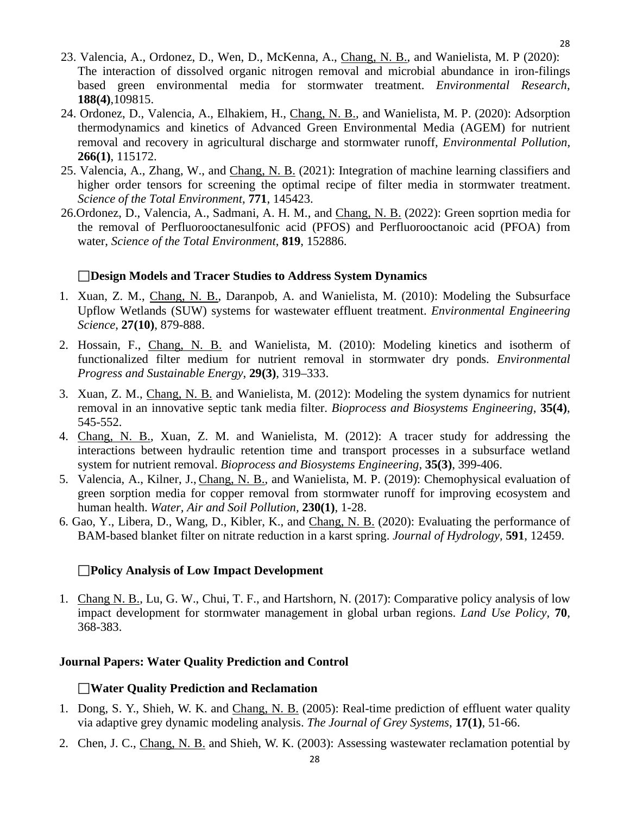28

- 23. Valencia, A., Ordonez, D., Wen, D., McKenna, A., Chang, N. B., and Wanielista, M. P (2020): The interaction of dissolved organic nitrogen removal and microbial abundance in iron-filings based green environmental media for stormwater treatment. *Environmental Research*, **188(4)**,109815.
- 24. Ordonez, D., Valencia, A., Elhakiem, H., Chang, N. B., and Wanielista, M. P. (2020): Adsorption thermodynamics and kinetics of Advanced Green Environmental Media (AGEM) for nutrient removal and recovery in agricultural discharge and stormwater runoff, *Environmental Pollution*, **266(1)**, 115172.
- 25. Valencia, A., Zhang, W., and Chang, N. B. (2021): Integration of machine learning classifiers and higher order tensors for screening the optimal recipe of filter media in stormwater treatment. *Science of the Total Environment*, **771**, 145423.
- 26.Ordonez, D., Valencia, A., Sadmani, A. H. M., and Chang, N. B. (2022): Green soprtion media for the removal of Perfluorooctanesulfonic acid (PFOS) and Perfluorooctanoic acid (PFOA) from water, *Science of the Total Environment*, **819**, 152886.

#### **Design Models and Tracer Studies to Address System Dynamics**

- 1. Xuan, Z. M., Chang, N. B., Daranpob, A. and Wanielista, M. (2010): Modeling the Subsurface Upflow Wetlands (SUW) systems for wastewater effluent treatment. *Environmental Engineering Science*, **27(10)**, 879-888.
- 2. Hossain, F., Chang, N. B. and Wanielista, M. (2010): Modeling kinetics and isotherm of functionalized filter medium for nutrient removal in stormwater dry ponds. *Environmental Progress and Sustainable Energy*, **29(3)**, 319–333.
- 3. Xuan, Z. M., Chang, N. B. and Wanielista, M. (2012): Modeling the system dynamics for nutrient removal in an innovative septic tank media filter. *Bioprocess and Biosystems Engineering*, **35(4)**, 545-552.
- 4. Chang, N. B., Xuan, Z. M. and Wanielista, M. (2012): A tracer study for addressing the interactions between hydraulic retention time and transport processes in a subsurface wetland system for nutrient removal. *Bioprocess and Biosystems Engineering*, **35(3)**, 399-406.
- 5. Valencia, A., Kilner, J., Chang, N. B., and Wanielista, M. P. (2019): Chemophysical evaluation of green sorption media for copper removal from stormwater runoff for improving ecosystem and human health. *Water, Air and Soil Pollution,* **230(1)**, 1-28.
- 6. Gao, Y., Libera, D., Wang, D., Kibler, K., and Chang, N. B. (2020): Evaluating the performance of BAM-based blanket filter on nitrate reduction in a karst spring. *Journal of Hydrology,* **591**, 12459.

#### **Policy Analysis of Low Impact Development**

1. Chang N. B., Lu, G. W., Chui, T. F., and Hartshorn, N. (2017): Comparative policy analysis of low impact development for stormwater management in global urban regions. *Land Use Policy,* **70**, 368-383.

#### <span id="page-27-0"></span>**Journal Papers: Water Quality Prediction and Control**

#### **Water Quality Prediction and Reclamation**

- 1. Dong, S. Y., Shieh, W. K. and Chang, N. B. (2005): Real-time prediction of effluent water quality via adaptive grey dynamic modeling analysis. *The Journal of Grey Systems*, **17(1)**, 51-66.
- 2. Chen, J. C., Chang, N. B. and Shieh, W. K. (2003): Assessing wastewater reclamation potential by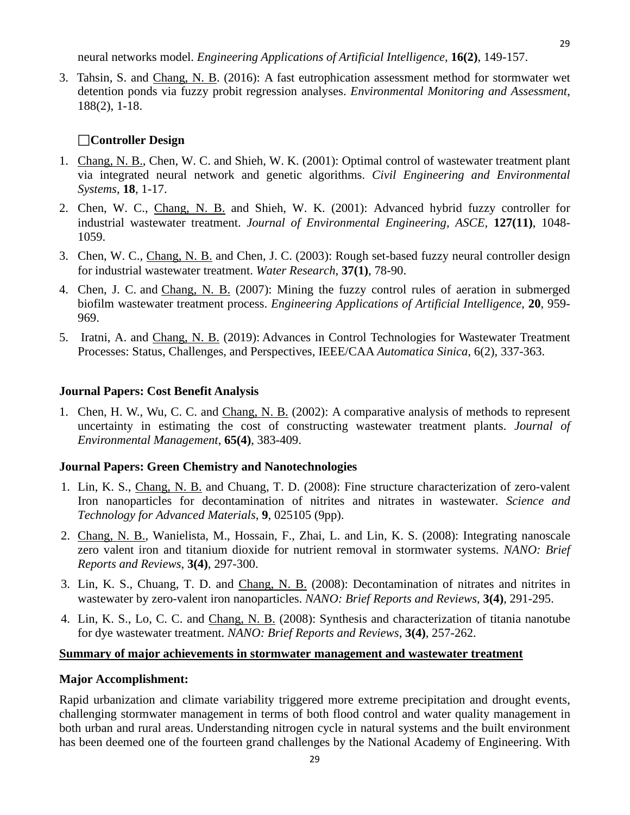neural networks model. *Engineering Applications of Artificial Intelligence*, **16(2)**, 149-157.

3. Tahsin, S. and Chang, N. B. (2016): A fast eutrophication assessment method for stormwater wet detention ponds via fuzzy probit regression analyses. *Environmental Monitoring and Assessment*, 188(2), 1-18.

## **Controller Design**

- 1. Chang, N. B., Chen, W. C. and Shieh, W. K. (2001): Optimal control of wastewater treatment plant via integrated neural network and genetic algorithms. *Civil Engineering and Environmental Systems*, **18**, 1-17.
- 2. Chen, W. C., Chang, N. B. and Shieh, W. K. (2001): Advanced hybrid fuzzy controller for industrial wastewater treatment. *Journal of Environmental Engineering, ASCE,* **127(11)**, 1048- 1059.
- 3. Chen, W. C., Chang, N. B. and Chen, J. C. (2003): Rough set-based fuzzy neural controller design for industrial wastewater treatment. *Water Research*, **37(1)**, 78-90.
- 4. Chen, J. C. and Chang, N. B. (2007): Mining the fuzzy control rules of aeration in submerged biofilm wastewater treatment process. *Engineering Applications of Artificial Intelligence*, **20**, 959- 969.
- 5. Iratni, A. and Chang, N. B. (2019): Advances in Control Technologies for Wastewater Treatment Processes: Status, Challenges, and Perspectives, IEEE/CAA *Automatica Sinica*, 6(2), 337-363.

## **Journal Papers: Cost Benefit Analysis**

1. Chen, H. W., Wu, C. C. and Chang, N. B. (2002): A comparative analysis of methods to represent uncertainty in estimating the cost of constructing wastewater treatment plants. *Journal of Environmental Management*, **65(4)**, 383-409.

#### **Journal Papers: Green Chemistry and Nanotechnologies**

- 1. Lin, K. S., Chang, N. B. and Chuang, T. D. (2008): Fine structure characterization of zero-valent Iron nanoparticles for decontamination of nitrites and nitrates in wastewater. *Science and Technology for Advanced Materials*, **9**, 025105 (9pp).
- 2. Chang, N. B., Wanielista, M., Hossain, F., Zhai, L. and Lin, K. S. (2008): Integrating nanoscale zero valent iron and titanium dioxide for nutrient removal in stormwater systems. *NANO: Brief Reports and Reviews*, **3(4)**, 297-300.
- 3. Lin, K. S., Chuang, T. D. and Chang, N. B. (2008): Decontamination of nitrates and nitrites in wastewater by zero-valent iron nanoparticles. *NANO: Brief Reports and Reviews*, **3(4)**, 291-295.
- 4. Lin, K. S., Lo, C. C. and Chang, N. B. (2008): Synthesis and characterization of titania nanotube for dye wastewater treatment. *NANO: Brief Reports and Reviews*, **3(4)**, 257-262.

#### **Summary of major achievements in stormwater management and wastewater treatment**

#### **Major Accomplishment:**

Rapid urbanization and climate variability triggered more extreme precipitation and drought events, challenging stormwater management in terms of both flood control and water quality management in both urban and rural areas. Understanding nitrogen cycle in natural systems and the built environment has been deemed one of the fourteen grand challenges by the National Academy of Engineering. With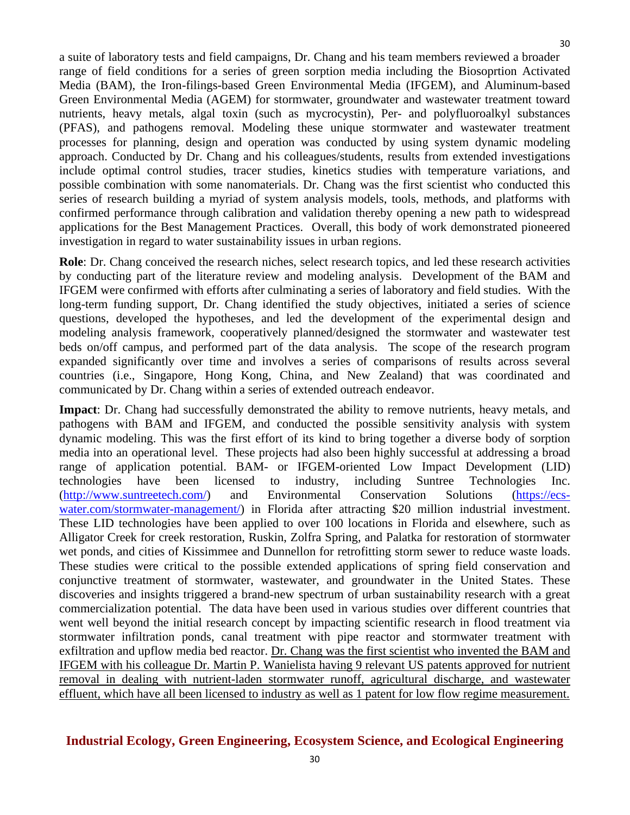a suite of laboratory tests and field campaigns, Dr. Chang and his team members reviewed a broader range of field conditions for a series of green sorption media including the Biosoprtion Activated Media (BAM), the Iron-filings-based Green Environmental Media (IFGEM), and Aluminum-based Green Environmental Media (AGEM) for stormwater, groundwater and wastewater treatment toward nutrients, heavy metals, algal toxin (such as mycrocystin), Per- and polyfluoroalkyl substances (PFAS), and pathogens removal. Modeling these unique stormwater and wastewater treatment processes for planning, design and operation was conducted by using system dynamic modeling approach. Conducted by Dr. Chang and his colleagues/students, results from extended investigations include optimal control studies, tracer studies, kinetics studies with temperature variations, and possible combination with some nanomaterials. Dr. Chang was the first scientist who conducted this series of research building a myriad of system analysis models, tools, methods, and platforms with confirmed performance through calibration and validation thereby opening a new path to widespread applications for the Best Management Practices. Overall, this body of work demonstrated pioneered investigation in regard to water sustainability issues in urban regions.

**Role**: Dr. Chang conceived the research niches, select research topics, and led these research activities by conducting part of the literature review and modeling analysis. Development of the BAM and IFGEM were confirmed with efforts after culminating a series of laboratory and field studies. With the long-term funding support, Dr. Chang identified the study objectives, initiated a series of science questions, developed the hypotheses, and led the development of the experimental design and modeling analysis framework, cooperatively planned/designed the stormwater and wastewater test beds on/off campus, and performed part of the data analysis. The scope of the research program expanded significantly over time and involves a series of comparisons of results across several countries (i.e., Singapore, Hong Kong, China, and New Zealand) that was coordinated and communicated by Dr. Chang within a series of extended outreach endeavor.

**Impact**: Dr. Chang had successfully demonstrated the ability to remove nutrients, heavy metals, and pathogens with BAM and IFGEM, and conducted the possible sensitivity analysis with system dynamic modeling. This was the first effort of its kind to bring together a diverse body of sorption media into an operational level. These projects had also been highly successful at addressing a broad range of application potential. BAM- or IFGEM-oriented Low Impact Development (LID) technologies have been licensed to industry, including Suntree Technologies Inc. [\(http://www.suntreetech.com/\)](http://www.suntreetech.com/) and Environmental Conservation Solutions [\(https://ecs](https://ecs-water.com/stormwater-management/)[water.com/stormwater-management/\)](https://ecs-water.com/stormwater-management/) in Florida after attracting \$20 million industrial investment. These LID technologies have been applied to over 100 locations in Florida and elsewhere, such as Alligator Creek for creek restoration, Ruskin, Zolfra Spring, and Palatka for restoration of stormwater wet ponds, and cities of Kissimmee and Dunnellon for retrofitting storm sewer to reduce waste loads. These studies were critical to the possible extended applications of spring field conservation and conjunctive treatment of stormwater, wastewater, and groundwater in the United States. These discoveries and insights triggered a brand-new spectrum of urban sustainability research with a great commercialization potential. The data have been used in various studies over different countries that went well beyond the initial research concept by impacting scientific research in flood treatment via stormwater infiltration ponds, canal treatment with pipe reactor and stormwater treatment with exfiltration and upflow media bed reactor. Dr. Chang was the first scientist who invented the BAM and IFGEM with his colleague Dr. Martin P. Wanielista having 9 relevant US patents approved for nutrient removal in dealing with nutrient-laden stormwater runoff, agricultural discharge, and wastewater effluent, which have all been licensed to industry as well as 1 patent for low flow regime measurement.

## <span id="page-29-0"></span>**Industrial Ecology, Green Engineering, Ecosystem Science, and Ecological Engineering**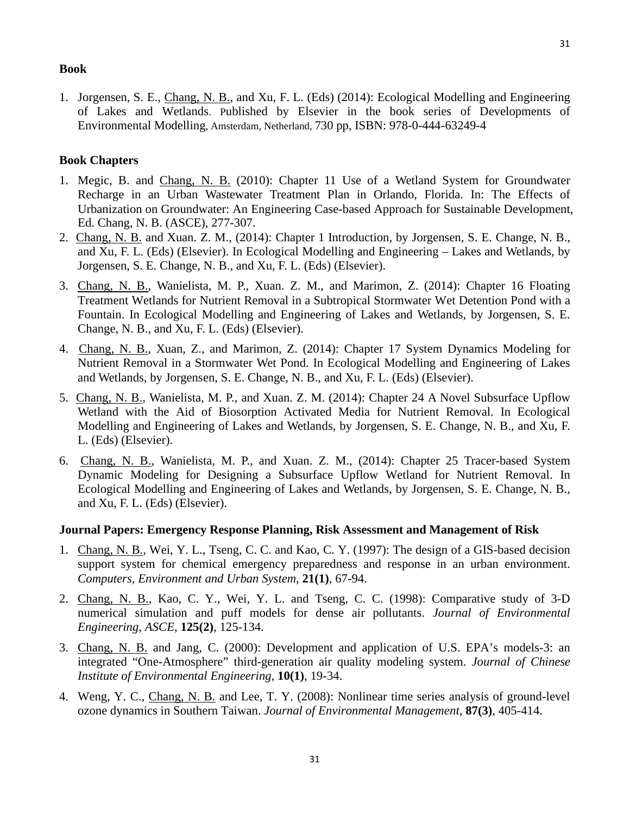## **Book**

1. Jorgensen, S. E., Chang, N. B., and Xu, F. L. (Eds) (2014): Ecological Modelling and Engineering of Lakes and Wetlands. Published by Elsevier in the book series of Developments of Environmental Modelling, Amsterdam, Netherland, 730 pp, ISBN: 978-0-444-63249-4

#### <span id="page-30-0"></span>**Book Chapters**

- 1. Megic, B. and Chang, N. B. (2010): Chapter 11 Use of a Wetland System for Groundwater Recharge in an Urban Wastewater Treatment Plan in Orlando, Florida. In: The Effects of Urbanization on Groundwater: An Engineering Case-based Approach for Sustainable Development, Ed. Chang, N. B. (ASCE), 277-307.
- 2. Chang, N. B. and Xuan. Z. M., (2014): Chapter 1 Introduction, by Jorgensen, S. E. Change, N. B., and Xu, F. L. (Eds) (Elsevier). In Ecological Modelling and Engineering – Lakes and Wetlands, by Jorgensen, S. E. Change, N. B., and Xu, F. L. (Eds) (Elsevier).
- 3. Chang, N. B., Wanielista, M. P., Xuan. Z. M., and Marimon, Z. (2014): Chapter 16 Floating Treatment Wetlands for Nutrient Removal in a Subtropical Stormwater Wet Detention Pond with a Fountain. In Ecological Modelling and Engineering of Lakes and Wetlands, by Jorgensen, S. E. Change, N. B., and Xu, F. L. (Eds) (Elsevier).
- 4. Chang, N. B., Xuan, Z., and Marimon, Z. (2014): Chapter 17 System Dynamics Modeling for Nutrient Removal in a Stormwater Wet Pond. In Ecological Modelling and Engineering of Lakes and Wetlands, by Jorgensen, S. E. Change, N. B., and Xu, F. L. (Eds) (Elsevier).
- 5. Chang, N. B., Wanielista, M. P., and Xuan. Z. M. (2014): Chapter 24 A Novel Subsurface Upflow Wetland with the Aid of Biosorption Activated Media for Nutrient Removal. In Ecological Modelling and Engineering of Lakes and Wetlands, by Jorgensen, S. E. Change, N. B., and Xu, F. L. (Eds) (Elsevier).
- 6. Chang, N. B., Wanielista, M. P., and Xuan. Z. M., (2014): Chapter 25 Tracer-based System Dynamic Modeling for Designing a Subsurface Upflow Wetland for Nutrient Removal. In Ecological Modelling and Engineering of Lakes and Wetlands, by Jorgensen, S. E. Change, N. B., and Xu, F. L. (Eds) (Elsevier).

#### **Journal Papers: Emergency Response Planning, Risk Assessment and Management of Risk**

- 1. Chang, N. B., Wei, Y. L., Tseng, C. C. and Kao, C. Y. (1997): The design of a GIS-based decision support system for chemical emergency preparedness and response in an urban environment. *Computers, Environment and Urban System*, **21(1)**, 67-94.
- 2. Chang, N. B., Kao, C. Y., Wei, Y. L. and Tseng, C. C. (1998): Comparative study of 3-D numerical simulation and puff models for dense air pollutants. *Journal of Environmental Engineering, ASCE*, **125(2)**, 125-134.
- 3. Chang, N. B. and Jang, C. (2000): Development and application of U.S. EPA's models-3: an integrated "One-Atmosphere" third-generation air quality modeling system. *Journal of Chinese Institute of Environmental Engineering*, **10(1)**, 19-34.
- 4. Weng, Y. C., Chang, N. B. and Lee, T. Y. (2008): Nonlinear time series analysis of ground-level ozone dynamics in Southern Taiwan. *Journal of Environmental Management*, **87(3)**, 405-414.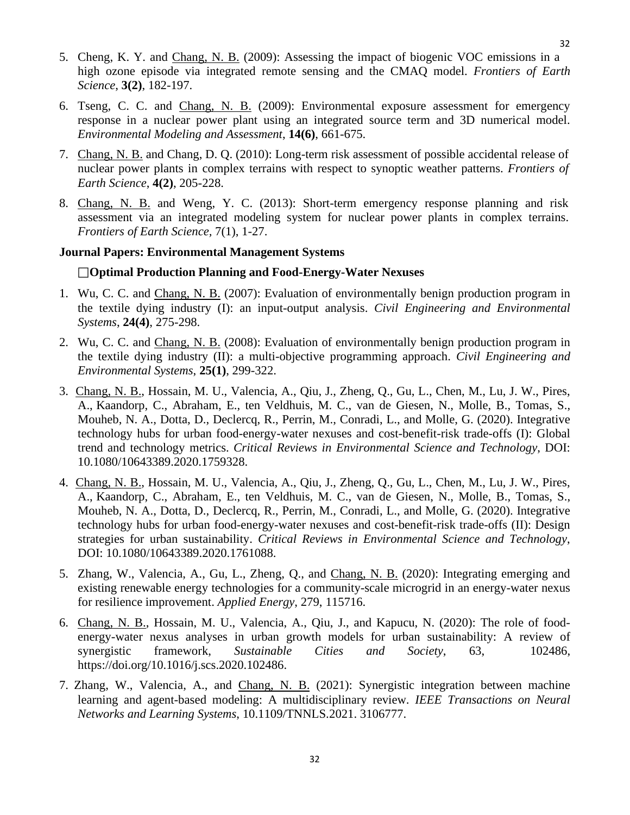- 5. Cheng, K. Y. and Chang, N. B. (2009): Assessing the impact of biogenic VOC emissions in a high ozone episode via integrated remote sensing and the CMAQ model. *Frontiers of Earth Science*, **3(2)**, 182-197.
- 6. Tseng, C. C. and Chang, N. B. (2009): Environmental exposure assessment for emergency response in a nuclear power plant using an integrated source term and 3D numerical model. *Environmental Modeling and Assessment*, **14(6)**, 661-675.
- 7. Chang, N. B. and Chang, D. Q. (2010): Long-term risk assessment of possible accidental release of nuclear power plants in complex terrains with respect to synoptic weather patterns. *Frontiers of Earth Science*, **4(2)**, 205-228.
- 8. Chang, N. B. and Weng, Y. C. (2013): Short-term emergency response planning and risk assessment via an integrated modeling system for nuclear power plants in complex terrains. *Frontiers of Earth Science,* 7(1), 1-27.

#### **Journal Papers: Environmental Management Systems**

#### **Optimal Production Planning and Food-Energy-Water Nexuses**

- 1. Wu, C. C. and Chang, N. B. (2007): Evaluation of environmentally benign production program in the textile dying industry (I): an input-output analysis. *Civil Engineering and Environmental Systems*, **24(4)**, 275-298.
- 2. Wu, C. C. and Chang, N. B. (2008): Evaluation of environmentally benign production program in the textile dying industry (II): a multi-objective programming approach. *Civil Engineering and Environmental Systems*, **25(1)**, 299-322.
- 3. Chang, N. B., Hossain, M. U., Valencia, A., Qiu, J., Zheng, Q., Gu, L., Chen, M., Lu, J. W., Pires, A., Kaandorp, C., Abraham, E., ten Veldhuis, M. C., van de Giesen, N., Molle, B., Tomas, S., Mouheb, N. A., Dotta, D., Declercq, R., Perrin, M., Conradi, L., and Molle, G. (2020). Integrative technology hubs for urban food-energy-water nexuses and cost-benefit-risk trade-offs (I): Global trend and technology metrics. *Critical Reviews in Environmental Science and Technology*, DOI: 10.1080/10643389.2020.1759328.
- 4. Chang, N. B., Hossain, M. U., Valencia, A., Qiu, J., Zheng, Q., Gu, L., Chen, M., Lu, J. W., Pires, A., Kaandorp, C., Abraham, E., ten Veldhuis, M. C., van de Giesen, N., Molle, B., Tomas, S., Mouheb, N. A., Dotta, D., Declercq, R., Perrin, M., Conradi, L., and Molle, G. (2020). Integrative technology hubs for urban food-energy-water nexuses and cost-benefit-risk trade-offs (II): Design strategies for urban sustainability. *Critical Reviews in Environmental Science and Technology*, DOI: 10.1080/10643389.2020.1761088.
- 5. Zhang, W., Valencia, A., Gu, L., Zheng, Q., and Chang, N. B. (2020): Integrating emerging and existing renewable energy technologies for a community-scale microgrid in an energy-water nexus for resilience improvement. *Applied Energy*, 279, 115716.
- 6. Chang, N. B., Hossain, M. U., Valencia, A., Qiu, J., and Kapucu, N. (2020): The role of foodenergy-water nexus analyses in urban growth models for urban sustainability: A review of synergistic framework, *Sustainable Cities and Society*, 63, 102486, https://doi.org/10.1016/j.scs.2020.102486.
- 7. Zhang, W., Valencia, A., and Chang, N. B. (2021): Synergistic integration between machine learning and agent-based modeling: A multidisciplinary review. *IEEE Transactions on Neural Networks and Learning Systems*, 10.1109/TNNLS.2021. 3106777.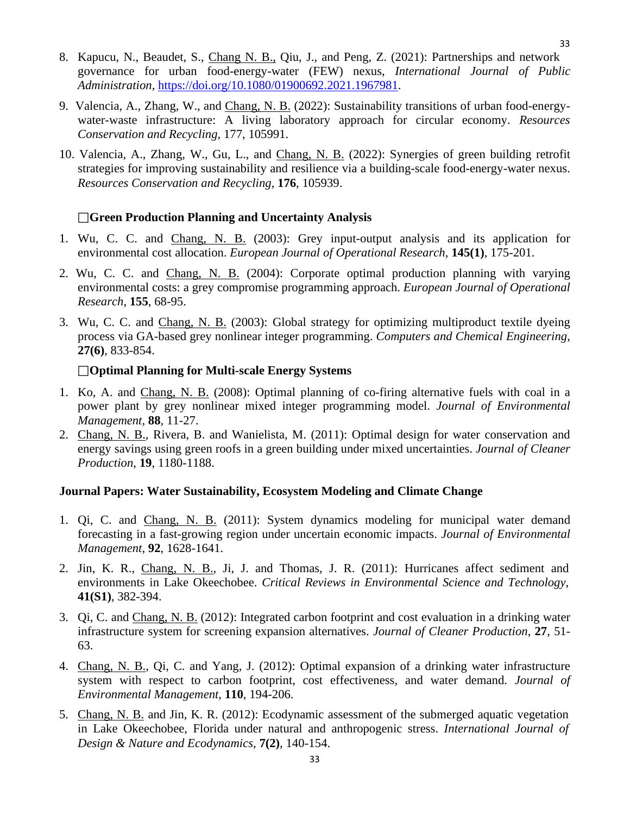- 8. Kapucu, N., Beaudet, S., Chang N. B., Qiu, J., and Peng, Z. (2021): Partnerships and network governance for urban food-energy-water (FEW) nexus, *International Journal of Public Administration,* [https://doi.org/10.1080/01900692.2021.1967981.](https://doi.org/10.1080/01900692.2021.1967981)
- 9. Valencia, A., Zhang, W., and Chang, N. B. (2022): Sustainability transitions of urban food-energywater-waste infrastructure: A living laboratory approach for circular economy. *Resources Conservation and Recycling,* 177, 105991.
- 10. Valencia, A., Zhang, W., Gu, L., and Chang, N. B. (2022): Synergies of green building retrofit strategies for improving sustainability and resilience via a building-scale food-energy-water nexus. *Resources Conservation and Recycling,* **176**, 105939.

## **Green Production Planning and Uncertainty Analysis**

- 1. Wu, C. C. and Chang, N. B. (2003): Grey input-output analysis and its application for environmental cost allocation. *European Journal of Operational Research*, **145(1)**, 175-201.
- 2. Wu, C. C. and Chang, N. B. (2004): Corporate optimal production planning with varying environmental costs: a grey compromise programming approach. *European Journal of Operational Research*, **155**, 68-95.
- 3. Wu, C. C. and Chang, N. B. (2003): Global strategy for optimizing multiproduct textile dyeing process via GA-based grey nonlinear integer programming. *Computers and Chemical Engineering*, **27(6)**, 833-854.

#### **Optimal Planning for Multi-scale Energy Systems**

- 1. Ko, A. and Chang, N. B. (2008): Optimal planning of co-firing alternative fuels with coal in a power plant by grey nonlinear mixed integer programming model. *Journal of Environmental Management,* **88**, 11-27.
- 2. Chang, N. B., Rivera, B. and Wanielista, M. (2011): Optimal design for water conservation and energy savings using green roofs in a green building under mixed uncertainties. *Journal of Cleaner Production*, **19**, 1180-1188.

#### **Journal Papers: Water Sustainability, Ecosystem Modeling and Climate Change**

- 1. Qi, C. and Chang, N. B. (2011): System dynamics modeling for municipal water demand forecasting in a fast-growing region under uncertain economic impacts. *Journal of Environmental Management,* **92**, 1628-1641.
- 2. Jin, K. R., Chang, N. B., Ji, J. and Thomas, J. R. (2011): Hurricanes affect sediment and environments in Lake Okeechobee. *Critical Reviews in Environmental Science and Technology*, **41(S1)**, 382-394.
- 3. Qi, C. and Chang, N. B. (2012): Integrated carbon footprint and cost evaluation in a drinking water infrastructure system for screening expansion alternatives. *Journal of Cleaner Production*, **27**, 51- 63.
- 4. Chang, N. B., Qi, C. and Yang, J. (2012): Optimal expansion of a drinking water infrastructure system with respect to carbon footprint, cost effectiveness, and water demand. *Journal of Environmental Management*, **110**, 194-206.
- 5. Chang, N. B. and Jin, K. R. (2012): Ecodynamic assessment of the submerged aquatic vegetation in Lake Okeechobee, Florida under natural and anthropogenic stress. *International Journal of Design & Nature and Ecodynamics*, **7(2)**, 140-154.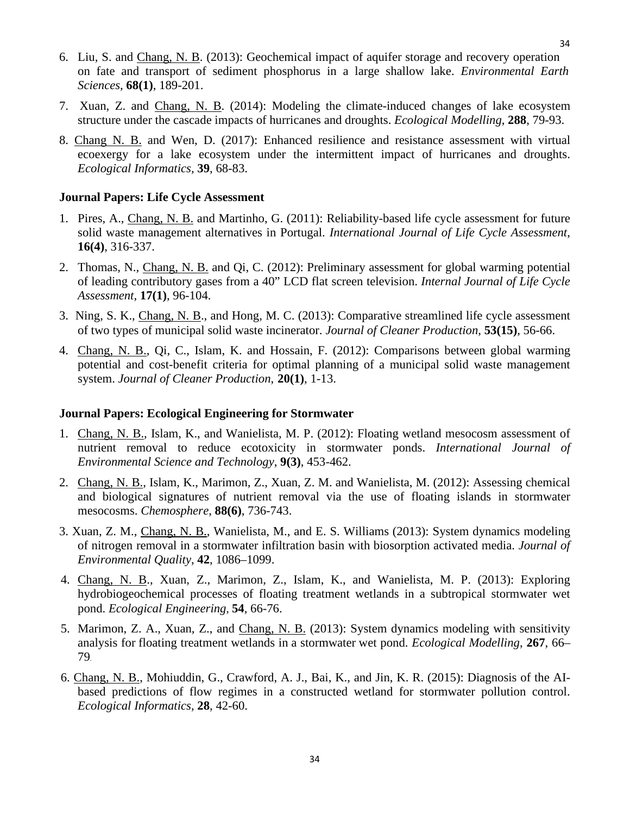- 6. Liu, S. and Chang, N. B. (2013): Geochemical impact of aquifer storage and recovery operation on fate and transport of sediment phosphorus in a large shallow lake. *Environmental Earth Sciences*, **68(1)**, 189-201.
- 7. Xuan, Z. and Chang, N. B. (2014): Modeling the climate-induced changes of lake ecosystem structure under the cascade impacts of hurricanes and droughts. *Ecological Modelling*, **288**, 79-93.
- 8. Chang N. B. and Wen, D. (2017): Enhanced resilience and resistance assessment with virtual ecoexergy for a lake ecosystem under the intermittent impact of hurricanes and droughts. *Ecological Informatics,* **39**, 68-83.

#### **Journal Papers: Life Cycle Assessment**

- 1. Pires, A., Chang, N. B. and Martinho, G. (2011): Reliability-based life cycle assessment for future solid waste management alternatives in Portugal. *International Journal of Life Cycle Assessment*, **16(4)**, 316-337.
- 2. Thomas, N., Chang, N. B. and Qi, C. (2012): Preliminary assessment for global warming potential of leading contributory gases from a 40" LCD flat screen television. *Internal Journal of Life Cycle Assessment*, **17(1)**, 96-104.
- 3. Ning, S. K., Chang, N. B., and Hong, M. C. (2013): Comparative streamlined life cycle assessment of two types of municipal solid waste incinerator. *Journal of Cleaner Production*, **53(15)**, 56-66.
- 4. Chang, N. B., Qi, C., Islam, K. and Hossain, F. (2012): Comparisons between global warming potential and cost-benefit criteria for optimal planning of a municipal solid waste management system. *Journal of Cleaner Production*, **20(1)**, 1-13.

#### **Journal Papers: Ecological Engineering for Stormwater**

- 1. Chang, N. B., Islam, K., and Wanielista, M. P. (2012): Floating wetland mesocosm assessment of nutrient removal to reduce ecotoxicity in stormwater ponds. *International Journal of Environmental Science and Technology*, **9(3)**, 453-462.
- 2. Chang, N. B., Islam, K., Marimon, Z., Xuan, Z. M. and Wanielista, M. (2012): Assessing chemical and biological signatures of nutrient removal via the use of floating islands in stormwater mesocosms. *Chemosphere*, **88(6)**, 736-743.
- 3. Xuan, Z. M., Chang, N. B., Wanielista, M., and E. S. Williams (2013): System dynamics modeling of nitrogen removal in a stormwater infiltration basin with biosorption activated media. *Journal of Environmental Quality*, **42**, 1086–1099.
- 4. Chang, N. B., Xuan, Z., Marimon, Z., Islam, K., and Wanielista, M. P. (2013): Exploring hydrobiogeochemical processes of floating treatment wetlands in a subtropical stormwater wet pond. *Ecological Engineering*, **54**, 66-76.
- 5. Marimon, Z. A., Xuan, Z., and Chang, N. B. (2013): System dynamics modeling with sensitivity analysis for floating treatment wetlands in a stormwater wet pond. *Ecological Modelling*, **267**, 66– 79.
- 6. Chang, N. B., Mohiuddin, G., Crawford, A. J., Bai, K., and Jin, K. R. (2015): Diagnosis of the AIbased predictions of flow regimes in a constructed wetland for stormwater pollution control. *Ecological Informatics*, **28**, 42-60.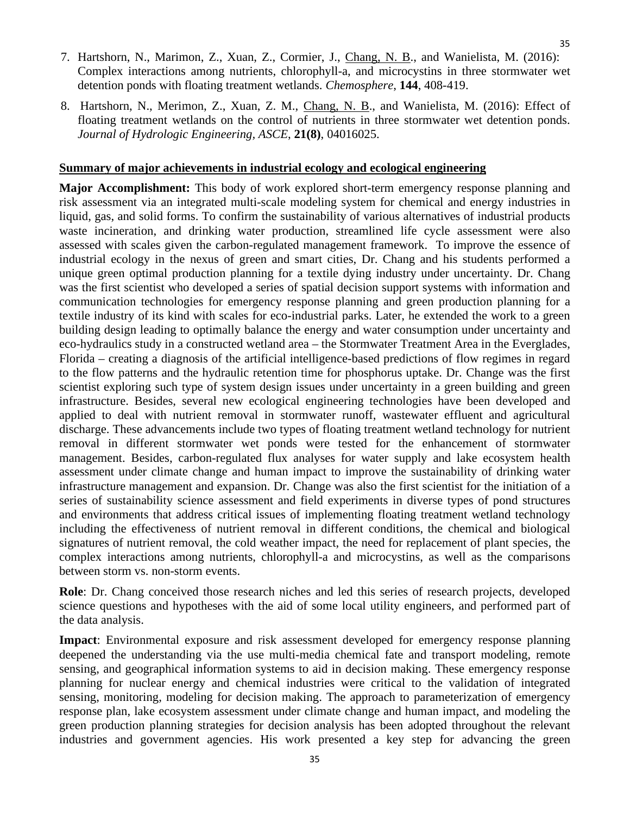- 7. Hartshorn, N., Marimon, Z., Xuan, Z., Cormier, J., Chang, N. B., and Wanielista, M. (2016): Complex interactions among nutrients, chlorophyll-a, and microcystins in three stormwater wet detention ponds with floating treatment wetlands. *Chemosphere*, **144**, 408-419.
- 8. Hartshorn, N., Merimon, Z., Xuan, Z. M., Chang, N. B., and Wanielista, M. (2016): Effect of floating treatment wetlands on the control of nutrients in three stormwater wet detention ponds. *Journal of Hydrologic Engineering, ASCE*, **21(8)**, 04016025.

#### **Summary of major achievements in industrial ecology and ecological engineering**

**Major Accomplishment:** This body of work explored short-term emergency response planning and risk assessment via an integrated multi-scale modeling system for chemical and energy industries in liquid, gas, and solid forms. To confirm the sustainability of various alternatives of industrial products waste incineration, and drinking water production, streamlined life cycle assessment were also assessed with scales given the carbon-regulated management framework. To improve the essence of industrial ecology in the nexus of green and smart cities, Dr. Chang and his students performed a unique green optimal production planning for a textile dying industry under uncertainty. Dr. Chang was the first scientist who developed a series of spatial decision support systems with information and communication technologies for emergency response planning and green production planning for a textile industry of its kind with scales for eco-industrial parks. Later, he extended the work to a green building design leading to optimally balance the energy and water consumption under uncertainty and eco-hydraulics study in a constructed wetland area – the Stormwater Treatment Area in the Everglades, Florida – creating a diagnosis of the artificial intelligence-based predictions of flow regimes in regard to the flow patterns and the hydraulic retention time for phosphorus uptake. Dr. Change was the first scientist exploring such type of system design issues under uncertainty in a green building and green infrastructure. Besides, several new ecological engineering technologies have been developed and applied to deal with nutrient removal in stormwater runoff, wastewater effluent and agricultural discharge. These advancements include two types of floating treatment wetland technology for nutrient removal in different stormwater wet ponds were tested for the enhancement of stormwater management. Besides, carbon-regulated flux analyses for water supply and lake ecosystem health assessment under climate change and human impact to improve the sustainability of drinking water infrastructure management and expansion. Dr. Change was also the first scientist for the initiation of a series of sustainability science assessment and field experiments in diverse types of pond structures and environments that address critical issues of implementing floating treatment wetland technology including the effectiveness of nutrient removal in different conditions, the chemical and biological signatures of nutrient removal, the cold weather impact, the need for replacement of plant species, the complex interactions among nutrients, chlorophyll-a and microcystins, as well as the comparisons between storm vs. non-storm events.

**Role**: Dr. Chang conceived those research niches and led this series of research projects, developed science questions and hypotheses with the aid of some local utility engineers, and performed part of the data analysis.

**Impact**: Environmental exposure and risk assessment developed for emergency response planning deepened the understanding via the use multi-media chemical fate and transport modeling, remote sensing, and geographical information systems to aid in decision making. These emergency response planning for nuclear energy and chemical industries were critical to the validation of integrated sensing, monitoring, modeling for decision making. The approach to parameterization of emergency response plan, lake ecosystem assessment under climate change and human impact, and modeling the green production planning strategies for decision analysis has been adopted throughout the relevant industries and government agencies. His work presented a key step for advancing the green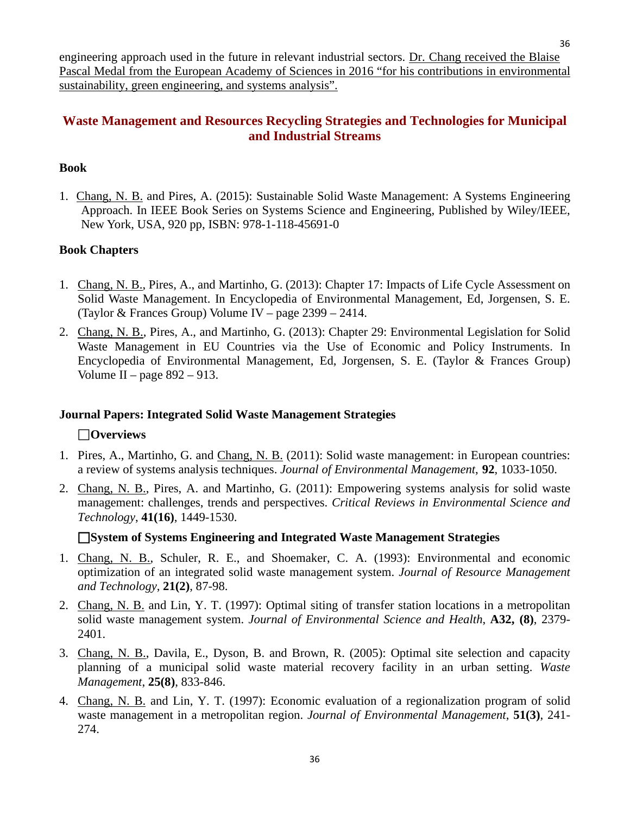engineering approach used in the future in relevant industrial sectors. Dr. Chang received the Blaise Pascal Medal from the European Academy of Sciences in 2016 "for his contributions in environmental sustainability, green engineering, and systems analysis".

## <span id="page-35-0"></span>**Waste Management and Resources Recycling Strategies and Technologies for Municipal and Industrial Streams**

## <span id="page-35-1"></span>**Book**

1. Chang, N. B. and Pires, A. (2015): Sustainable Solid Waste Management: A Systems Engineering Approach. In IEEE Book Series on Systems Science and Engineering, Published by Wiley/IEEE, New York, USA, 920 pp, ISBN: 978-1-118-45691-0

## **Book Chapters**

- 1. Chang, N. B., Pires, A., and Martinho, G. (2013): Chapter 17: Impacts of Life Cycle Assessment on Solid Waste Management. In Encyclopedia of Environmental Management, Ed, Jorgensen, S. E. (Taylor & Frances Group) Volume IV – page 2399 – 2414.
- 2. Chang, N. B., Pires, A., and Martinho, G. (2013): Chapter 29: Environmental Legislation for Solid Waste Management in EU Countries via the Use of Economic and Policy Instruments. In Encyclopedia of Environmental Management, Ed, Jorgensen, S. E. (Taylor & Frances Group) Volume II – page  $892 - 913$ .

#### <span id="page-35-2"></span>**Journal Papers: Integrated Solid Waste Management Strategies**

## **Overviews**

- 1. Pires, A., Martinho, G. and Chang, N. B. (2011): Solid waste management: in European countries: a review of systems analysis techniques. *Journal of Environmental Management*, **92**, 1033-1050.
- 2. Chang, N. B., Pires, A. and Martinho, G. (2011): Empowering systems analysis for solid waste management: challenges, trends and perspectives. *Critical Reviews in Environmental Science and Technology*, **41(16)**, 1449-1530.

#### <span id="page-35-3"></span>**System of Systems Engineering and Integrated Waste Management Strategies**

- 1. Chang, N. B., Schuler, R. E., and Shoemaker, C. A. (1993): Environmental and economic optimization of an integrated solid waste management system. *Journal of Resource Management and Technology*, **21(2)**, 87-98.
- 2. Chang, N. B. and Lin, Y. T. (1997): Optimal siting of transfer station locations in a metropolitan solid waste management system. *Journal of Environmental Science and Health*, **A32, (8)**, 2379- 2401.
- 3. Chang, N. B., Davila, E., Dyson, B. and Brown, R. (2005): Optimal site selection and capacity planning of a municipal solid waste material recovery facility in an urban setting. *Waste Management*, **25(8)**, 833-846.
- 4. Chang, N. B. and Lin, Y. T. (1997): Economic evaluation of a regionalization program of solid waste management in a metropolitan region. *Journal of Environmental Management*, **51(3)**, 241- 274.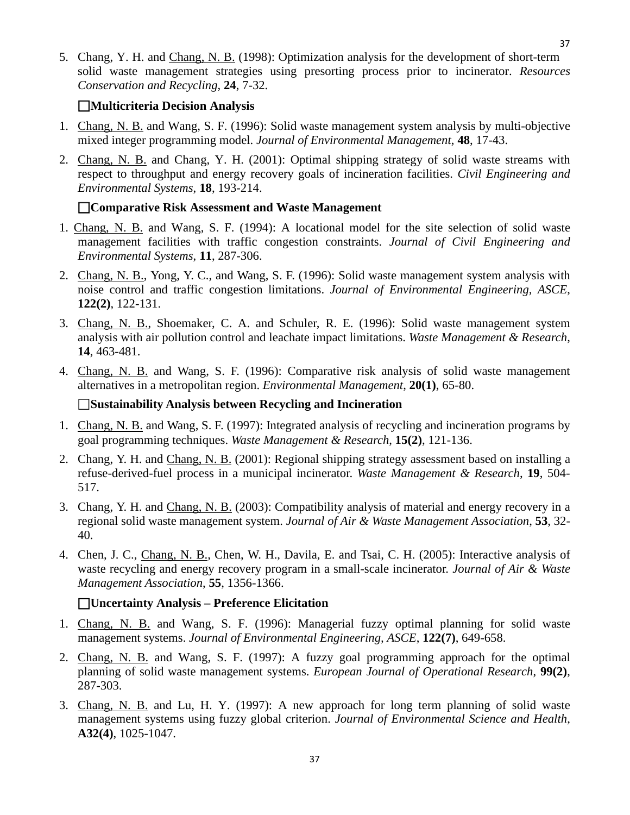5. Chang, Y. H. and Chang, N. B. (1998): Optimization analysis for the development of short-term solid waste management strategies using presorting process prior to incinerator. *Resources Conservation and Recycling*, **24**, 7-32.

## <span id="page-36-0"></span>**Multicriteria Decision Analysis**

- 1. Chang, N. B. and Wang, S. F. (1996): Solid waste management system analysis by multi-objective mixed integer programming model. *Journal of Environmental Management*, **48**, 17-43.
- 2. Chang, N. B. and Chang, Y. H. (2001): Optimal shipping strategy of solid waste streams with respect to throughput and energy recovery goals of incineration facilities. *Civil Engineering and Environmental Systems*, **18**, 193-214.

## <span id="page-36-1"></span>**Comparative Risk Assessment and Waste Management**

- 1. Chang, N. B. and Wang, S. F. (1994): A locational model for the site selection of solid waste management facilities with traffic congestion constraints. *Journal of Civil Engineering and Environmental Systems*, **11**, 287-306.
- 2. Chang, N. B., Yong, Y. C., and Wang, S. F. (1996): Solid waste management system analysis with noise control and traffic congestion limitations. *Journal of Environmental Engineering, ASCE*, **122(2)**, 122-131.
- 3. Chang, N. B., Shoemaker, C. A. and Schuler, R. E. (1996): Solid waste management system analysis with air pollution control and leachate impact limitations. *Waste Management & Research*, **14**, 463-481.
- 4. Chang, N. B. and Wang, S. F. (1996): Comparative risk analysis of solid waste management alternatives in a metropolitan region. *Environmental Management*, **20(1)**, 65-80.

## **Sustainability Analysis between Recycling and Incineration**

- 1. Chang, N. B. and Wang, S. F. (1997): Integrated analysis of recycling and incineration programs by goal programming techniques. *Waste Management & Research*, **15(2)**, 121-136.
- 2. Chang, Y. H. and Chang, N. B. (2001): Regional shipping strategy assessment based on installing a refuse-derived-fuel process in a municipal incinerator. *Waste Management & Research*, **19**, 504- 517.
- 3. Chang, Y. H. and Chang, N. B. (2003): Compatibility analysis of material and energy recovery in a regional solid waste management system. *Journal of Air & Waste Management Association*, **53**, 32- 40.
- 4. Chen, J. C., Chang, N. B., Chen, W. H., Davila, E. and Tsai, C. H. (2005): Interactive analysis of waste recycling and energy recovery program in a small-scale incinerator. *Journal of Air & Waste Management Association*, **55**, 1356-1366.

## <span id="page-36-2"></span>**Uncertainty Analysis – Preference Elicitation**

- 1. Chang, N. B. and Wang, S. F. (1996): Managerial fuzzy optimal planning for solid waste management systems. *Journal of Environmental Engineering, ASCE*, **122(7)**, 649-658.
- 2. Chang, N. B. and Wang, S. F. (1997): A fuzzy goal programming approach for the optimal planning of solid waste management systems. *European Journal of Operational Research*, **99(2)**, 287-303.
- 3. Chang, N. B. and Lu, H. Y. (1997): A new approach for long term planning of solid waste management systems using fuzzy global criterion. *Journal of Environmental Science and Health*, **A32(4)**, 1025-1047.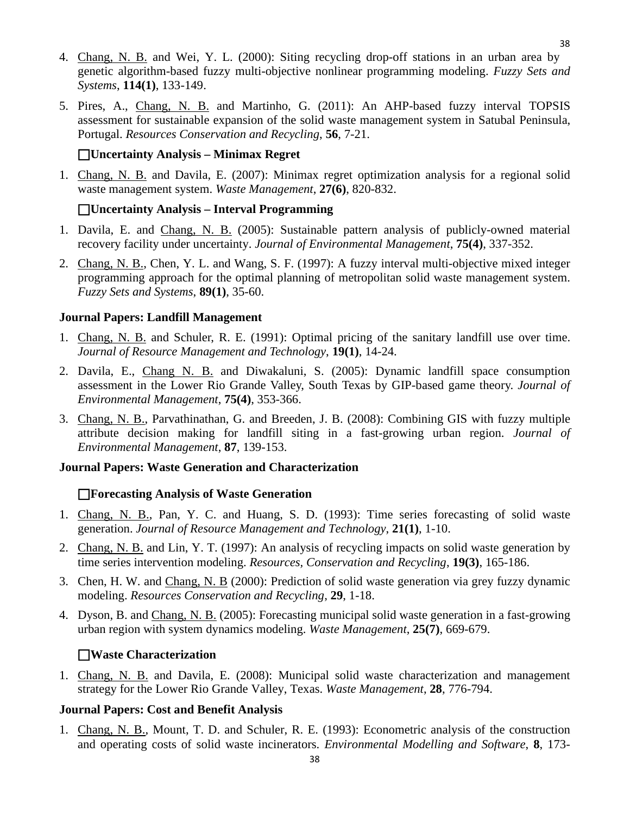- 4. Chang, N. B. and Wei, Y. L. (2000): Siting recycling drop-off stations in an urban area by genetic algorithm-based fuzzy multi-objective nonlinear programming modeling. *Fuzzy Sets and Systems*, **114(1)**, 133-149.
- 5. Pires, A., Chang, N. B. and Martinho, G. (2011): An AHP-based fuzzy interval TOPSIS assessment for sustainable expansion of the solid waste management system in Satubal Peninsula, Portugal. *Resources Conservation and Recycling*, **56**, 7-21.

## **Uncertainty Analysis – Minimax Regret**

1. Chang, N. B. and Davila, E. (2007): Minimax regret optimization analysis for a regional solid waste management system. *Waste Management*, **27(6)**, 820-832.

## **Uncertainty Analysis – Interval Programming**

- 1. Davila, E. and Chang, N. B. (2005): Sustainable pattern analysis of publicly-owned material recovery facility under uncertainty. *Journal of Environmental Management*, **75(4)**, 337-352.
- 2. Chang, N. B., Chen, Y. L. and Wang, S. F. (1997): A fuzzy interval multi-objective mixed integer programming approach for the optimal planning of metropolitan solid waste management system. *Fuzzy Sets and Systems*, **89(1)**, 35-60.

## <span id="page-37-0"></span>**Journal Papers: Landfill Management**

- 1. Chang, N. B. and Schuler, R. E. (1991): Optimal pricing of the sanitary landfill use over time. *Journal of Resource Management and Technology*, **19(1)**, 14-24.
- 2. Davila, E., Chang N. B. and Diwakaluni, S. (2005): Dynamic landfill space consumption assessment in the Lower Rio Grande Valley, South Texas by GIP-based game theory. *Journal of Environmental Management*, **75(4)**, 353-366.
- 3. Chang, N. B., Parvathinathan, G. and Breeden, J. B. (2008): Combining GIS with fuzzy multiple attribute decision making for landfill siting in a fast-growing urban region. *Journal of Environmental Management*, **87**, 139-153.

## <span id="page-37-1"></span>**Journal Papers: Waste Generation and Characterization**

## **Forecasting Analysis of Waste Generation**

- 1. Chang, N. B., Pan, Y. C. and Huang, S. D. (1993): Time series forecasting of solid waste generation. *Journal of Resource Management and Technology*, **21(1)**, 1-10.
- 2. Chang, N. B. and Lin, Y. T. (1997): An analysis of recycling impacts on solid waste generation by time series intervention modeling. *Resources, Conservation and Recycling*, **19(3)**, 165-186.
- 3. Chen, H. W. and Chang, N. B (2000): Prediction of solid waste generation via grey fuzzy dynamic modeling. *Resources Conservation and Recycling*, **29**, 1-18.
- 4. Dyson, B. and Chang, N. B. (2005): Forecasting municipal solid waste generation in a fast-growing urban region with system dynamics modeling. *Waste Management*, **25(7)**, 669-679.

## **Waste Characterization**

1. Chang, N. B. and Davila, E. (2008): Municipal solid waste characterization and management strategy for the Lower Rio Grande Valley, Texas. *Waste Management*, **28**, 776-794.

## <span id="page-37-2"></span>**Journal Papers: Cost and Benefit Analysis**

1. Chang, N. B., Mount, T. D. and Schuler, R. E. (1993): Econometric analysis of the construction and operating costs of solid waste incinerators. *Environmental Modelling and Software*, **8**, 173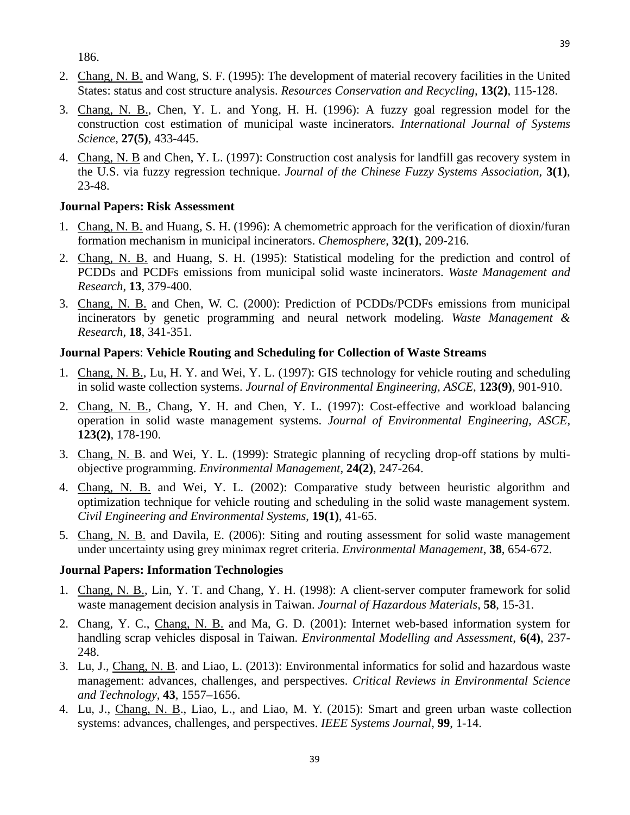186.

- 2. Chang, N. B. and Wang, S. F. (1995): The development of material recovery facilities in the United States: status and cost structure analysis. *Resources Conservation and Recycling*, **13(2)**, 115-128.
- 3. Chang, N. B., Chen, Y. L. and Yong, H. H. (1996): A fuzzy goal regression model for the construction cost estimation of municipal waste incinerators. *International Journal of Systems Science*, **27(5)**, 433-445.
- 4. Chang, N. B and Chen, Y. L. (1997): Construction cost analysis for landfill gas recovery system in the U.S. via fuzzy regression technique. *Journal of the Chinese Fuzzy Systems Association*, **3(1)**, 23-48.

#### **Journal Papers: Risk Assessment**

- 1. Chang, N. B. and Huang, S. H. (1996): A chemometric approach for the verification of dioxin/furan formation mechanism in municipal incinerators. *Chemosphere*, **32(1)**, 209-216.
- 2. Chang, N. B. and Huang, S. H. (1995): Statistical modeling for the prediction and control of PCDDs and PCDFs emissions from municipal solid waste incinerators. *Waste Management and Research*, **13**, 379-400.
- 3. Chang, N. B. and Chen, W. C. (2000): Prediction of PCDDs/PCDFs emissions from municipal incinerators by genetic programming and neural network modeling. *Waste Management & Research*, **18**, 341-351.

## <span id="page-38-0"></span>**Journal Papers**: **Vehicle Routing and Scheduling for Collection of Waste Streams**

- 1. Chang, N. B., Lu, H. Y. and Wei, Y. L. (1997): GIS technology for vehicle routing and scheduling in solid waste collection systems. *Journal of Environmental Engineering, ASCE*, **123(9)**, 901-910.
- 2. Chang, N. B., Chang, Y. H. and Chen, Y. L. (1997): Cost-effective and workload balancing operation in solid waste management systems. *Journal of Environmental Engineering, ASCE*, **123(2)**, 178-190.
- 3. Chang, N. B. and Wei, Y. L. (1999): Strategic planning of recycling drop-off stations by multiobjective programming. *Environmental Management*, **24(2)**, 247-264.
- 4. Chang, N. B. and Wei, Y. L. (2002): Comparative study between heuristic algorithm and optimization technique for vehicle routing and scheduling in the solid waste management system. *Civil Engineering and Environmental Systems*, **19(1)**, 41-65.
- 5. Chang, N. B. and Davila, E. (2006): Siting and routing assessment for solid waste management under uncertainty using grey minimax regret criteria. *Environmental Management*, **38**, 654-672.

#### <span id="page-38-1"></span>**Journal Papers: Information Technologies**

- 1. Chang, N. B., Lin, Y. T. and Chang, Y. H. (1998): A client-server computer framework for solid waste management decision analysis in Taiwan. *Journal of Hazardous Materials*, **58**, 15-31.
- 2. Chang, Y. C., Chang, N. B. and Ma, G. D. (2001): Internet web-based information system for handling scrap vehicles disposal in Taiwan. *Environmental Modelling and Assessment*, **6(4)**, 237- 248.
- 3. Lu, J., Chang, N. B. and Liao, L. (2013): Environmental informatics for solid and hazardous waste management: advances, challenges, and perspectives. *Critical Reviews in Environmental Science and Technology*, **43**, 1557–1656.
- 4. Lu, J., Chang, N. B., Liao, L., and Liao, M. Y. (2015): Smart and green urban waste collection systems: advances, challenges, and perspectives. *IEEE Systems Journal*, **99**, 1-14.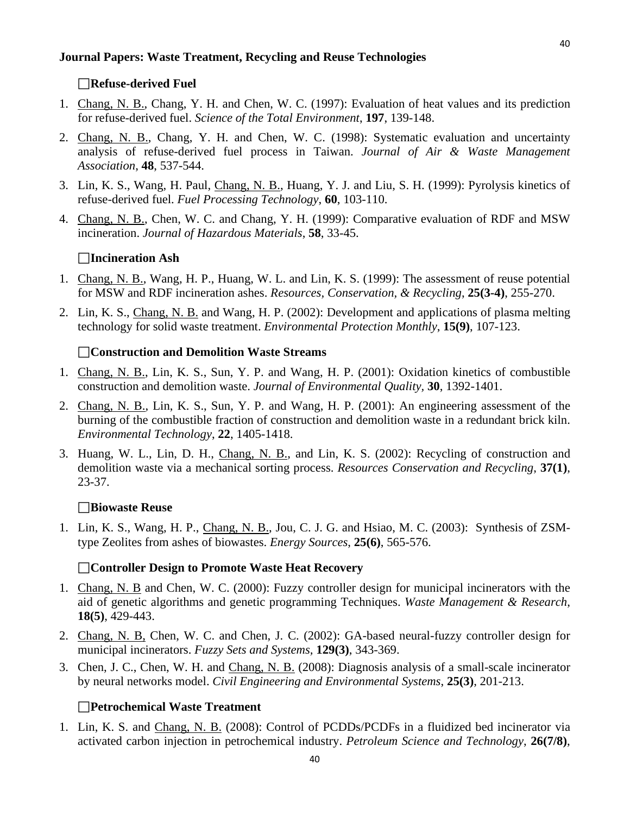#### <span id="page-39-0"></span>**Journal Papers: Waste Treatment, Recycling and Reuse Technologies**

#### **Refuse-derived Fuel**

- 1. Chang, N. B., Chang, Y. H. and Chen, W. C. (1997): Evaluation of heat values and its prediction for refuse-derived fuel. *Science of the Total Environment*, **197**, 139-148.
- 2. Chang, N. B., Chang, Y. H. and Chen, W. C. (1998): Systematic evaluation and uncertainty analysis of refuse-derived fuel process in Taiwan. *Journal of Air & Waste Management Association*, **48**, 537-544.
- 3. Lin, K. S., Wang, H. Paul, Chang, N. B., Huang, Y. J. and Liu, S. H. (1999): Pyrolysis kinetics of refuse-derived fuel. *Fuel Processing Technology*, **60**, 103-110.
- 4. Chang, N. B., Chen, W. C. and Chang, Y. H. (1999): Comparative evaluation of RDF and MSW incineration. *Journal of Hazardous Materials*, **58**, 33-45.

#### **Incineration Ash**

- 1. Chang, N. B., Wang, H. P., Huang, W. L. and Lin, K. S. (1999): The assessment of reuse potential for MSW and RDF incineration ashes. *Resources, Conservation, & Recycling*, **25(3-4)**, 255-270.
- 2. Lin, K. S., Chang, N. B. and Wang, H. P. (2002): Development and applications of plasma melting technology for solid waste treatment. *Environmental Protection Monthly*, **15(9)**, 107-123.

#### **Construction and Demolition Waste Streams**

- 1. Chang, N. B., Lin, K. S., Sun, Y. P. and Wang, H. P. (2001): Oxidation kinetics of combustible construction and demolition waste. *Journal of Environmental Quality,* **30**, 1392-1401.
- 2. Chang, N. B., Lin, K. S., Sun, Y. P. and Wang, H. P. (2001): An engineering assessment of the burning of the combustible fraction of construction and demolition waste in a redundant brick kiln. *Environmental Technology*, **22**, 1405-1418.
- 3. Huang, W. L., Lin, D. H., Chang, N. B., and Lin, K. S. (2002): Recycling of construction and demolition waste via a mechanical sorting process. *Resources Conservation and Recycling*, **37(1)**, 23-37.

#### **Biowaste Reuse**

1. Lin, K. S., Wang, H. P., Chang, N. B., Jou, C. J. G. and Hsiao, M. C. (2003): Synthesis of ZSMtype Zeolites from ashes of biowastes. *Energy Sources*, **25(6)**, 565-576.

#### **Controller Design to Promote Waste Heat Recovery**

- 1. Chang, N. B and Chen, W. C. (2000): Fuzzy controller design for municipal incinerators with the aid of genetic algorithms and genetic programming Techniques. *Waste Management & Research*, **18(5)**, 429-443.
- 2. Chang, N. B, Chen, W. C. and Chen, J. C. (2002): GA-based neural-fuzzy controller design for municipal incinerators. *Fuzzy Sets and Systems,* **129(3)**, 343-369.
- 3. Chen, J. C., Chen, W. H. and Chang, N. B. (2008): Diagnosis analysis of a small-scale incinerator by neural networks model. *Civil Engineering and Environmental Systems*, **25(3)**, 201-213.

#### **Petrochemical Waste Treatment**

1. Lin, K. S. and Chang, N. B. (2008): Control of PCDDs/PCDFs in a fluidized bed incinerator via activated carbon injection in petrochemical industry. *Petroleum Science and Technology*, **26(7/8)**,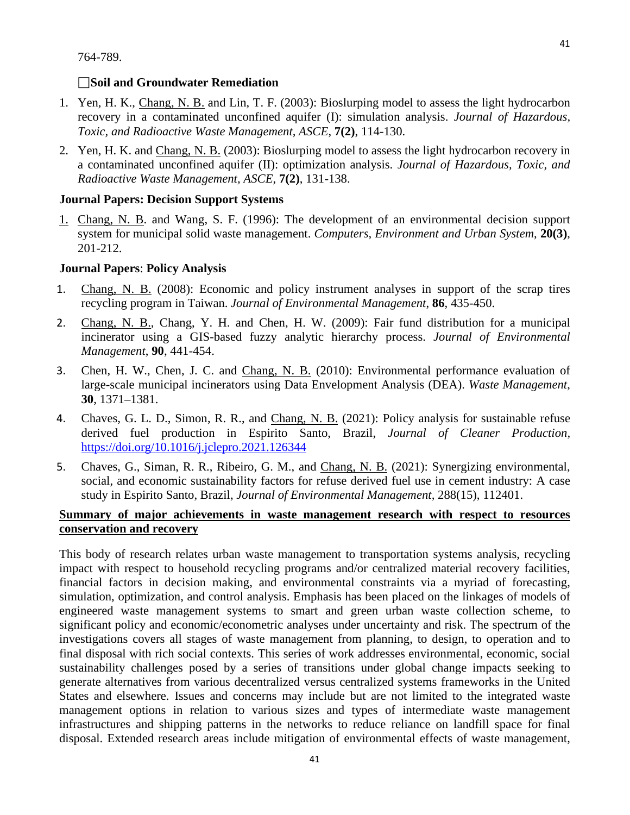764-789.

## **Soil and Groundwater Remediation**

- 1. Yen, H. K., Chang, N. B. and Lin, T. F. (2003): Bioslurping model to assess the light hydrocarbon recovery in a contaminated unconfined aquifer (I): simulation analysis. *Journal of Hazardous, Toxic, and Radioactive Waste Management, ASCE*, **7(2)**, 114-130.
- 2. Yen, H. K. and Chang, N. B. (2003): Bioslurping model to assess the light hydrocarbon recovery in a contaminated unconfined aquifer (II): optimization analysis. *Journal of Hazardous, Toxic, and Radioactive Waste Management, ASCE*, **7(2)**, 131-138.

## <span id="page-40-0"></span>**Journal Papers: Decision Support Systems**

1. Chang, N. B. and Wang, S. F. (1996): The development of an environmental decision support system for municipal solid waste management. *Computers, Environment and Urban System*, **20(3)**, 201-212.

#### <span id="page-40-1"></span>**Journal Papers**: **Policy Analysis**

- 1. Chang, N. B. (2008): Economic and policy instrument analyses in support of the scrap tires recycling program in Taiwan. *Journal of Environmental Management*, **86**, 435-450.
- 2. Chang, N. B., Chang, Y. H. and Chen, H. W. (2009): Fair fund distribution for a municipal incinerator using a GIS-based fuzzy analytic hierarchy process. *Journal of Environmental Management*, **90**, 441-454.
- 3. Chen, H. W., Chen, J. C. and Chang, N. B. (2010): Environmental performance evaluation of large-scale municipal incinerators using Data Envelopment Analysis (DEA). *Waste Management*, **30**, 1371–1381.
- 4. Chaves, G. L. D., Simon, R. R., and Chang, N. B. (2021): Policy analysis for sustainable refuse derived fuel production in Espirito Santo, Brazil, *Journal of Cleaner Production,* <https://doi.org/10.1016/j.jclepro.2021.126344>
- 5. Chaves, G., Siman, R. R., Ribeiro, G. M., and Chang, N. B. (2021): Synergizing environmental, social, and economic sustainability factors for refuse derived fuel use in cement industry: A case study in Espirito Santo, Brazil, *Journal of Environmental Management,* 288(15), 112401.

## **Summary of major achievements in waste management research with respect to resources conservation and recovery**

This body of research relates urban waste management to transportation systems analysis, recycling impact with respect to household recycling programs and/or centralized material recovery facilities, financial factors in decision making, and environmental constraints via a myriad of forecasting, simulation, optimization, and control analysis. Emphasis has been placed on the linkages of models of engineered waste management systems to smart and green urban waste collection scheme, to significant policy and economic/econometric analyses under uncertainty and risk. The spectrum of the investigations covers all stages of waste management from planning, to design, to operation and to final disposal with rich social contexts. This series of work addresses environmental, economic, social sustainability challenges posed by a series of transitions under global change impacts seeking to generate alternatives from various decentralized versus centralized systems frameworks in the United States and elsewhere. Issues and concerns may include but are not limited to the integrated waste management options in relation to various sizes and types of intermediate waste management infrastructures and shipping patterns in the networks to reduce reliance on landfill space for final disposal. Extended research areas include mitigation of environmental effects of waste management,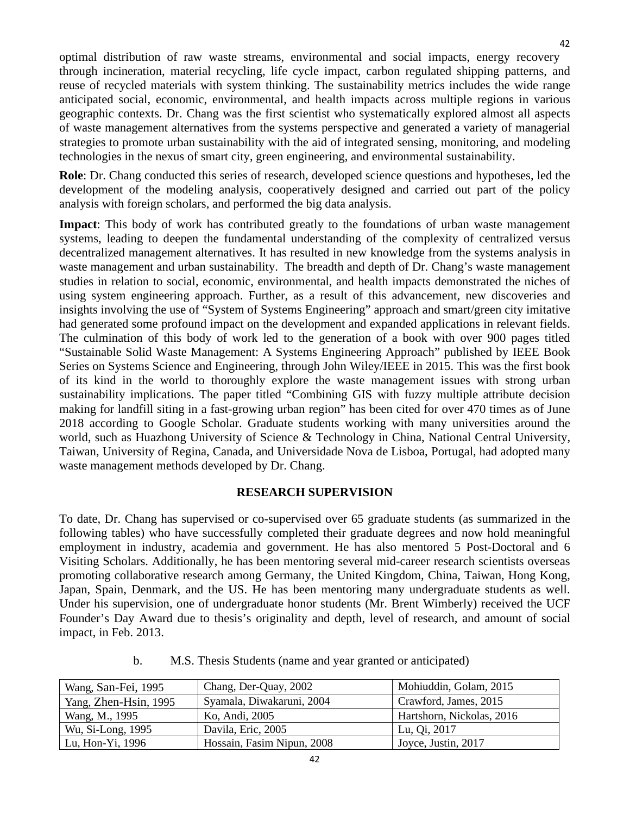optimal distribution of raw waste streams, environmental and social impacts, energy recovery through incineration, material recycling, life cycle impact, carbon regulated shipping patterns, and reuse of recycled materials with system thinking. The sustainability metrics includes the wide range anticipated social, economic, environmental, and health impacts across multiple regions in various geographic contexts. Dr. Chang was the first scientist who systematically explored almost all aspects of waste management alternatives from the systems perspective and generated a variety of managerial strategies to promote urban sustainability with the aid of integrated sensing, monitoring, and modeling technologies in the nexus of smart city, green engineering, and environmental sustainability.

**Role**: Dr. Chang conducted this series of research, developed science questions and hypotheses, led the development of the modeling analysis, cooperatively designed and carried out part of the policy analysis with foreign scholars, and performed the big data analysis.

**Impact**: This body of work has contributed greatly to the foundations of urban waste management systems, leading to deepen the fundamental understanding of the complexity of centralized versus decentralized management alternatives. It has resulted in new knowledge from the systems analysis in waste management and urban sustainability. The breadth and depth of Dr. Chang's waste management studies in relation to social, economic, environmental, and health impacts demonstrated the niches of using system engineering approach. Further, as a result of this advancement, new discoveries and insights involving the use of "System of Systems Engineering" approach and smart/green city imitative had generated some profound impact on the development and expanded applications in relevant fields. The culmination of this body of work led to the generation of a book with over 900 pages titled "Sustainable Solid Waste Management: A Systems Engineering Approach" published by IEEE Book Series on Systems Science and Engineering, through John Wiley/IEEE in 2015. This was the first book of its kind in the world to thoroughly explore the waste management issues with strong urban sustainability implications. The paper titled "Combining GIS with fuzzy multiple attribute decision making for landfill siting in a fast-growing urban region" has been cited for over 470 times as of June 2018 according to Google Scholar. Graduate students working with many universities around the world, such as Huazhong University of Science & Technology in China, National Central University, Taiwan, University of Regina, Canada, and Universidade Nova de Lisboa, Portugal, had adopted many waste management methods developed by Dr. Chang.

## **RESEARCH SUPERVISION**

<span id="page-41-0"></span>To date, Dr. Chang has supervised or co-supervised over 65 graduate students (as summarized in the following tables) who have successfully completed their graduate degrees and now hold meaningful employment in industry, academia and government. He has also mentored 5 Post-Doctoral and 6 Visiting Scholars. Additionally, he has been mentoring several mid-career research scientists overseas promoting collaborative research among Germany, the United Kingdom, China, Taiwan, Hong Kong, Japan, Spain, Denmark, and the US. He has been mentoring many undergraduate students as well. Under his supervision, one of undergraduate honor students (Mr. Brent Wimberly) received the UCF Founder's Day Award due to thesis's originality and depth, level of research, and amount of social impact, in Feb. 2013.

<span id="page-41-1"></span>

| Wang, San-Fei, 1995   | Chang, Der-Quay, 2002      | Mohiuddin, Golam, 2015    |
|-----------------------|----------------------------|---------------------------|
| Yang, Zhen-Hsin, 1995 | Syamala, Diwakaruni, 2004  | Crawford, James, 2015     |
| Wang, M., 1995        | Ko, Andi, 2005             | Hartshorn, Nickolas, 2016 |
| Wu, Si-Long, 1995     | Davila, Eric, 2005         | Lu, Qi, 2017              |
| Lu, Hon-Yi, 1996      | Hossain, Fasim Nipun, 2008 | Joyce, Justin, 2017       |

b. M.S. Thesis Students (name and year granted or anticipated)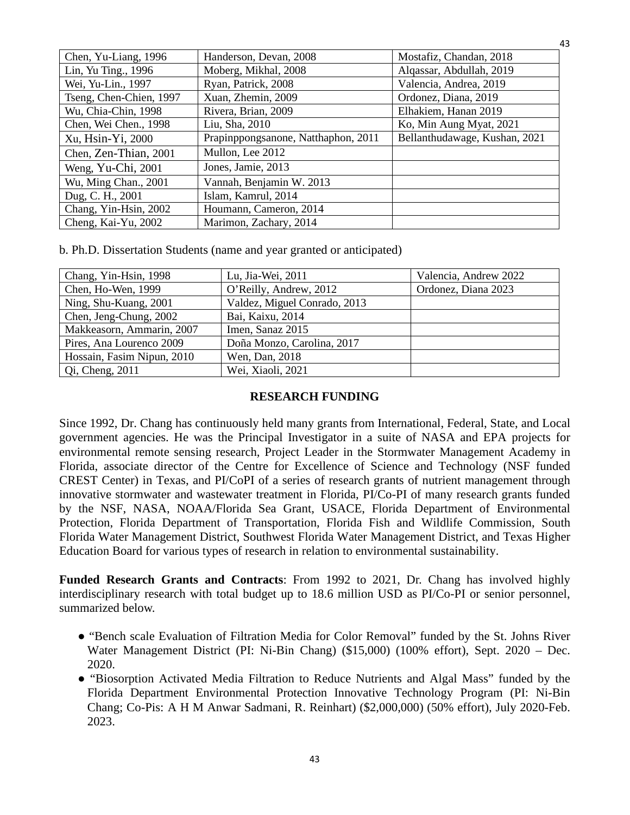| Chen, Yu-Liang, 1996    | Handerson, Devan, 2008              | Mostafiz, Chandan, 2018       |
|-------------------------|-------------------------------------|-------------------------------|
| Lin, Yu Ting., 1996     | Moberg, Mikhal, 2008                | Alqassar, Abdullah, 2019      |
| Wei, Yu-Lin., 1997      | Ryan, Patrick, 2008                 | Valencia, Andrea, 2019        |
| Tseng, Chen-Chien, 1997 | Xuan, Zhemin, 2009                  | Ordonez, Diana, 2019          |
| Wu, Chia-Chin, 1998     | Rivera, Brian, 2009                 | Elhakiem, Hanan 2019          |
| Chen, Wei Chen., 1998   | Liu, Sha, 2010                      | Ko, Min Aung Myat, 2021       |
| Xu, Hsin-Yi, 2000       | Prapinppongsanone, Natthaphon, 2011 | Bellanthudawage, Kushan, 2021 |
| Chen, Zen-Thian, 2001   | Mullon, Lee 2012                    |                               |
| Weng, Yu-Chi, 2001      | Jones, Jamie, 2013                  |                               |
| Wu, Ming Chan., 2001    | Vannah, Benjamin W. 2013            |                               |
| Dug, C. H., 2001        | Islam, Kamrul, 2014                 |                               |
| Chang, Yin-Hsin, 2002   | Houmann, Cameron, 2014              |                               |
| Cheng, Kai-Yu, 2002     | Marimon, Zachary, 2014              |                               |

b. Ph.D. Dissertation Students (name and year granted or anticipated)

| Chang, Yin-Hsin, 1998      | Lu, Jia-Wei, 2011            | Valencia, Andrew 2022 |
|----------------------------|------------------------------|-----------------------|
| Chen, Ho-Wen, 1999         | O'Reilly, Andrew, 2012       | Ordonez, Diana 2023   |
| Ning, Shu-Kuang, 2001      | Valdez, Miguel Conrado, 2013 |                       |
| Chen, Jeng-Chung, 2002     | Bai, Kaixu, 2014             |                       |
| Makkeasorn, Ammarin, 2007  | Imen, Sanaz 2015             |                       |
| Pires, Ana Lourenco 2009   | Doña Monzo, Carolina, 2017   |                       |
| Hossain, Fasim Nipun, 2010 | Wen, Dan, 2018               |                       |
| $Qi$ , Cheng, 2011         | Wei, Xiaoli, 2021            |                       |

#### **RESEARCH FUNDING**

Since 1992, Dr. Chang has continuously held many grants from International, Federal, State, and Local government agencies. He was the Principal Investigator in a suite of NASA and EPA projects for environmental remote sensing research, Project Leader in the Stormwater Management Academy in Florida, associate director of the Centre for Excellence of Science and Technology (NSF funded CREST Center) in Texas, and PI/CoPI of a series of research grants of nutrient management through innovative stormwater and wastewater treatment in Florida, PI/Co-PI of many research grants funded by the NSF, NASA, NOAA/Florida Sea Grant, USACE, Florida Department of Environmental Protection, Florida Department of Transportation, Florida Fish and Wildlife Commission, South Florida Water Management District, Southwest Florida Water Management District, and Texas Higher Education Board for various types of research in relation to environmental sustainability.

**Funded Research Grants and Contracts**: From 1992 to 2021, Dr. Chang has involved highly interdisciplinary research with total budget up to 18.6 million USD as PI/Co-PI or senior personnel, summarized below.

- "Bench scale Evaluation of Filtration Media for Color Removal" funded by the St. Johns River Water Management District (PI: Ni-Bin Chang) (\$15,000) (100% effort), Sept. 2020 – Dec. 2020.
- "Biosorption Activated Media Filtration to Reduce Nutrients and Algal Mass" funded by the Florida Department Environmental Protection Innovative Technology Program (PI: Ni-Bin Chang; Co-Pis: A H M Anwar Sadmani, R. Reinhart) (\$2,000,000) (50% effort), July 2020-Feb. 2023.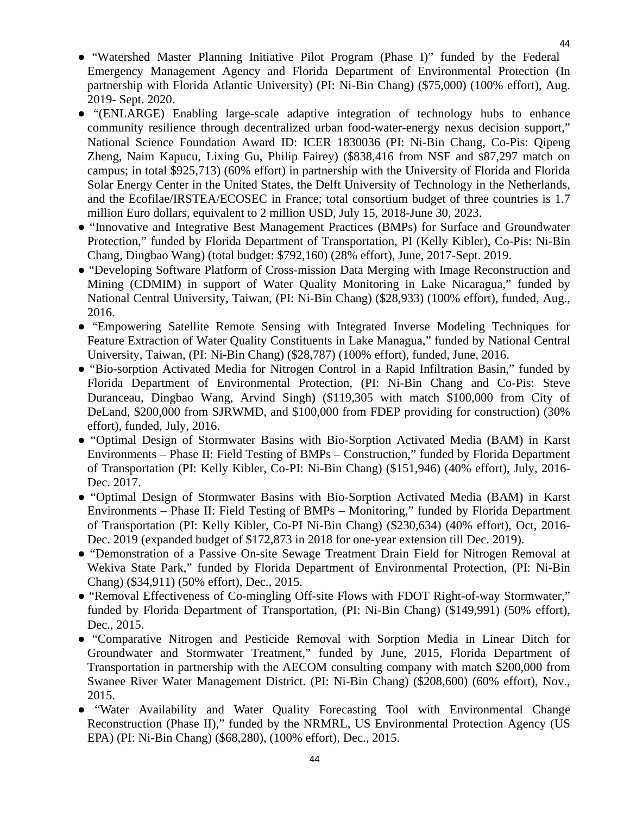- "Watershed Master Planning Initiative Pilot Program (Phase I)" funded by the Federal Emergency Management Agency and Florida Department of Environmental Protection (In partnership with Florida Atlantic University) (PI: Ni-Bin Chang) (\$75,000) (100% effort), Aug. 2019- Sept. 2020.
- "(ENLARGE) Enabling large-scale adaptive integration of technology hubs to enhance community resilience through decentralized urban food-water-energy nexus decision support," National Science Foundation Award ID: ICER 1830036 (PI: Ni-Bin Chang, Co-Pis: Qipeng Zheng, Naim Kapucu, Lixing Gu, Philip Fairey) (\$838,416 from NSF and \$87,297 match on campus; in total \$925,713) (60% effort) in partnership with the University of Florida and Florida Solar Energy Center in the United States, the Delft University of Technology in the Netherlands, and the Ecofilae/IRSTEA/ECOSEC in France; total consortium budget of three countries is 1.7 million Euro dollars, equivalent to 2 million USD, July 15, 2018-June 30, 2023.
- "Innovative and Integrative Best Management Practices (BMPs) for Surface and Groundwater Protection," funded by Florida Department of Transportation, PI (Kelly Kibler), Co-Pis: Ni-Bin Chang, Dingbao Wang) (total budget: \$792,160) (28% effort), June, 2017-Sept. 2019.
- "Developing Software Platform of Cross-mission Data Merging with Image Reconstruction and Mining (CDMIM) in support of Water Quality Monitoring in Lake Nicaragua," funded by National Central University, Taiwan, (PI: Ni-Bin Chang) (\$28,933) (100% effort), funded, Aug., 2016.
- "Empowering Satellite Remote Sensing with Integrated Inverse Modeling Techniques for Feature Extraction of Water Quality Constituents in Lake Managua," funded by National Central University, Taiwan, (PI: Ni-Bin Chang) (\$28,787) (100% effort), funded, June, 2016.
- "Bio-sorption Activated Media for Nitrogen Control in a Rapid Infiltration Basin," funded by Florida Department of Environmental Protection, (PI: Ni-Bin Chang and Co-Pis: Steve Duranceau, Dingbao Wang, Arvind Singh) (\$119,305 with match \$100,000 from City of DeLand, \$200,000 from SJRWMD, and \$100,000 from FDEP providing for construction) (30% effort), funded, July, 2016.
- "Optimal Design of Stormwater Basins with Bio-Sorption Activated Media (BAM) in Karst Environments – Phase II: Field Testing of BMPs – Construction," funded by Florida Department of Transportation (PI: Kelly Kibler, Co-PI: Ni-Bin Chang) (\$151,946) (40% effort), July, 2016- Dec. 2017.
- "Optimal Design of Stormwater Basins with Bio-Sorption Activated Media (BAM) in Karst Environments – Phase II: Field Testing of BMPs – Monitoring," funded by Florida Department of Transportation (PI: Kelly Kibler, Co-PI Ni-Bin Chang) (\$230,634) (40% effort), Oct, 2016- Dec. 2019 (expanded budget of \$172,873 in 2018 for one-year extension till Dec. 2019).
- "Demonstration of a Passive On-site Sewage Treatment Drain Field for Nitrogen Removal at Wekiva State Park," funded by Florida Department of Environmental Protection, (PI: Ni-Bin Chang) (\$34,911) (50% effort), Dec., 2015.
- "Removal Effectiveness of Co-mingling Off-site Flows with FDOT Right-of-way Stormwater," funded by Florida Department of Transportation, (PI: Ni-Bin Chang) (\$149,991) (50% effort), Dec., 2015.
- "Comparative Nitrogen and Pesticide Removal with Sorption Media in Linear Ditch for Groundwater and Stormwater Treatment," funded by June, 2015, Florida Department of Transportation in partnership with the AECOM consulting company with match \$200,000 from Swanee River Water Management District. (PI: Ni-Bin Chang) (\$208,600) (60% effort), Nov., 2015.
- "Water Availability and Water Quality Forecasting Tool with Environmental Change Reconstruction (Phase II)," funded by the NRMRL, US Environmental Protection Agency (US EPA) (PI: Ni-Bin Chang) (\$68,280), (100% effort), Dec., 2015.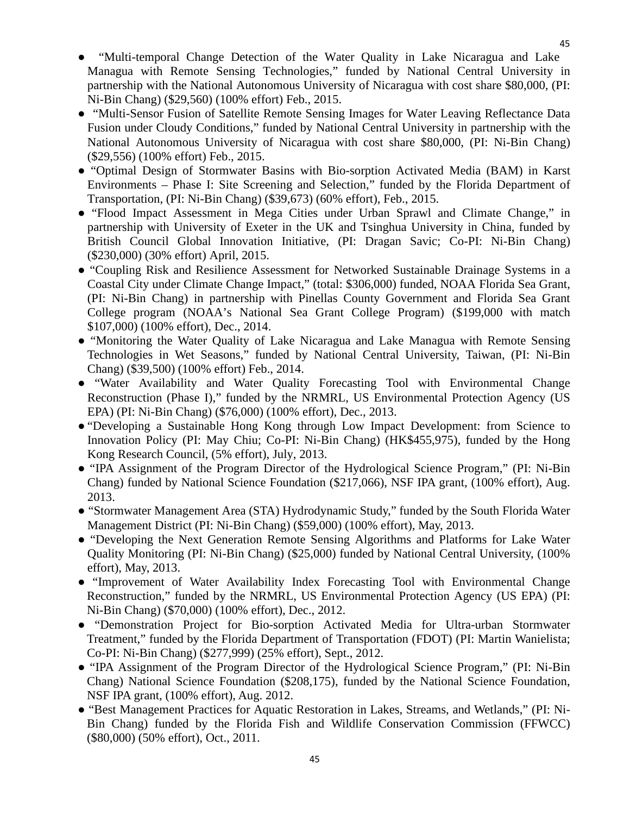- "Multi-temporal Change Detection of the Water Quality in Lake Nicaragua and Lake Managua with Remote Sensing Technologies," funded by National Central University in partnership with the National Autonomous University of Nicaragua with cost share \$80,000, (PI: Ni-Bin Chang) (\$29,560) (100% effort) Feb., 2015.
- "Multi-Sensor Fusion of Satellite Remote Sensing Images for Water Leaving Reflectance Data Fusion under Cloudy Conditions," funded by National Central University in partnership with the National Autonomous University of Nicaragua with cost share \$80,000, (PI: Ni-Bin Chang) (\$29,556) (100% effort) Feb., 2015.
- "Optimal Design of Stormwater Basins with Bio-sorption Activated Media (BAM) in Karst Environments – Phase I: Site Screening and Selection," funded by the Florida Department of Transportation, (PI: Ni-Bin Chang) (\$39,673) (60% effort), Feb., 2015.
- "Flood Impact Assessment in Mega Cities under Urban Sprawl and Climate Change," in partnership with University of Exeter in the UK and Tsinghua University in China, funded by British Council Global Innovation Initiative, (PI: Dragan Savic; Co-PI: Ni-Bin Chang) (\$230,000) (30% effort) April, 2015.
- "Coupling Risk and Resilience Assessment for Networked Sustainable Drainage Systems in a Coastal City under Climate Change Impact," (total: \$306,000) funded, NOAA Florida Sea Grant, (PI: Ni-Bin Chang) in partnership with Pinellas County Government and Florida Sea Grant College program (NOAA's National Sea Grant College Program) (\$199,000 with match \$107,000) (100% effort), Dec., 2014.
- "Monitoring the Water Quality of Lake Nicaragua and Lake Managua with Remote Sensing Technologies in Wet Seasons," funded by National Central University, Taiwan, (PI: Ni-Bin Chang) (\$39,500) (100% effort) Feb., 2014.
- "Water Availability and Water Quality Forecasting Tool with Environmental Change Reconstruction (Phase I)," funded by the NRMRL, US Environmental Protection Agency (US EPA) (PI: Ni-Bin Chang) (\$76,000) (100% effort), Dec., 2013.
- "Developing a Sustainable Hong Kong through Low Impact Development: from Science to Innovation Policy (PI: May Chiu; Co-PI: Ni-Bin Chang) (HK\$455,975), funded by the Hong Kong Research Council, (5% effort), July, 2013.
- "IPA Assignment of the Program Director of the Hydrological Science Program," (PI: Ni-Bin Chang) funded by National Science Foundation (\$217,066), NSF IPA grant, (100% effort), Aug. 2013.
- "Stormwater Management Area (STA) Hydrodynamic Study," funded by the South Florida Water Management District (PI: Ni-Bin Chang) (\$59,000) (100% effort), May, 2013.
- "Developing the Next Generation Remote Sensing Algorithms and Platforms for Lake Water Quality Monitoring (PI: Ni-Bin Chang) (\$25,000) funded by National Central University, (100% effort), May, 2013.
- "Improvement of Water Availability Index Forecasting Tool with Environmental Change Reconstruction," funded by the NRMRL, US Environmental Protection Agency (US EPA) (PI: Ni-Bin Chang) (\$70,000) (100% effort), Dec., 2012.
- "Demonstration Project for Bio-sorption Activated Media for Ultra-urban Stormwater Treatment," funded by the Florida Department of Transportation (FDOT) (PI: Martin Wanielista; Co-PI: Ni-Bin Chang) (\$277,999) (25% effort), Sept., 2012.
- "IPA Assignment of the Program Director of the Hydrological Science Program," (PI: Ni-Bin Chang) National Science Foundation (\$208,175), funded by the National Science Foundation, NSF IPA grant, (100% effort), Aug. 2012.
- "Best Management Practices for Aquatic Restoration in Lakes, Streams, and Wetlands," (PI: Ni-Bin Chang) funded by the Florida Fish and Wildlife Conservation Commission (FFWCC) (\$80,000) (50% effort), Oct., 2011.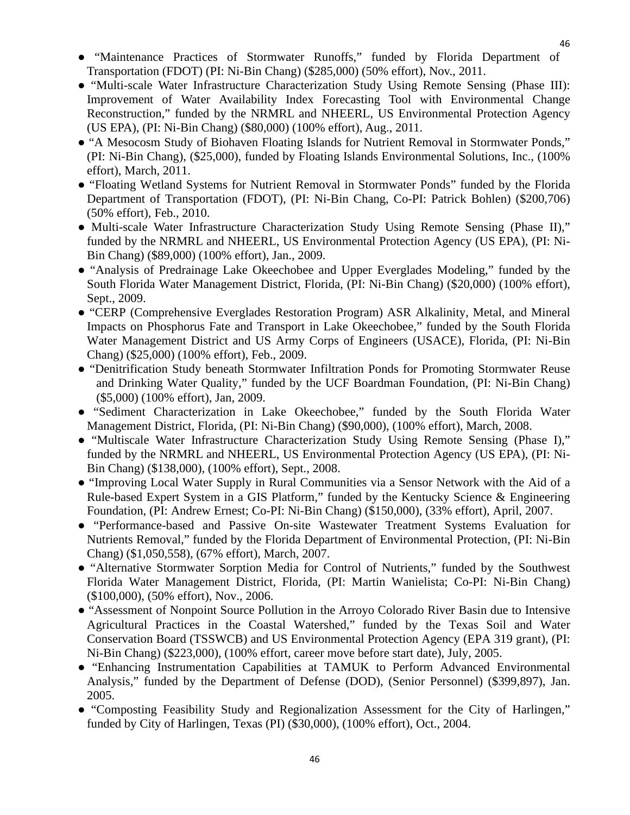- "Maintenance Practices of Stormwater Runoffs," funded by Florida Department of Transportation (FDOT) (PI: Ni-Bin Chang) (\$285,000) (50% effort), Nov., 2011.
- "Multi-scale Water Infrastructure Characterization Study Using Remote Sensing (Phase III): Improvement of Water Availability Index Forecasting Tool with Environmental Change Reconstruction," funded by the NRMRL and NHEERL, US Environmental Protection Agency (US EPA), (PI: Ni-Bin Chang) (\$80,000) (100% effort), Aug., 2011.
- "A Mesocosm Study of Biohaven Floating Islands for Nutrient Removal in Stormwater Ponds," (PI: Ni-Bin Chang), (\$25,000), funded by Floating Islands Environmental Solutions, Inc., (100% effort), March, 2011.
- "Floating Wetland Systems for Nutrient Removal in Stormwater Ponds" funded by the Florida Department of Transportation (FDOT), (PI: Ni-Bin Chang, Co-PI: Patrick Bohlen) (\$200,706) (50% effort), Feb., 2010.
- Multi-scale Water Infrastructure Characterization Study Using Remote Sensing (Phase II)," funded by the NRMRL and NHEERL, US Environmental Protection Agency (US EPA), (PI: Ni-Bin Chang) (\$89,000) (100% effort), Jan., 2009.
- "Analysis of Predrainage Lake Okeechobee and Upper Everglades Modeling," funded by the South Florida Water Management District, Florida, (PI: Ni-Bin Chang) (\$20,000) (100% effort), Sept., 2009.
- "CERP (Comprehensive Everglades Restoration Program) ASR Alkalinity, Metal, and Mineral Impacts on Phosphorus Fate and Transport in Lake Okeechobee," funded by the South Florida Water Management District and US Army Corps of Engineers (USACE), Florida, (PI: Ni-Bin Chang) (\$25,000) (100% effort), Feb., 2009.
- "Denitrification Study beneath Stormwater Infiltration Ponds for Promoting Stormwater Reuse and Drinking Water Quality," funded by the UCF Boardman Foundation, (PI: Ni-Bin Chang) (\$5,000) (100% effort), Jan, 2009.
- "Sediment Characterization in Lake Okeechobee," funded by the South Florida Water Management District, Florida, (PI: Ni-Bin Chang) (\$90,000), (100% effort), March, 2008.
- "Multiscale Water Infrastructure Characterization Study Using Remote Sensing (Phase I)," funded by the NRMRL and NHEERL, US Environmental Protection Agency (US EPA), (PI: Ni-Bin Chang) (\$138,000), (100% effort), Sept., 2008.
- "Improving Local Water Supply in Rural Communities via a Sensor Network with the Aid of a Rule-based Expert System in a GIS Platform," funded by the Kentucky Science & Engineering Foundation, (PI: Andrew Ernest; Co-PI: Ni-Bin Chang) (\$150,000), (33% effort), April, 2007.
- "Performance-based and Passive On-site Wastewater Treatment Systems Evaluation for Nutrients Removal," funded by the Florida Department of Environmental Protection, (PI: Ni-Bin Chang) (\$1,050,558), (67% effort), March, 2007.
- "Alternative Stormwater Sorption Media for Control of Nutrients," funded by the Southwest Florida Water Management District, Florida, (PI: Martin Wanielista; Co-PI: Ni-Bin Chang) (\$100,000), (50% effort), Nov., 2006.
- "Assessment of Nonpoint Source Pollution in the Arroyo Colorado River Basin due to Intensive Agricultural Practices in the Coastal Watershed," funded by the Texas Soil and Water Conservation Board (TSSWCB) and US Environmental Protection Agency (EPA 319 grant), (PI: Ni-Bin Chang) (\$223,000), (100% effort, career move before start date), July, 2005.
- "Enhancing Instrumentation Capabilities at TAMUK to Perform Advanced Environmental Analysis," funded by the Department of Defense (DOD), (Senior Personnel) (\$399,897), Jan. 2005.
- "Composting Feasibility Study and Regionalization Assessment for the City of Harlingen," funded by City of Harlingen, Texas (PI) (\$30,000), (100% effort), Oct., 2004.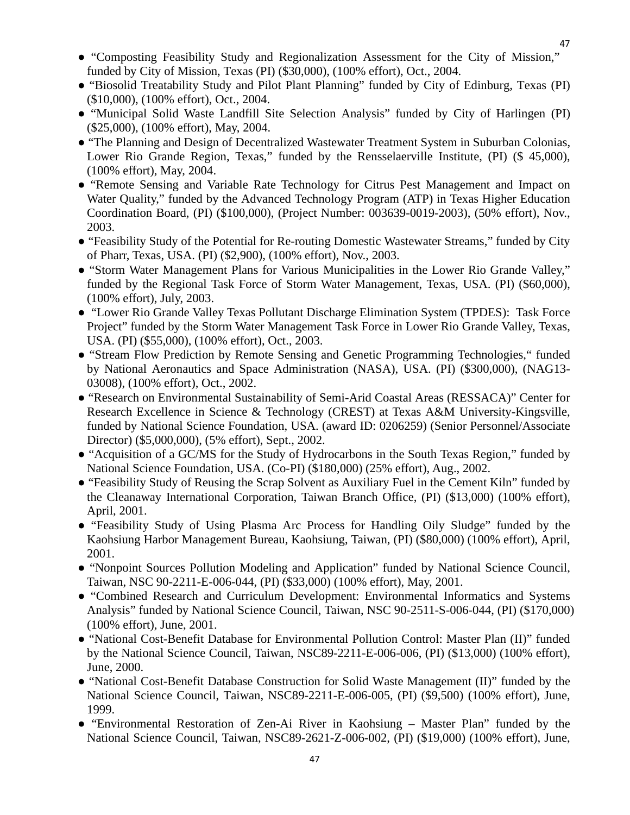- "Composting Feasibility Study and Regionalization Assessment for the City of Mission," funded by City of Mission, Texas (PI) (\$30,000), (100% effort), Oct., 2004.
- "Biosolid Treatability Study and Pilot Plant Planning" funded by City of Edinburg, Texas (PI) (\$10,000), (100% effort), Oct., 2004.
- "Municipal Solid Waste Landfill Site Selection Analysis" funded by City of Harlingen (PI) (\$25,000), (100% effort), May, 2004.
- "The Planning and Design of Decentralized Wastewater Treatment System in Suburban Colonias, Lower Rio Grande Region, Texas," funded by the Rensselaerville Institute, (PI) (\$45,000), (100% effort), May, 2004.
- "Remote Sensing and Variable Rate Technology for Citrus Pest Management and Impact on Water Quality," funded by the Advanced Technology Program (ATP) in Texas Higher Education Coordination Board, (PI) (\$100,000), (Project Number: 003639-0019-2003), (50% effort), Nov., 2003.
- "Feasibility Study of the Potential for Re-routing Domestic Wastewater Streams," funded by City of Pharr, Texas, USA. (PI) (\$2,900), (100% effort), Nov., 2003.
- "Storm Water Management Plans for Various Municipalities in the Lower Rio Grande Valley," funded by the Regional Task Force of Storm Water Management, Texas, USA. (PI) (\$60,000), (100% effort), July, 2003.
- "Lower Rio Grande Valley Texas Pollutant Discharge Elimination System (TPDES): Task Force Project" funded by the Storm Water Management Task Force in Lower Rio Grande Valley, Texas, USA. (PI) (\$55,000), (100% effort), Oct., 2003.
- "Stream Flow Prediction by Remote Sensing and Genetic Programming Technologies," funded by National Aeronautics and Space Administration (NASA), USA. (PI) (\$300,000), (NAG13- 03008), (100% effort), Oct., 2002.
- "Research on Environmental Sustainability of Semi-Arid Coastal Areas (RESSACA)" Center for Research Excellence in Science & Technology (CREST) at Texas A&M University-Kingsville, funded by National Science Foundation, USA. (award ID: 0206259) (Senior Personnel/Associate Director) (\$5,000,000), (5% effort), Sept., 2002.
- "Acquisition of a GC/MS for the Study of Hydrocarbons in the South Texas Region," funded by National Science Foundation, USA. (Co-PI) (\$180,000) (25% effort), Aug., 2002.
- "Feasibility Study of Reusing the Scrap Solvent as Auxiliary Fuel in the Cement Kiln" funded by the Cleanaway International Corporation, Taiwan Branch Office, (PI) (\$13,000) (100% effort), April, 2001.
- "Feasibility Study of Using Plasma Arc Process for Handling Oily Sludge" funded by the Kaohsiung Harbor Management Bureau, Kaohsiung, Taiwan, (PI) (\$80,000) (100% effort), April, 2001.
- "Nonpoint Sources Pollution Modeling and Application" funded by National Science Council, Taiwan, NSC 90-2211-E-006-044, (PI) (\$33,000) (100% effort), May, 2001.
- "Combined Research and Curriculum Development: Environmental Informatics and Systems Analysis" funded by National Science Council, Taiwan, NSC 90-2511-S-006-044, (PI) (\$170,000) (100% effort), June, 2001.
- "National Cost-Benefit Database for Environmental Pollution Control: Master Plan (II)" funded by the National Science Council, Taiwan, NSC89-2211-E-006-006, (PI) (\$13,000) (100% effort), June, 2000.
- "National Cost-Benefit Database Construction for Solid Waste Management (II)" funded by the National Science Council, Taiwan, NSC89-2211-E-006-005, (PI) (\$9,500) (100% effort), June, 1999.
- "Environmental Restoration of Zen-Ai River in Kaohsiung Master Plan" funded by the National Science Council, Taiwan, NSC89-2621-Z-006-002, (PI) (\$19,000) (100% effort), June,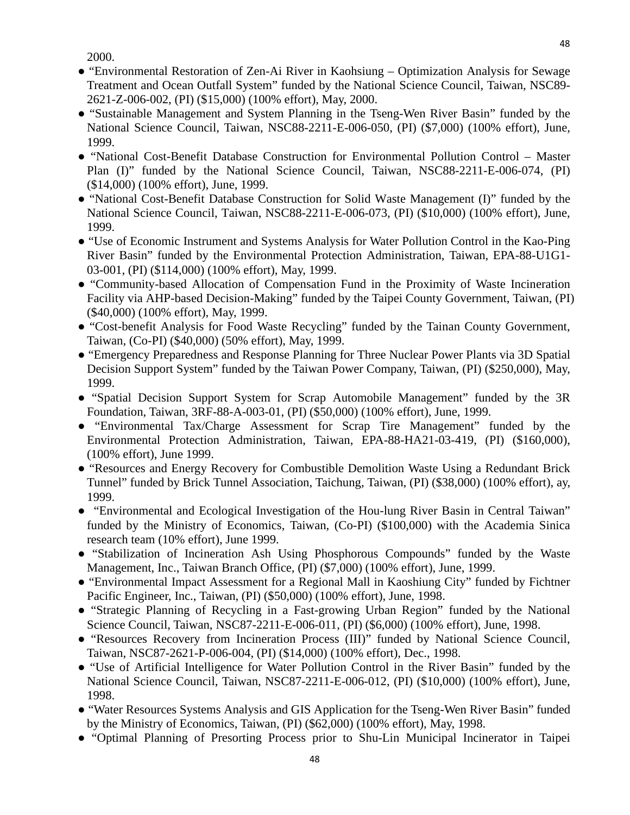2000.

- "Environmental Restoration of Zen-Ai River in Kaohsiung Optimization Analysis for Sewage Treatment and Ocean Outfall System" funded by the National Science Council, Taiwan, NSC89- 2621-Z-006-002, (PI) (\$15,000) (100% effort), May, 2000.
- "Sustainable Management and System Planning in the Tseng-Wen River Basin" funded by the National Science Council, Taiwan, NSC88-2211-E-006-050, (PI) (\$7,000) (100% effort), June, 1999.
- "National Cost-Benefit Database Construction for Environmental Pollution Control Master Plan (I)" funded by the National Science Council, Taiwan, NSC88-2211-E-006-074, (PI) (\$14,000) (100% effort), June, 1999.
- "National Cost-Benefit Database Construction for Solid Waste Management (I)" funded by the National Science Council, Taiwan, NSC88-2211-E-006-073, (PI) (\$10,000) (100% effort), June, 1999.
- "Use of Economic Instrument and Systems Analysis for Water Pollution Control in the Kao-Ping River Basin" funded by the Environmental Protection Administration, Taiwan, EPA-88-U1G1- 03-001, (PI) (\$114,000) (100% effort), May, 1999.
- "Community-based Allocation of Compensation Fund in the Proximity of Waste Incineration Facility via AHP-based Decision-Making" funded by the Taipei County Government, Taiwan, (PI) (\$40,000) (100% effort), May, 1999.
- "Cost-benefit Analysis for Food Waste Recycling" funded by the Tainan County Government, Taiwan, (Co-PI) (\$40,000) (50% effort), May, 1999.
- "Emergency Preparedness and Response Planning for Three Nuclear Power Plants via 3D Spatial Decision Support System" funded by the Taiwan Power Company, Taiwan, (PI) (\$250,000), May, 1999.
- "Spatial Decision Support System for Scrap Automobile Management" funded by the 3R Foundation, Taiwan, 3RF-88-A-003-01, (PI) (\$50,000) (100% effort), June, 1999.
- "Environmental Tax/Charge Assessment for Scrap Tire Management" funded by the Environmental Protection Administration, Taiwan, EPA-88-HA21-03-419, (PI) (\$160,000), (100% effort), June 1999.
- "Resources and Energy Recovery for Combustible Demolition Waste Using a Redundant Brick Tunnel" funded by Brick Tunnel Association, Taichung, Taiwan, (PI) (\$38,000) (100% effort), ay, 1999.
- "Environmental and Ecological Investigation of the Hou-lung River Basin in Central Taiwan" funded by the Ministry of Economics, Taiwan, (Co-PI) (\$100,000) with the Academia Sinica research team (10% effort), June 1999.
- "Stabilization of Incineration Ash Using Phosphorous Compounds" funded by the Waste Management, Inc., Taiwan Branch Office, (PI) (\$7,000) (100% effort), June, 1999.
- "Environmental Impact Assessment for a Regional Mall in Kaoshiung City" funded by Fichtner Pacific Engineer, Inc., Taiwan, (PI) (\$50,000) (100% effort), June, 1998.
- "Strategic Planning of Recycling in a Fast-growing Urban Region" funded by the National Science Council, Taiwan, NSC87-2211-E-006-011, (PI) (\$6,000) (100% effort), June, 1998.
- "Resources Recovery from Incineration Process (III)" funded by National Science Council, Taiwan, NSC87-2621-P-006-004, (PI) (\$14,000) (100% effort), Dec., 1998.
- "Use of Artificial Intelligence for Water Pollution Control in the River Basin" funded by the National Science Council, Taiwan, NSC87-2211-E-006-012, (PI) (\$10,000) (100% effort), June, 1998.
- "Water Resources Systems Analysis and GIS Application for the Tseng-Wen River Basin" funded by the Ministry of Economics, Taiwan, (PI) (\$62,000) (100% effort), May, 1998.
- "Optimal Planning of Presorting Process prior to Shu-Lin Municipal Incinerator in Taipei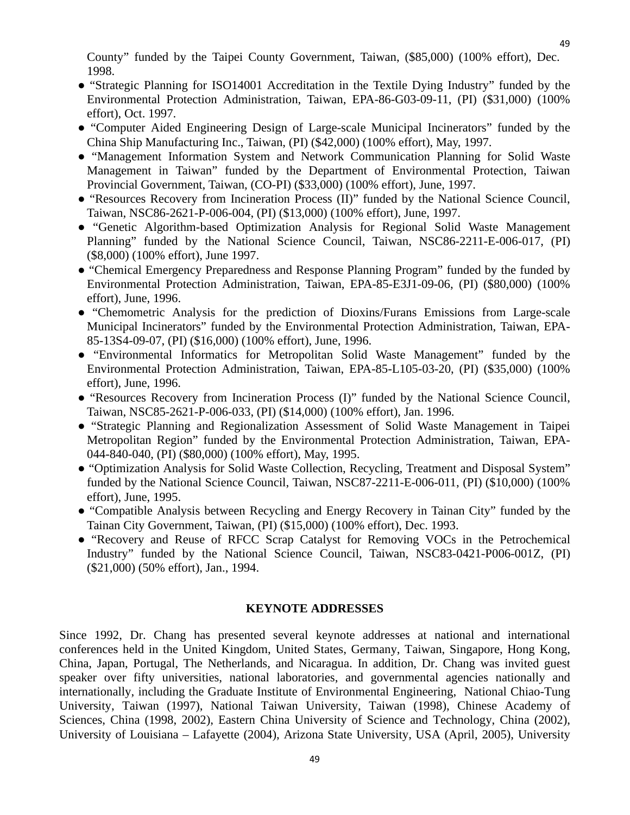County" funded by the Taipei County Government, Taiwan, (\$85,000) (100% effort), Dec. 1998.

- "Strategic Planning for ISO14001 Accreditation in the Textile Dying Industry" funded by the Environmental Protection Administration, Taiwan, EPA-86-G03-09-11, (PI) (\$31,000) (100% effort), Oct. 1997.
- "Computer Aided Engineering Design of Large-scale Municipal Incinerators" funded by the China Ship Manufacturing Inc., Taiwan, (PI) (\$42,000) (100% effort), May, 1997.
- "Management Information System and Network Communication Planning for Solid Waste Management in Taiwan" funded by the Department of Environmental Protection, Taiwan Provincial Government, Taiwan, (CO-PI) (\$33,000) (100% effort), June, 1997.
- "Resources Recovery from Incineration Process (II)" funded by the National Science Council, Taiwan, NSC86-2621-P-006-004, (PI) (\$13,000) (100% effort), June, 1997.
- "Genetic Algorithm-based Optimization Analysis for Regional Solid Waste Management Planning" funded by the National Science Council, Taiwan, NSC86-2211-E-006-017, (PI) (\$8,000) (100% effort), June 1997.
- "Chemical Emergency Preparedness and Response Planning Program" funded by the funded by Environmental Protection Administration, Taiwan, EPA-85-E3J1-09-06, (PI) (\$80,000) (100% effort), June, 1996.
- "Chemometric Analysis for the prediction of Dioxins/Furans Emissions from Large-scale Municipal Incinerators" funded by the Environmental Protection Administration, Taiwan, EPA-85-13S4-09-07, (PI) (\$16,000) (100% effort), June, 1996.
- "Environmental Informatics for Metropolitan Solid Waste Management" funded by the Environmental Protection Administration, Taiwan, EPA-85-L105-03-20, (PI) (\$35,000) (100% effort), June, 1996.
- "Resources Recovery from Incineration Process (I)" funded by the National Science Council, Taiwan, NSC85-2621-P-006-033, (PI) (\$14,000) (100% effort), Jan. 1996.
- "Strategic Planning and Regionalization Assessment of Solid Waste Management in Taipei Metropolitan Region" funded by the Environmental Protection Administration, Taiwan, EPA-044-840-040, (PI) (\$80,000) (100% effort), May, 1995.
- "Optimization Analysis for Solid Waste Collection, Recycling, Treatment and Disposal System" funded by the National Science Council, Taiwan, NSC87-2211-E-006-011, (PI) (\$10,000) (100% effort), June, 1995.
- "Compatible Analysis between Recycling and Energy Recovery in Tainan City" funded by the Tainan City Government, Taiwan, (PI) (\$15,000) (100% effort), Dec. 1993.
- "Recovery and Reuse of RFCC Scrap Catalyst for Removing VOCs in the Petrochemical Industry" funded by the National Science Council, Taiwan, NSC83-0421-P006-001Z, (PI) (\$21,000) (50% effort), Jan., 1994.

## **KEYNOTE ADDRESSES**

<span id="page-48-0"></span>Since 1992, Dr. Chang has presented several keynote addresses at national and international conferences held in the United Kingdom, United States, Germany, Taiwan, Singapore, Hong Kong, China, Japan, Portugal, The Netherlands, and Nicaragua. In addition, Dr. Chang was invited guest speaker over fifty universities, national laboratories, and governmental agencies nationally and internationally, including the Graduate Institute of Environmental Engineering, National Chiao-Tung University, Taiwan (1997), National Taiwan University, Taiwan (1998), Chinese Academy of Sciences, China (1998, 2002), Eastern China University of Science and Technology, China (2002), University of Louisiana – Lafayette (2004), Arizona State University, USA (April, 2005), University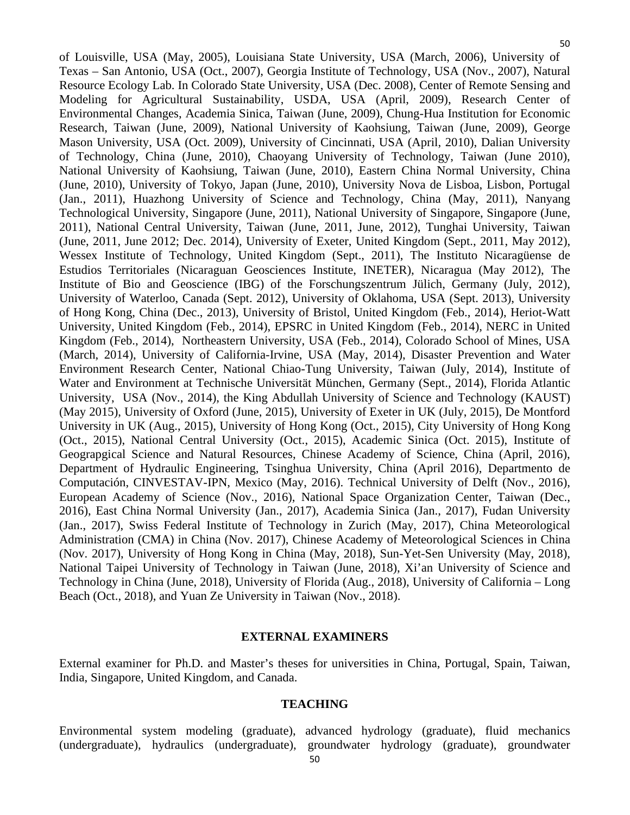of Louisville, USA (May, 2005), Louisiana State University, USA (March, 2006), University of Texas – San Antonio, USA (Oct., 2007), Georgia Institute of Technology, USA (Nov., 2007), Natural Resource Ecology Lab. In Colorado State University, USA (Dec. 2008), Center of Remote Sensing and Modeling for Agricultural Sustainability, USDA, USA (April, 2009), Research Center of Environmental Changes, Academia Sinica, Taiwan (June, 2009), Chung-Hua Institution for Economic Research, Taiwan (June, 2009), National University of Kaohsiung, Taiwan (June, 2009), George Mason University, USA (Oct. 2009), University of Cincinnati, USA (April, 2010), Dalian University of Technology, China (June, 2010), Chaoyang University of Technology, Taiwan (June 2010), National University of Kaohsiung, Taiwan (June, 2010), Eastern China Normal University, China (June, 2010), University of Tokyo, Japan (June, 2010), University Nova de Lisboa, Lisbon, Portugal (Jan., 2011), Huazhong University of Science and Technology, China (May, 2011), Nanyang Technological University, Singapore (June, 2011), National University of Singapore, Singapore (June, 2011), National Central University, Taiwan (June, 2011, June, 2012), Tunghai University, Taiwan (June, 2011, June 2012; Dec. 2014), University of Exeter, United Kingdom (Sept., 2011, May 2012), Wessex Institute of Technology, United Kingdom (Sept., 2011), The Instituto Nicaragüense de Estudios Territoriales (Nicaraguan Geosciences Institute, INETER), Nicaragua (May 2012), The Institute of Bio and Geoscience (IBG) of the Forschungszentrum Jülich, Germany (July, 2012), University of Waterloo, Canada (Sept. 2012), University of Oklahoma, USA (Sept. 2013), University of Hong Kong, China (Dec., 2013), University of Bristol, United Kingdom (Feb., 2014), Heriot-Watt University, United Kingdom (Feb., 2014), EPSRC in United Kingdom (Feb., 2014), NERC in United Kingdom (Feb., 2014), Northeastern University, USA (Feb., 2014), Colorado School of Mines, USA (March, 2014), University of California-Irvine, USA (May, 2014), Disaster Prevention and Water Environment Research Center, National Chiao-Tung University, Taiwan (July, 2014), Institute of Water and Environment at Technische Universität München, Germany (Sept., 2014), Florida Atlantic University, USA (Nov., 2014), the King Abdullah University of Science and Technology (KAUST) (May 2015), University of Oxford (June, 2015), University of Exeter in UK (July, 2015), De Montford University in UK (Aug., 2015), University of Hong Kong (Oct., 2015), City University of Hong Kong (Oct., 2015), National Central University (Oct., 2015), Academic Sinica (Oct. 2015), Institute of Geograpgical Science and Natural Resources, Chinese Academy of Science, China (April, 2016), Department of Hydraulic Engineering, Tsinghua University, China (April 2016), Departmento de Computación, CINVESTAV-IPN, Mexico (May, 2016). Technical University of Delft (Nov., 2016), European Academy of Science (Nov., 2016), National Space Organization Center, Taiwan (Dec., 2016), East China Normal University (Jan., 2017), Academia Sinica (Jan., 2017), Fudan University (Jan., 2017), Swiss Federal Institute of Technology in Zurich (May, 2017), China Meteorological Administration (CMA) in China (Nov. 2017), Chinese Academy of Meteorological Sciences in China (Nov. 2017), University of Hong Kong in China (May, 2018), Sun-Yet-Sen University (May, 2018), National Taipei University of Technology in Taiwan (June, 2018), Xi'an University of Science and Technology in China (June, 2018), University of Florida (Aug., 2018), University of California – Long Beach (Oct., 2018), and Yuan Ze University in Taiwan (Nov., 2018).

#### **EXTERNAL EXAMINERS**

<span id="page-49-1"></span><span id="page-49-0"></span>External examiner for Ph.D. and Master's theses for universities in China, Portugal, Spain, Taiwan, India, Singapore, United Kingdom, and Canada.

#### **TEACHING**

Environmental system modeling (graduate), advanced hydrology (graduate), fluid mechanics (undergraduate), hydraulics (undergraduate), groundwater hydrology (graduate), groundwater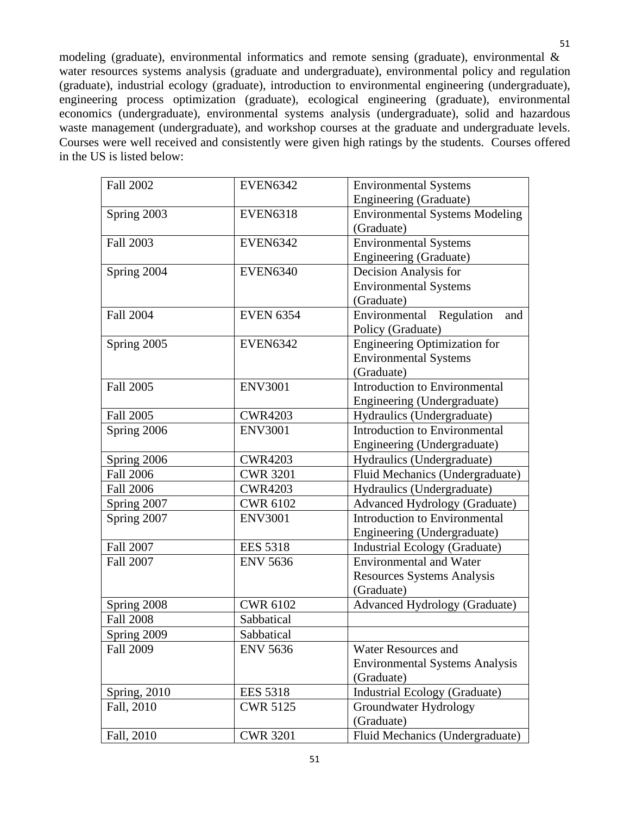modeling (graduate), environmental informatics and remote sensing (graduate), environmental & water resources systems analysis (graduate and undergraduate), environmental policy and regulation (graduate), industrial ecology (graduate), introduction to environmental engineering (undergraduate), engineering process optimization (graduate), ecological engineering (graduate), environmental economics (undergraduate), environmental systems analysis (undergraduate), solid and hazardous waste management (undergraduate), and workshop courses at the graduate and undergraduate levels. Courses were well received and consistently were given high ratings by the students. Courses offered in the US is listed below:

| <b>Fall 2002</b> | <b>EVEN6342</b>  | <b>Environmental Systems</b>          |
|------------------|------------------|---------------------------------------|
|                  |                  | Engineering (Graduate)                |
| Spring 2003      | <b>EVEN6318</b>  | <b>Environmental Systems Modeling</b> |
|                  |                  | (Graduate)                            |
| <b>Fall 2003</b> | <b>EVEN6342</b>  | <b>Environmental Systems</b>          |
|                  |                  | Engineering (Graduate)                |
| Spring 2004      | <b>EVEN6340</b>  | Decision Analysis for                 |
|                  |                  | <b>Environmental Systems</b>          |
|                  |                  | (Graduate)                            |
| <b>Fall 2004</b> | <b>EVEN 6354</b> | Environmental Regulation<br>and       |
|                  |                  | Policy (Graduate)                     |
| Spring 2005      | <b>EVEN6342</b>  | <b>Engineering Optimization for</b>   |
|                  |                  | <b>Environmental Systems</b>          |
|                  |                  | (Graduate)                            |
| <b>Fall 2005</b> | <b>ENV3001</b>   | Introduction to Environmental         |
|                  |                  | Engineering (Undergraduate)           |
| Fall 2005        | <b>CWR4203</b>   | Hydraulics (Undergraduate)            |
| Spring 2006      | <b>ENV3001</b>   | <b>Introduction to Environmental</b>  |
|                  |                  | Engineering (Undergraduate)           |
| Spring 2006      | <b>CWR4203</b>   | Hydraulics (Undergraduate)            |
| <b>Fall 2006</b> | <b>CWR 3201</b>  | Fluid Mechanics (Undergraduate)       |
| <b>Fall 2006</b> | <b>CWR4203</b>   | Hydraulics (Undergraduate)            |
| Spring 2007      | <b>CWR 6102</b>  | <b>Advanced Hydrology (Graduate)</b>  |
| Spring 2007      | <b>ENV3001</b>   | <b>Introduction to Environmental</b>  |
|                  |                  | Engineering (Undergraduate)           |
| <b>Fall 2007</b> | <b>EES 5318</b>  | <b>Industrial Ecology (Graduate)</b>  |
| <b>Fall 2007</b> | <b>ENV 5636</b>  | <b>Environmental and Water</b>        |
|                  |                  | <b>Resources Systems Analysis</b>     |
|                  |                  | (Graduate)                            |
| Spring 2008      | <b>CWR 6102</b>  | <b>Advanced Hydrology (Graduate)</b>  |
| <b>Fall 2008</b> | Sabbatical       |                                       |
| Spring 2009      | Sabbatical       |                                       |
| <b>Fall 2009</b> | <b>ENV 5636</b>  | <b>Water Resources and</b>            |
|                  |                  | <b>Environmental Systems Analysis</b> |
|                  |                  | (Graduate)                            |
| Spring, 2010     | <b>EES 5318</b>  | <b>Industrial Ecology (Graduate)</b>  |
| Fall, 2010       | <b>CWR 5125</b>  | Groundwater Hydrology                 |
|                  |                  | (Graduate)                            |
| Fall, 2010       | <b>CWR 3201</b>  | Fluid Mechanics (Undergraduate)       |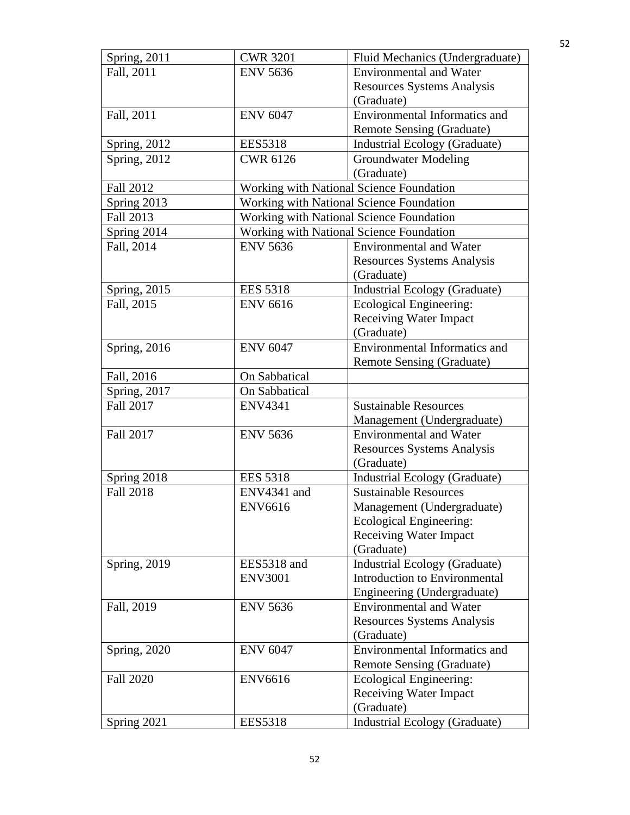| Spring, 2011        | <b>CWR 3201</b> | Fluid Mechanics (Undergraduate)          |
|---------------------|-----------------|------------------------------------------|
| Fall, 2011          | <b>ENV 5636</b> | <b>Environmental and Water</b>           |
|                     |                 | <b>Resources Systems Analysis</b>        |
|                     |                 | (Graduate)                               |
| Fall, 2011          | <b>ENV 6047</b> | <b>Environmental Informatics and</b>     |
|                     |                 | Remote Sensing (Graduate)                |
| <b>Spring, 2012</b> | <b>EES5318</b>  | Industrial Ecology (Graduate)            |
| Spring, 2012        | <b>CWR 6126</b> | <b>Groundwater Modeling</b>              |
|                     |                 | (Graduate)                               |
| <b>Fall 2012</b>    |                 | Working with National Science Foundation |
| Spring 2013         |                 | Working with National Science Foundation |
| Fall 2013           |                 | Working with National Science Foundation |
| Spring 2014         |                 | Working with National Science Foundation |
| Fall, 2014          | <b>ENV 5636</b> | <b>Environmental and Water</b>           |
|                     |                 | <b>Resources Systems Analysis</b>        |
|                     |                 | (Graduate)                               |
| Spring, 2015        | <b>EES 5318</b> | <b>Industrial Ecology (Graduate)</b>     |
| Fall, 2015          | <b>ENV 6616</b> | Ecological Engineering:                  |
|                     |                 | <b>Receiving Water Impact</b>            |
|                     |                 | (Graduate)                               |
| Spring, 2016        | <b>ENV 6047</b> | Environmental Informatics and            |
|                     |                 | Remote Sensing (Graduate)                |
| Fall, 2016          | On Sabbatical   |                                          |
| Spring, 2017        | On Sabbatical   |                                          |
| Fall 2017           | <b>ENV4341</b>  | <b>Sustainable Resources</b>             |
|                     |                 | Management (Undergraduate)               |
| <b>Fall 2017</b>    | <b>ENV 5636</b> | <b>Environmental and Water</b>           |
|                     |                 | <b>Resources Systems Analysis</b>        |
|                     |                 | (Graduate)                               |
| Spring 2018         | <b>EES 5318</b> | <b>Industrial Ecology (Graduate)</b>     |
| <b>Fall 2018</b>    | ENV4341 and     | <b>Sustainable Resources</b>             |
|                     | <b>ENV6616</b>  | Management (Undergraduate)               |
|                     |                 | Ecological Engineering:                  |
|                     |                 | <b>Receiving Water Impact</b>            |
|                     |                 | (Graduate)                               |
| Spring, 2019        | EES5318 and     | <b>Industrial Ecology (Graduate)</b>     |
|                     | <b>ENV3001</b>  | <b>Introduction to Environmental</b>     |
|                     |                 | Engineering (Undergraduate)              |
| Fall, 2019          | <b>ENV 5636</b> | <b>Environmental and Water</b>           |
|                     |                 | <b>Resources Systems Analysis</b>        |
|                     |                 | (Graduate)                               |
| Spring, 2020        | <b>ENV 6047</b> | <b>Environmental Informatics and</b>     |
|                     |                 | Remote Sensing (Graduate)                |
| <b>Fall 2020</b>    | <b>ENV6616</b>  | Ecological Engineering:                  |
|                     |                 | <b>Receiving Water Impact</b>            |
|                     |                 | (Graduate)                               |
| Spring 2021         | <b>EES5318</b>  | <b>Industrial Ecology (Graduate)</b>     |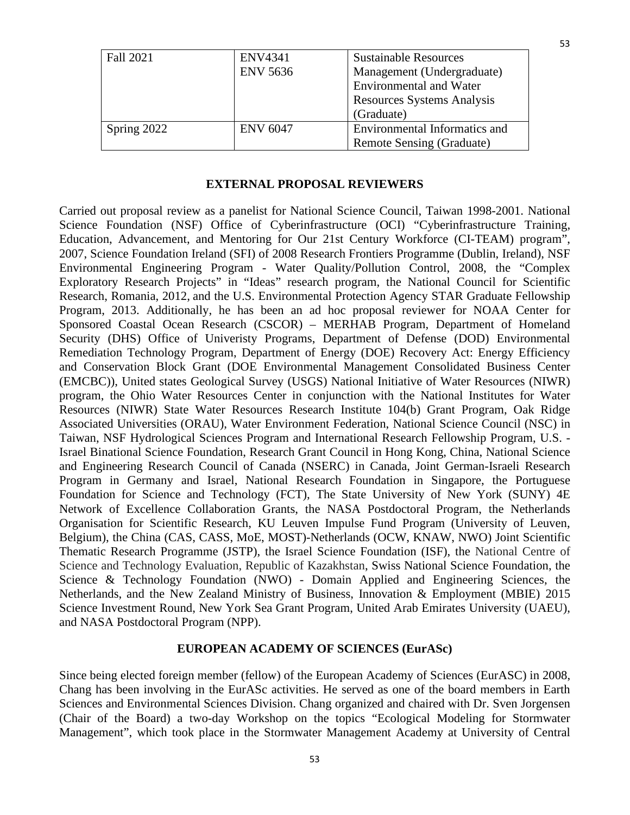| Fall 2021   | <b>ENV4341</b>  | <b>Sustainable Resources</b>      |
|-------------|-----------------|-----------------------------------|
|             | <b>ENV 5636</b> | Management (Undergraduate)        |
|             |                 | <b>Environmental and Water</b>    |
|             |                 | <b>Resources Systems Analysis</b> |
|             |                 | (Graduate)                        |
| Spring 2022 | <b>ENV 6047</b> | Environmental Informatics and     |
|             |                 | Remote Sensing (Graduate)         |

#### **EXTERNAL PROPOSAL REVIEWERS**

<span id="page-52-0"></span>Carried out proposal review as a panelist for National Science Council, Taiwan 1998-2001. National Science Foundation (NSF) Office of Cyberinfrastructure (OCI) "Cyberinfrastructure Training, Education, Advancement, and Mentoring for Our 21st Century Workforce (CI-TEAM) program", 2007, Science Foundation Ireland (SFI) of 2008 Research Frontiers Programme (Dublin, Ireland), NSF Environmental Engineering Program - Water Quality/Pollution Control, 2008, the "Complex Exploratory Research Projects" in "Ideas" research program, the National Council for Scientific Research, Romania, 2012, and the U.S. Environmental Protection Agency STAR Graduate Fellowship Program, 2013. Additionally, he has been an ad hoc proposal reviewer for NOAA Center for Sponsored Coastal Ocean Research (CSCOR) – MERHAB Program, Department of Homeland Security (DHS) Office of Univeristy Programs, Department of Defense (DOD) Environmental Remediation Technology Program, Department of Energy (DOE) Recovery Act: Energy Efficiency and Conservation Block Grant (DOE Environmental Management Consolidated Business Center (EMCBC)), United states Geological Survey (USGS) National Initiative of Water Resources (NIWR) program, the Ohio Water Resources Center in conjunction with the National Institutes for Water Resources (NIWR) State Water Resources Research Institute 104(b) Grant Program, Oak Ridge Associated Universities (ORAU), Water Environment Federation, National Science Council (NSC) in Taiwan, NSF Hydrological Sciences Program and International Research Fellowship Program, U.S. - Israel Binational Science Foundation, Research Grant Council in Hong Kong, China, National Science and Engineering Research Council of Canada (NSERC) in Canada, Joint German-Israeli Research Program in Germany and Israel, National Research Foundation in Singapore, the Portuguese Foundation for Science and Technology (FCT), The State University of New York (SUNY) 4E Network of Excellence Collaboration Grants, the NASA Postdoctoral Program, the Netherlands Organisation for Scientific Research, KU Leuven Impulse Fund Program (University of Leuven, Belgium), the China (CAS, CASS, MoE, MOST)-Netherlands (OCW, KNAW, NWO) Joint Scientific Thematic Research Programme (JSTP), the Israel Science Foundation (ISF), the National Centre of Science and Technology Evaluation, Republic of Kazakhstan, Swiss National Science Foundation, the Science & Technology Foundation (NWO) - Domain Applied and Engineering Sciences, the Netherlands, and the New Zealand Ministry of Business, Innovation & Employment (MBIE) 2015 Science Investment Round, New York Sea Grant Program, United Arab Emirates University (UAEU), and NASA Postdoctoral Program (NPP).

#### **EUROPEAN ACADEMY OF SCIENCES (EurASc)**

<span id="page-52-1"></span>Since being elected foreign member (fellow) of the European Academy of Sciences (EurASC) in 2008, Chang has been involving in the EurASc activities. He served as one of the board members in Earth Sciences and Environmental Sciences Division. Chang organized and chaired with Dr. Sven Jorgensen (Chair of the Board) a two-day Workshop on the topics "Ecological Modeling for Stormwater Management", which took place in the Stormwater Management Academy at University of Central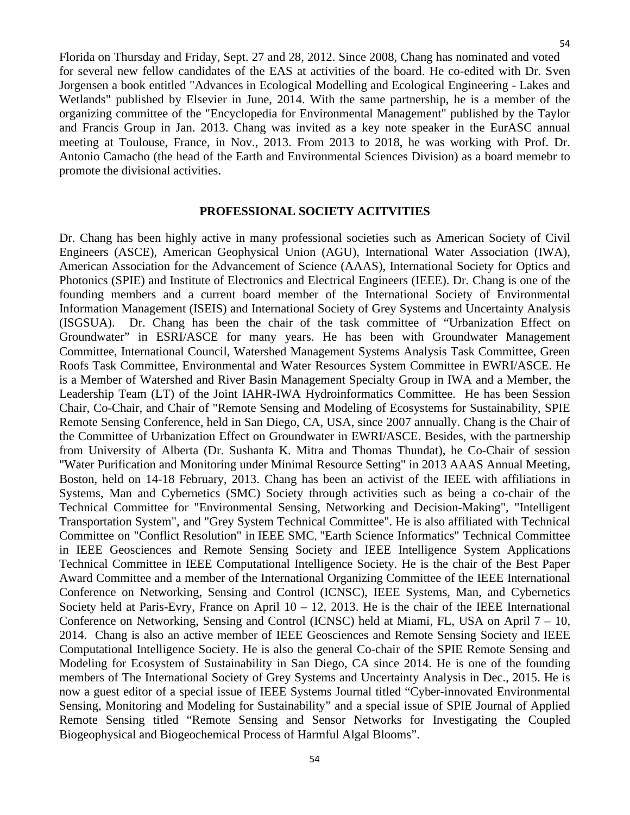Florida on Thursday and Friday, Sept. 27 and 28, 2012. Since 2008, Chang has nominated and voted for several new fellow candidates of the EAS at activities of the board. He co-edited with Dr. Sven Jorgensen a book entitled "Advances in Ecological Modelling and Ecological Engineering - Lakes and Wetlands" published by Elsevier in June, 2014. With the same partnership, he is a member of the organizing committee of the "Encyclopedia for Environmental Management" published by the Taylor and Francis Group in Jan. 2013. Chang was invited as a key note speaker in the EurASC annual meeting at Toulouse, France, in Nov., 2013. From 2013 to 2018, he was working with Prof. Dr. Antonio Camacho (the head of the Earth and Environmental Sciences Division) as a board memebr to promote the divisional activities.

## **PROFESSIONAL SOCIETY ACITVITIES**

<span id="page-53-0"></span>Dr. Chang has been highly active in many professional societies such as American Society of Civil Engineers (ASCE), American Geophysical Union (AGU), International Water Association (IWA), American Association for the Advancement of Science (AAAS), International Society for Optics and Photonics (SPIE) and Institute of Electronics and Electrical Engineers (IEEE). Dr. Chang is one of the founding members and a current board member of the International Society of Environmental Information Management (ISEIS) and International Society of Grey Systems and Uncertainty Analysis (ISGSUA). Dr. Chang has been the chair of the task committee of "Urbanization Effect on Groundwater" in ESRI/ASCE for many years. He has been with Groundwater Management Committee, International Council, Watershed Management Systems Analysis Task Committee, Green Roofs Task Committee, Environmental and Water Resources System Committee in EWRI/ASCE. He is a Member of Watershed and River Basin Management Specialty Group in IWA and a Member, the Leadership Team (LT) of the Joint IAHR-IWA Hydroinformatics Committee. He has been Session Chair, Co-Chair, and Chair of "Remote Sensing and Modeling of Ecosystems for Sustainability, SPIE Remote Sensing Conference, held in San Diego, CA, USA, since 2007 annually. Chang is the Chair of the Committee of Urbanization Effect on Groundwater in EWRI/ASCE. Besides, with the partnership from University of Alberta (Dr. Sushanta K. Mitra and Thomas Thundat), he Co-Chair of session "Water Purification and Monitoring under Minimal Resource Setting" in 2013 AAAS Annual Meeting, Boston, held on 14-18 February, 2013. Chang has been an activist of the IEEE with affiliations in Systems, Man and Cybernetics (SMC) Society through activities such as being a co-chair of the Technical Committee for "Environmental Sensing, Networking and Decision-Making", "Intelligent Transportation System", and "Grey System Technical Committee". He is also affiliated with Technical Committee on "Conflict Resolution" in IEEE SMC, "Earth Science Informatics" Technical Committee in IEEE Geosciences and Remote Sensing Society and IEEE Intelligence System Applications Technical Committee in IEEE Computational Intelligence Society. He is the chair of the Best Paper Award Committee and a member of the International Organizing Committee of the IEEE International Conference on Networking, Sensing and Control (ICNSC), IEEE Systems, Man, and Cybernetics Society held at Paris-Evry, France on April  $10 - 12$ , 2013. He is the chair of the IEEE International Conference on Networking, Sensing and Control (ICNSC) held at Miami, FL, USA on April 7 – 10, 2014. Chang is also an active member of IEEE Geosciences and Remote Sensing Society and IEEE Computational Intelligence Society. He is also the general Co-chair of the SPIE Remote Sensing and Modeling for Ecosystem of Sustainability in San Diego, CA since 2014. He is one of the founding members of The International Society of Grey Systems and Uncertainty Analysis in Dec., 2015. He is now a guest editor of a special issue of IEEE Systems Journal titled "Cyber-innovated Environmental Sensing, Monitoring and Modeling for Sustainability" and a special issue of SPIE Journal of Applied Remote Sensing titled "Remote Sensing and Sensor Networks for Investigating the Coupled Biogeophysical and Biogeochemical Process of Harmful Algal Blooms".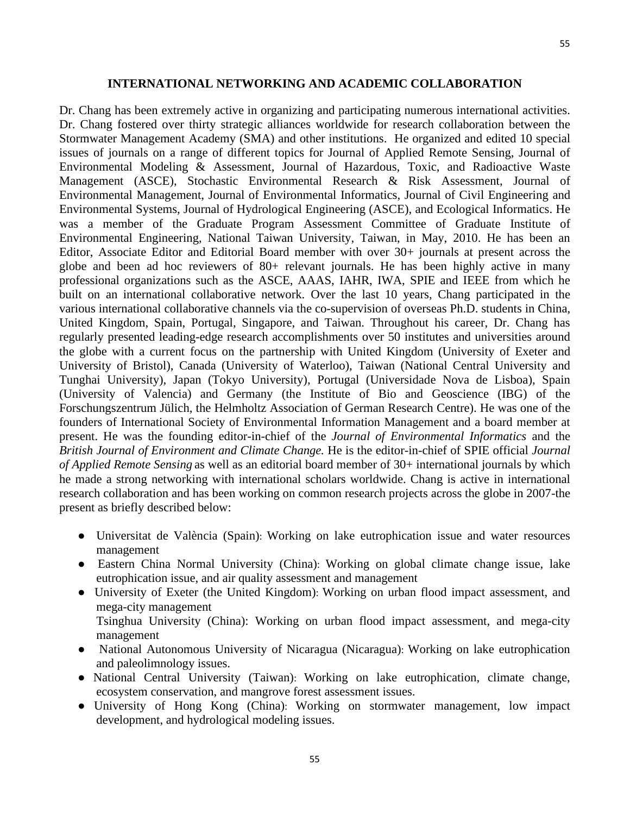#### **INTERNATIONAL NETWORKING AND ACADEMIC COLLABORATION**

<span id="page-54-0"></span>Dr. Chang has been extremely active in organizing and participating numerous international activities. Dr. Chang fostered over thirty strategic alliances worldwide for research collaboration between the Stormwater Management Academy (SMA) and other institutions. He organized and edited 10 special issues of journals on a range of different topics for Journal of Applied Remote Sensing, Journal of Environmental Modeling & Assessment, Journal of Hazardous, Toxic, and Radioactive Waste Management (ASCE), Stochastic Environmental Research & Risk Assessment, Journal of Environmental Management, Journal of Environmental Informatics, Journal of Civil Engineering and Environmental Systems, Journal of Hydrological Engineering (ASCE), and Ecological Informatics. He was a member of the Graduate Program Assessment Committee of Graduate Institute of Environmental Engineering, National Taiwan University, Taiwan, in May, 2010. He has been an Editor, Associate Editor and Editorial Board member with over 30+ journals at present across the globe and been ad hoc reviewers of 80+ relevant journals. He has been highly active in many professional organizations such as the ASCE, AAAS, IAHR, IWA, SPIE and IEEE from which he built on an international collaborative network. Over the last 10 years, Chang participated in the various international collaborative channels via the co-supervision of overseas Ph.D. students in China, United Kingdom, Spain, Portugal, Singapore, and Taiwan. Throughout his career, Dr. Chang has regularly presented leading-edge research accomplishments over 50 institutes and universities around the globe with a current focus on the partnership with United Kingdom (University of Exeter and University of Bristol), Canada (University of Waterloo), Taiwan (National Central University and Tunghai University), Japan (Tokyo University), Portugal (Universidade Nova de Lisboa), Spain (University of Valencia) and Germany (the Institute of Bio and Geoscience (IBG) of the Forschungszentrum Jülich, the Helmholtz Association of German Research Centre). He was one of the founders of International Society of Environmental Information Management and a board member at present. He was the founding editor-in-chief of the *Journal of Environmental Informatics* and the *British Journal of Environment and Climate Change.* He is the editor-in-chief of SPIE official *Journal of Applied Remote Sensing* as well as an editorial board member of 30+ international journals by which he made a strong networking with international scholars worldwide. Chang is active in international research collaboration and has been working on common research projects across the globe in 2007-the present as briefly described below:

- Universitat de València (Spain): Working on lake eutrophication issue and water resources management
- Eastern China Normal University (China): Working on global climate change issue, lake eutrophication issue, and air quality assessment and management
- University of Exeter (the United Kingdom): Working on urban flood impact assessment, and mega-city management Tsinghua University (China): Working on urban flood impact assessment, and mega-city management
- National Autonomous University of Nicaragua (Nicaragua): Working on lake eutrophication and paleolimnology issues.
- National Central University (Taiwan): Working on lake eutrophication, climate change, ecosystem conservation, and mangrove forest assessment issues.
- University of Hong Kong (China): Working on stormwater management, low impact development, and hydrological modeling issues.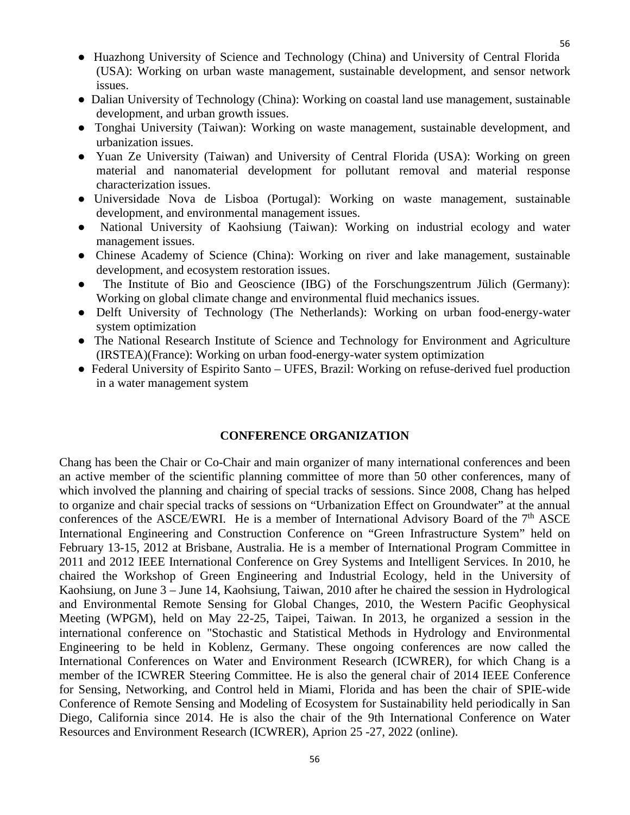- Dalian University of Technology (China): Working on coastal land use management, sustainable development, and urban growth issues.
- Tonghai University (Taiwan): Working on waste management, sustainable development, and urbanization issues.
- Yuan Ze University (Taiwan) and University of Central Florida (USA): Working on green material and nanomaterial development for pollutant removal and material response characterization issues.
- Universidade Nova de Lisboa (Portugal): Working on waste management, sustainable development, and environmental management issues.
- National University of Kaohsiung (Taiwan): Working on industrial ecology and water management issues.
- Chinese Academy of Science (China): Working on river and lake management, sustainable development, and ecosystem restoration issues.
- The Institute of Bio and Geoscience (IBG) of the Forschungszentrum Jülich (Germany): Working on global climate change and environmental fluid mechanics issues.
- Delft University of Technology (The Netherlands): Working on urban food-energy-water system optimization
- The National Research Institute of Science and Technology for Environment and Agriculture (IRSTEA)(France): Working on urban food-energy-water system optimization
- Federal University of Espirito Santo UFES, Brazil: Working on refuse-derived fuel production in a water management system

## **CONFERENCE ORGANIZATION**

<span id="page-55-0"></span>Chang has been the Chair or Co-Chair and main organizer of many international conferences and been an active member of the scientific planning committee of more than 50 other conferences, many of which involved the planning and chairing of special tracks of sessions. Since 2008, Chang has helped to organize and chair special tracks of sessions on "Urbanization Effect on Groundwater" at the annual conferences of the ASCE/EWRI. He is a member of International Advisory Board of the  $7<sup>th</sup>$  ASCE International Engineering and Construction Conference on "Green Infrastructure System" held on February 13-15, 2012 at Brisbane, Australia. He is a member of International Program Committee in 2011 and 2012 IEEE International Conference on Grey Systems and Intelligent Services. In 2010, he chaired the Workshop of Green Engineering and Industrial Ecology, held in the University of Kaohsiung, on June 3 – June 14, Kaohsiung, Taiwan, 2010 after he chaired the session in Hydrological and Environmental Remote Sensing for Global Changes, 2010, the Western Pacific Geophysical Meeting (WPGM), held on May 22-25, Taipei, Taiwan. In 2013, he organized a session in the international conference on "Stochastic and Statistical Methods in Hydrology and Environmental Engineering to be held in Koblenz, Germany. These ongoing conferences are now called the International Conferences on Water and Environment Research (ICWRER), for which Chang is a member of the ICWRER Steering Committee. He is also the general chair of 2014 IEEE Conference for Sensing, Networking, and Control held in Miami, Florida and has been the chair of SPIE-wide Conference of Remote Sensing and Modeling of Ecosystem for Sustainability held periodically in San Diego, California since 2014. He is also the chair of the 9th International Conference on Water Resources and Environment Research (ICWRER), Aprion 25 -27, 2022 (online).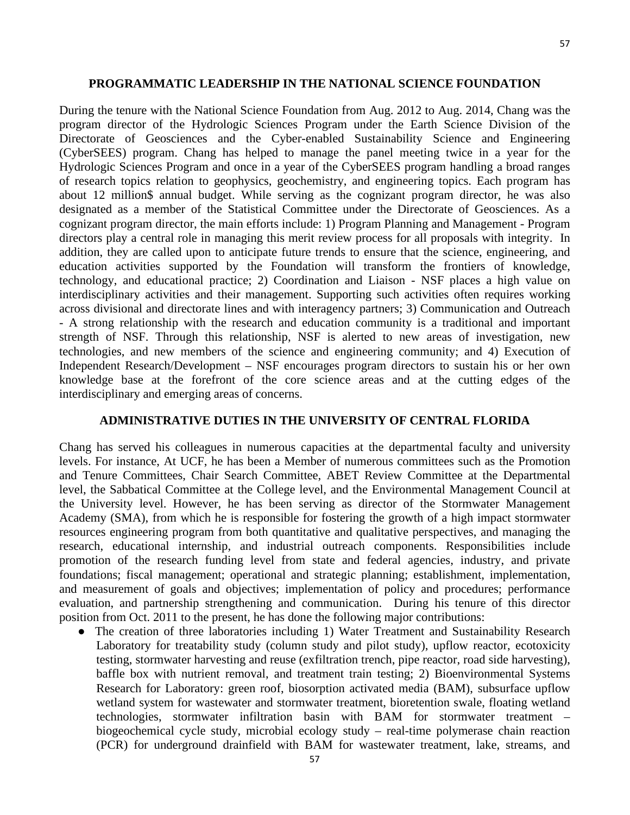<span id="page-56-0"></span>During the tenure with the National Science Foundation from Aug. 2012 to Aug. 2014, Chang was the program director of the Hydrologic Sciences Program under the Earth Science Division of the Directorate of Geosciences and the Cyber-enabled Sustainability Science and Engineering (CyberSEES) program. Chang has helped to manage the panel meeting twice in a year for the Hydrologic Sciences Program and once in a year of the CyberSEES program handling a broad ranges of research topics relation to geophysics, geochemistry, and engineering topics. Each program has about 12 million\$ annual budget. While serving as the cognizant program director, he was also designated as a member of the Statistical Committee under the Directorate of Geosciences. As a cognizant program director, the main efforts include: 1) Program Planning and Management - Program directors play a central role in managing this merit review process for all proposals with integrity. In addition, they are called upon to anticipate future trends to ensure that the science, engineering, and education activities supported by the Foundation will transform the frontiers of knowledge, technology, and educational practice; 2) Coordination and Liaison - NSF places a high value on interdisciplinary activities and their management. Supporting such activities often requires working across divisional and directorate lines and with interagency partners; 3) Communication and Outreach - A strong relationship with the research and education community is a traditional and important strength of NSF. Through this relationship, NSF is alerted to new areas of investigation, new technologies, and new members of the science and engineering community; and 4) Execution of Independent Research/Development – NSF encourages program directors to sustain his or her own knowledge base at the forefront of the core science areas and at the cutting edges of the interdisciplinary and emerging areas of concerns.

#### **ADMINISTRATIVE DUTIES IN THE UNIVERSITY OF CENTRAL FLORIDA**

<span id="page-56-1"></span>Chang has served his colleagues in numerous capacities at the departmental faculty and university levels. For instance, At UCF, he has been a Member of numerous committees such as the Promotion and Tenure Committees, Chair Search Committee, ABET Review Committee at the Departmental level, the Sabbatical Committee at the College level, and the Environmental Management Council at the University level. However, he has been serving as director of the Stormwater Management Academy (SMA), from which he is responsible for fostering the growth of a high impact stormwater resources engineering program from both quantitative and qualitative perspectives, and managing the research, educational internship, and industrial outreach components. Responsibilities include promotion of the research funding level from state and federal agencies, industry, and private foundations; fiscal management; operational and strategic planning; establishment, implementation, and measurement of goals and objectives; implementation of policy and procedures; performance evaluation, and partnership strengthening and communication. During his tenure of this director position from Oct. 2011 to the present, he has done the following major contributions:

• The creation of three laboratories including 1) Water Treatment and Sustainability Research Laboratory for treatability study (column study and pilot study), upflow reactor, ecotoxicity testing, stormwater harvesting and reuse (exfiltration trench, pipe reactor, road side harvesting), baffle box with nutrient removal, and treatment train testing; 2) Bioenvironmental Systems Research for Laboratory: green roof, biosorption activated media (BAM), subsurface upflow wetland system for wastewater and stormwater treatment, bioretention swale, floating wetland technologies, stormwater infiltration basin with BAM for stormwater treatment – biogeochemical cycle study, microbial ecology study – real-time polymerase chain reaction (PCR) for underground drainfield with BAM for wastewater treatment, lake, streams, and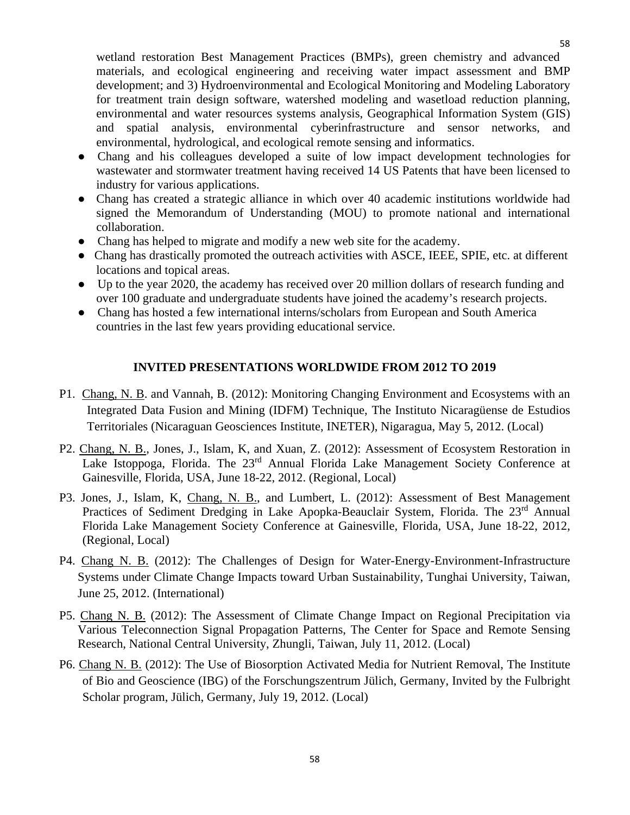wetland restoration Best Management Practices (BMPs), green chemistry and advanced materials, and ecological engineering and receiving water impact assessment and BMP development; and 3) Hydroenvironmental and Ecological Monitoring and Modeling Laboratory for treatment train design software, watershed modeling and wasetload reduction planning, environmental and water resources systems analysis, Geographical Information System (GIS) and spatial analysis, environmental cyberinfrastructure and sensor networks, and environmental, hydrological, and ecological remote sensing and informatics.

- Chang and his colleagues developed a suite of low impact development technologies for wastewater and stormwater treatment having received 14 US Patents that have been licensed to industry for various applications.
- Chang has created a strategic alliance in which over 40 academic institutions worldwide had signed the Memorandum of Understanding (MOU) to promote national and international collaboration.
- Chang has helped to migrate and modify a new web site for the academy.
- Chang has drastically promoted the outreach activities with ASCE, IEEE, SPIE, etc. at different locations and topical areas.
- Up to the year 2020, the academy has received over 20 million dollars of research funding and over 100 graduate and undergraduate students have joined the academy's research projects.
- Chang has hosted a few international interns/scholars from European and South America countries in the last few years providing educational service.

## **INVITED PRESENTATIONS WORLDWIDE FROM 2012 TO 2019**

- P1. Chang, N. B. and Vannah, B. (2012): Monitoring Changing Environment and Ecosystems with an Integrated Data Fusion and Mining (IDFM) Technique, The Instituto Nicaragüense de Estudios Territoriales (Nicaraguan Geosciences Institute, INETER), Nigaragua, May 5, 2012. (Local)
- P2. Chang, N. B., Jones, J., Islam, K, and Xuan, Z. (2012): Assessment of Ecosystem Restoration in Lake Istoppoga, Florida. The 23<sup>rd</sup> Annual Florida Lake Management Society Conference at Gainesville, Florida, USA, June 18-22, 2012. (Regional, Local)
- P3. Jones, J., Islam, K, Chang, N. B., and Lumbert, L. (2012): Assessment of Best Management Practices of Sediment Dredging in Lake Apopka-Beauclair System, Florida. The 23<sup>rd</sup> Annual Florida Lake Management Society Conference at Gainesville, Florida, USA, June 18-22, 2012, (Regional, Local)
- P4. Chang N. B. (2012): The Challenges of Design for Water-Energy-Environment-Infrastructure Systems under Climate Change Impacts toward Urban Sustainability, Tunghai University, Taiwan, June 25, 2012. (International)
- P5. Chang N. B. (2012): The Assessment of Climate Change Impact on Regional Precipitation via Various Teleconnection Signal Propagation Patterns, The Center for Space and Remote Sensing Research, National Central University, Zhungli, Taiwan, July 11, 2012. (Local)
- P6. Chang N. B. (2012): The Use of Biosorption Activated Media for Nutrient Removal, The Institute of Bio and Geoscience (IBG) of the Forschungszentrum Jülich, Germany, Invited by the Fulbright Scholar program, Jülich, Germany, July 19, 2012. (Local)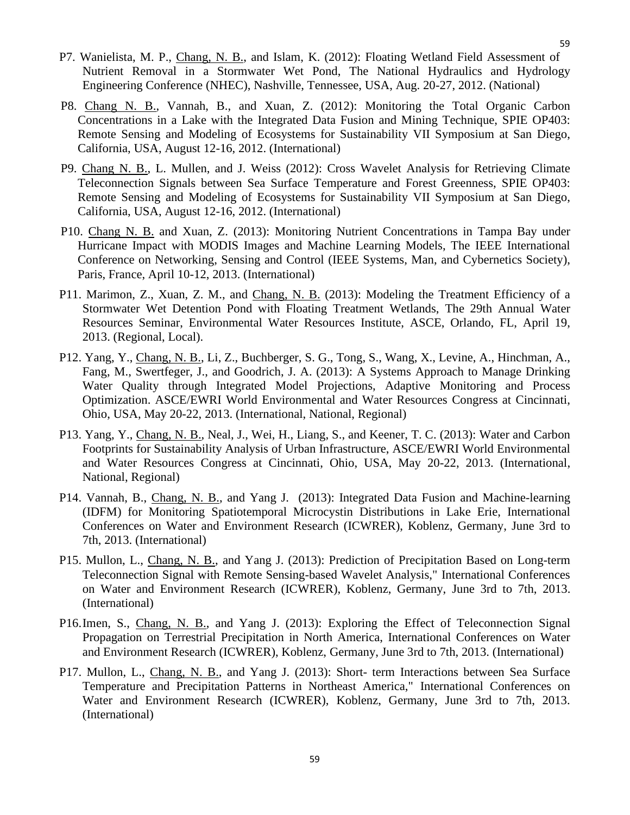- P7. Wanielista, M. P., Chang, N. B., and Islam, K. (2012): Floating Wetland Field Assessment of Nutrient Removal in a Stormwater Wet Pond, The National Hydraulics and Hydrology Engineering Conference (NHEC), Nashville, Tennessee, USA, Aug. 20-27, 2012. (National)
- P8. Chang N. B., Vannah, B., and Xuan, Z. (2012): Monitoring the Total Organic Carbon Concentrations in a Lake with the Integrated Data Fusion and Mining Technique, SPIE OP403: Remote Sensing and Modeling of Ecosystems for Sustainability VII Symposium at San Diego, California, USA, August 12-16, 2012. (International)
- P9. Chang N. B., L. Mullen, and J. Weiss (2012): Cross Wavelet Analysis for Retrieving Climate Teleconnection Signals between Sea Surface Temperature and Forest Greenness, SPIE OP403: Remote Sensing and Modeling of Ecosystems for Sustainability VII Symposium at San Diego, California, USA, August 12-16, 2012. (International)
- P10. Chang N. B. and Xuan, Z. (2013): Monitoring Nutrient Concentrations in Tampa Bay under Hurricane Impact with MODIS Images and Machine Learning Models, The IEEE International Conference on Networking, Sensing and Control (IEEE Systems, Man, and Cybernetics Society), Paris, France, April 10-12, 2013. (International)
- P11. Marimon, Z., Xuan, Z. M., and Chang, N. B. (2013): Modeling the Treatment Efficiency of a Stormwater Wet Detention Pond with Floating Treatment Wetlands, The 29th Annual Water Resources Seminar, Environmental Water Resources Institute, ASCE, Orlando, FL, April 19, 2013. (Regional, Local).
- P12. Yang, Y., Chang, N. B., Li, Z., Buchberger, S. G., Tong, S., Wang, X., Levine, A., Hinchman, A., Fang, M., Swertfeger, J., and Goodrich, J. A. (2013): A Systems Approach to Manage Drinking Water Quality through Integrated Model Projections, Adaptive Monitoring and Process Optimization. ASCE/EWRI World Environmental and Water Resources Congress at Cincinnati, Ohio, USA, May 20-22, 2013. (International, National, Regional)
- P13. Yang, Y., Chang, N. B., Neal, J., Wei, H., Liang, S., and Keener, T. C. (2013): Water and Carbon Footprints for Sustainability Analysis of Urban Infrastructure, ASCE/EWRI World Environmental and Water Resources Congress at Cincinnati, Ohio, USA, May 20-22, 2013. (International, National, Regional)
- P14. Vannah, B., Chang, N. B., and Yang J. (2013): Integrated Data Fusion and Machine-learning (IDFM) for Monitoring Spatiotemporal Microcystin Distributions in Lake Erie, International Conferences on Water and Environment Research (ICWRER), Koblenz, Germany, June 3rd to 7th, 2013. (International)
- P15. Mullon, L., Chang, N. B., and Yang J. (2013): Prediction of Precipitation Based on Long-term Teleconnection Signal with Remote Sensing-based Wavelet Analysis," International Conferences on Water and Environment Research (ICWRER), Koblenz, Germany, June 3rd to 7th, 2013. (International)
- P16.Imen, S., Chang, N. B., and Yang J. (2013): Exploring the Effect of Teleconnection Signal Propagation on Terrestrial Precipitation in North America, International Conferences on Water and Environment Research (ICWRER), Koblenz, Germany, June 3rd to 7th, 2013. (International)
- P17. Mullon, L., Chang, N. B., and Yang J. (2013): Short- term Interactions between Sea Surface Temperature and Precipitation Patterns in Northeast America," International Conferences on Water and Environment Research (ICWRER), Koblenz, Germany, June 3rd to 7th, 2013. (International)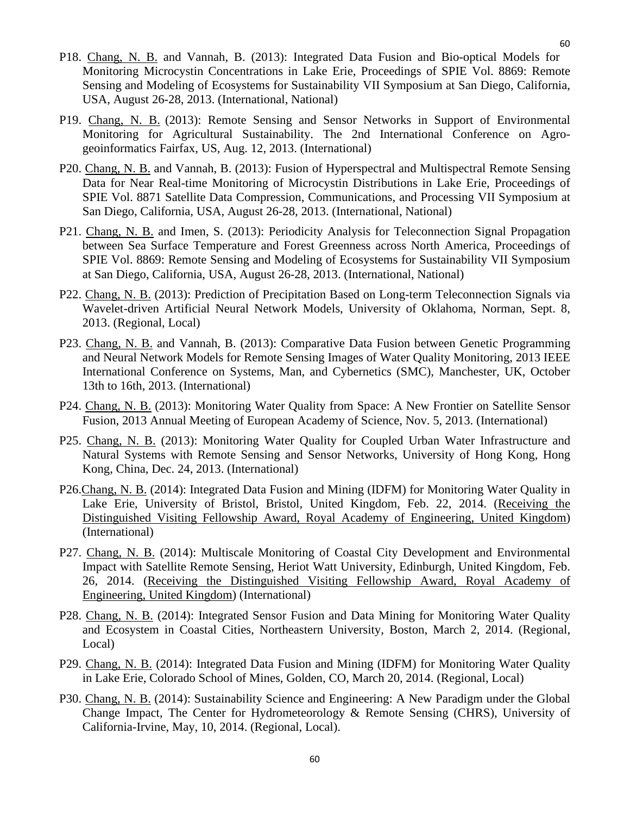- P18. Chang, N. B. and Vannah, B. (2013): Integrated Data Fusion and Bio-optical Models for Monitoring Microcystin Concentrations in Lake Erie, Proceedings of SPIE Vol. 8869: Remote Sensing and Modeling of Ecosystems for Sustainability VII Symposium at San Diego, California, USA, August 26-28, 2013. (International, National)
- P19. Chang, N. B. (2013): Remote Sensing and Sensor Networks in Support of Environmental Monitoring for Agricultural Sustainability. The 2nd International Conference on Agrogeoinformatics Fairfax, US, Aug. 12, 2013. (International)
- P20. Chang, N. B. and Vannah, B. (2013): Fusion of Hyperspectral and Multispectral Remote Sensing Data for Near Real-time Monitoring of Microcystin Distributions in Lake Erie, Proceedings of SPIE Vol. 8871 Satellite Data Compression, Communications, and Processing VII Symposium at San Diego, California, USA, August 26-28, 2013. (International, National)
- P21. Chang, N. B. and Imen, S. (2013): Periodicity Analysis for Teleconnection Signal Propagation between Sea Surface Temperature and Forest Greenness across North America, Proceedings of SPIE Vol. 8869: Remote Sensing and Modeling of Ecosystems for Sustainability VII Symposium at San Diego, California, USA, August 26-28, 2013. (International, National)
- P22. Chang, N. B. (2013): Prediction of Precipitation Based on Long-term Teleconnection Signals via Wavelet-driven Artificial Neural Network Models, University of Oklahoma, Norman, Sept. 8, 2013. (Regional, Local)
- P23. Chang, N. B. and Vannah, B. (2013): Comparative Data Fusion between Genetic Programming and Neural Network Models for Remote Sensing Images of Water Quality Monitoring, 2013 IEEE International Conference on Systems, Man, and Cybernetics (SMC), Manchester, UK, October 13th to 16th, 2013. (International)
- P24. Chang, N. B. (2013): Monitoring Water Quality from Space: A New Frontier on Satellite Sensor Fusion, 2013 Annual Meeting of European Academy of Science, Nov. 5, 2013. (International)
- P25. Chang, N. B. (2013): Monitoring Water Quality for Coupled Urban Water Infrastructure and Natural Systems with Remote Sensing and Sensor Networks, University of Hong Kong, Hong Kong, China, Dec. 24, 2013. (International)
- P26.Chang, N. B. (2014): Integrated Data Fusion and Mining (IDFM) for Monitoring Water Quality in Lake Erie, University of Bristol, Bristol, United Kingdom, Feb. 22, 2014. (Receiving the Distinguished Visiting Fellowship Award, Royal Academy of Engineering, United Kingdom) (International)
- P27. Chang, N. B. (2014): Multiscale Monitoring of Coastal City Development and Environmental Impact with Satellite Remote Sensing, Heriot Watt University, Edinburgh, United Kingdom, Feb. 26, 2014. (Receiving the Distinguished Visiting Fellowship Award, Royal Academy of Engineering, United Kingdom) (International)
- P28. Chang, N. B. (2014): Integrated Sensor Fusion and Data Mining for Monitoring Water Quality and Ecosystem in Coastal Cities, Northeastern University, Boston, March 2, 2014. (Regional, Local)
- P29. Chang, N. B. (2014): Integrated Data Fusion and Mining (IDFM) for Monitoring Water Quality in Lake Erie, Colorado School of Mines, Golden, CO, March 20, 2014. (Regional, Local)
- P30. Chang, N. B. (2014): Sustainability Science and Engineering: A New Paradigm under the Global Change Impact, The Center for Hydrometeorology & Remote Sensing (CHRS), University of California-Irvine, May, 10, 2014. (Regional, Local).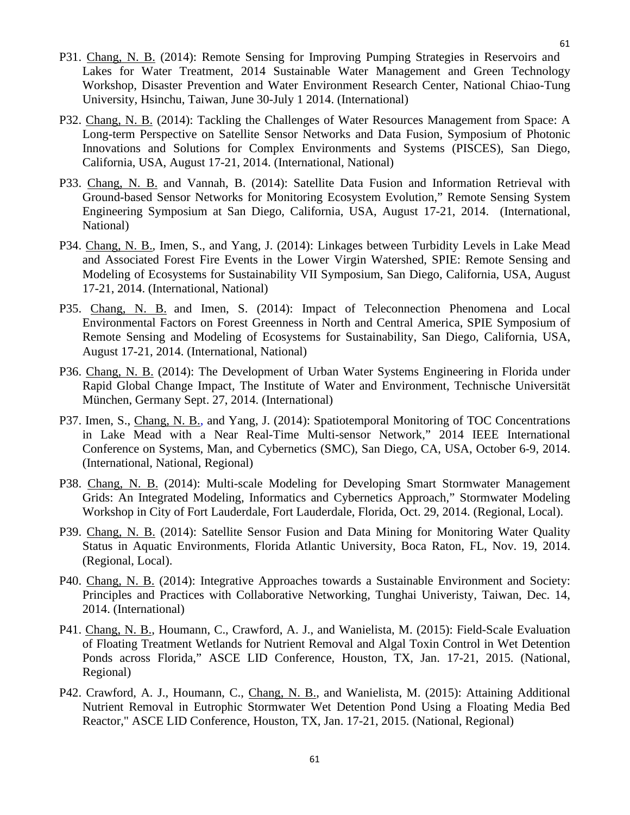- P31. Chang, N. B. (2014): Remote Sensing for Improving Pumping Strategies in Reservoirs and Lakes for Water Treatment, 2014 Sustainable Water Management and Green Technology Workshop, Disaster Prevention and Water Environment Research Center, National Chiao-Tung University, Hsinchu, Taiwan, June 30-July 1 2014. (International)
- P32. Chang, N. B. (2014): Tackling the Challenges of Water Resources Management from Space: A Long-term Perspective on Satellite Sensor Networks and Data Fusion, Symposium of Photonic Innovations and Solutions for Complex Environments and Systems (PISCES), San Diego, California, USA, August 17-21, 2014. (International, National)
- P33. Chang, N. B. and Vannah, B. (2014): Satellite Data Fusion and Information Retrieval with Ground-based Sensor Networks for Monitoring Ecosystem Evolution," Remote Sensing System Engineering Symposium at San Diego, California, USA, August 17-21, 2014. (International, National)
- P34. Chang, N. B., Imen, S., and Yang, J. (2014): Linkages between Turbidity Levels in Lake Mead and Associated Forest Fire Events in the Lower Virgin Watershed, SPIE: Remote Sensing and Modeling of Ecosystems for Sustainability VII Symposium, San Diego, California, USA, August 17-21, 2014. (International, National)
- P35. Chang, N. B. and Imen, S. (2014): Impact of Teleconnection Phenomena and Local Environmental Factors on Forest Greenness in North and Central America, SPIE Symposium of Remote Sensing and Modeling of Ecosystems for Sustainability, San Diego, California, USA, August 17-21, 2014. (International, National)
- P36. Chang, N. B. (2014): The Development of Urban Water Systems Engineering in Florida under Rapid Global Change Impact, The Institute of Water and Environment, Technische Universität München, Germany Sept. 27, 2014. (International)
- P37. Imen, S., Chang, N. B., and Yang, J. (2014): Spatiotemporal Monitoring of TOC Concentrations in Lake Mead with a Near Real-Time Multi-sensor Network," 2014 IEEE International Conference on Systems, Man, and Cybernetics (SMC), San Diego, CA, USA, October 6-9, 2014. (International, National, Regional)
- P38. Chang, N. B. (2014): Multi-scale Modeling for Developing Smart Stormwater Management Grids: An Integrated Modeling, Informatics and Cybernetics Approach," Stormwater Modeling Workshop in City of Fort Lauderdale, Fort Lauderdale, Florida, Oct. 29, 2014. (Regional, Local).
- P39. Chang, N. B. (2014): Satellite Sensor Fusion and Data Mining for Monitoring Water Quality Status in Aquatic Environments*,* Florida Atlantic University, Boca Raton, FL, Nov. 19, 2014. (Regional, Local).
- P40. Chang, N. B. (2014): Integrative Approaches towards a Sustainable Environment and Society: Principles and Practices with Collaborative Networking, Tunghai Univeristy, Taiwan, Dec. 14, 2014. (International)
- P41. Chang, N. B., Houmann, C., Crawford, A. J., and Wanielista, M. (2015): Field-Scale Evaluation of Floating Treatment Wetlands for Nutrient Removal and Algal Toxin Control in Wet Detention Ponds across Florida," ASCE LID Conference, Houston, TX, Jan. 17-21, 2015. (National, Regional)
- P42. Crawford, A. J., Houmann, C., Chang, N. B., and Wanielista, M. (2015): Attaining Additional Nutrient Removal in Eutrophic Stormwater Wet Detention Pond Using a Floating Media Bed Reactor," ASCE LID Conference, Houston, TX, Jan. 17-21, 2015. (National, Regional)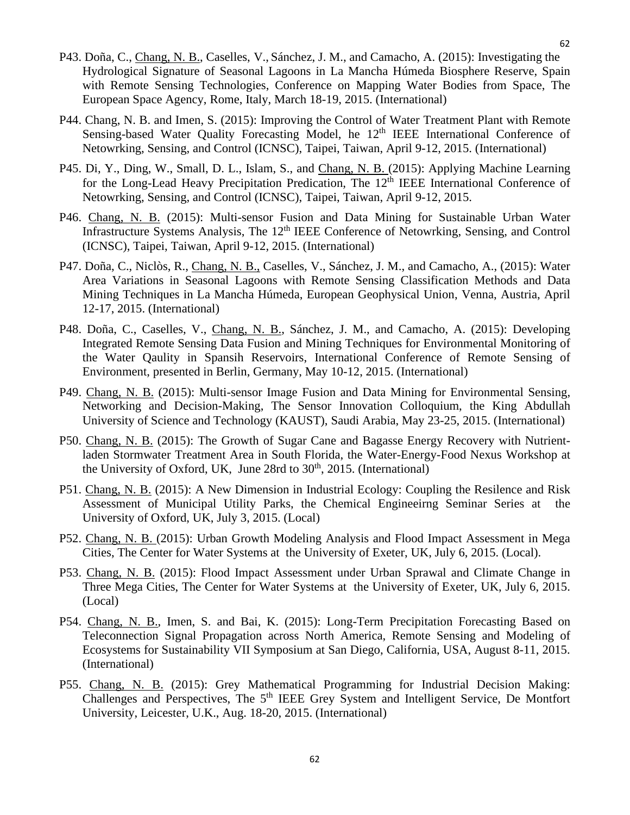- P43. Doña, C., Chang, N. B., Caselles, V., Sánchez, J. M., and Camacho, A. (2015): Investigating the Hydrological Signature of Seasonal Lagoons in La Mancha Húmeda Biosphere Reserve, Spain with Remote Sensing Technologies, Conference on Mapping Water Bodies from Space, The European Space Agency, Rome, Italy, March 18-19, 2015. (International)
- P44. Chang, N. B. and Imen, S. (2015): Improving the Control of Water Treatment Plant with Remote Sensing-based Water Quality Forecasting Model, he  $12<sup>th</sup>$  IEEE International Conference of Netowrking, Sensing, and Control (ICNSC), Taipei, Taiwan, April 9-12, 2015. (International)
- P45. Di, Y., Ding, W., Small, D. L., Islam, S., and Chang, N. B. (2015): Applying Machine Learning for the Long-Lead Heavy Precipitation Predication, The 12<sup>th</sup> IEEE International Conference of Netowrking, Sensing, and Control (ICNSC), Taipei, Taiwan, April 9-12, 2015.
- P46. Chang, N. B. (2015): Multi-sensor Fusion and Data Mining for Sustainable Urban Water Infrastructure Systems Analysis, The 12<sup>th</sup> IEEE Conference of Netowrking, Sensing, and Control (ICNSC), Taipei, Taiwan, April 9-12, 2015. (International)
- P47. Doña, C., Niclòs, R., Chang, N. B., Caselles, V., Sánchez, J. M., and Camacho, A., (2015): Water Area Variations in Seasonal Lagoons with Remote Sensing Classification Methods and Data Mining Techniques in La Mancha Húmeda, European Geophysical Union, Venna, Austria, April 12-17, 2015. (International)
- P48. Doña, C., Caselles, V., Chang, N. B., Sánchez, J. M., and Camacho, A. (2015): Developing Integrated Remote Sensing Data Fusion and Mining Techniques for Environmental Monitoring of the Water Qaulity in Spansih Reservoirs, International Conference of Remote Sensing of Environment, presented in Berlin, Germany, May 10-12, 2015. (International)
- P49. Chang, N. B. (2015): Multi-sensor Image Fusion and Data Mining for Environmental Sensing, Networking and Decision-Making, The Sensor Innovation Colloquium, the King Abdullah University of Science and Technology (KAUST), Saudi Arabia, May 23-25, 2015. (International)
- P50. Chang, N. B. (2015): The Growth of Sugar Cane and Bagasse Energy Recovery with Nutrientladen Stormwater Treatment Area in South Florida, the Water-Energy-Food Nexus Workshop at the University of Oxford, UK, June 28rd to 30<sup>th</sup>, 2015. (International)
- P51. Chang, N. B. (2015): A New Dimension in Industrial Ecology: Coupling the Resilence and Risk Assessment of Municipal Utility Parks, the Chemical Engineeirng Seminar Series at the University of Oxford, UK, July 3, 2015. (Local)
- P52. Chang, N. B. (2015): Urban Growth Modeling Analysis and Flood Impact Assessment in Mega Cities, The Center for Water Systems at the University of Exeter, UK, July 6, 2015. (Local).
- P53. Chang, N. B. (2015): Flood Impact Assessment under Urban Sprawal and Climate Change in Three Mega Cities, The Center for Water Systems at the University of Exeter, UK, July 6, 2015. (Local)
- P54. Chang, N. B., Imen, S. and Bai, K. (2015): Long-Term Precipitation Forecasting Based on Teleconnection Signal Propagation across North America, Remote Sensing and Modeling of Ecosystems for Sustainability VII Symposium at San Diego, California, USA, August 8-11, 2015. (International)
- P55. Chang, N. B. (2015): Grey Mathematical Programming for Industrial Decision Making: Challenges and Perspectives, The 5<sup>th</sup> IEEE Grey System and Intelligent Service, De Montfort University, Leicester, U.K., Aug. 18-20, 2015. (International)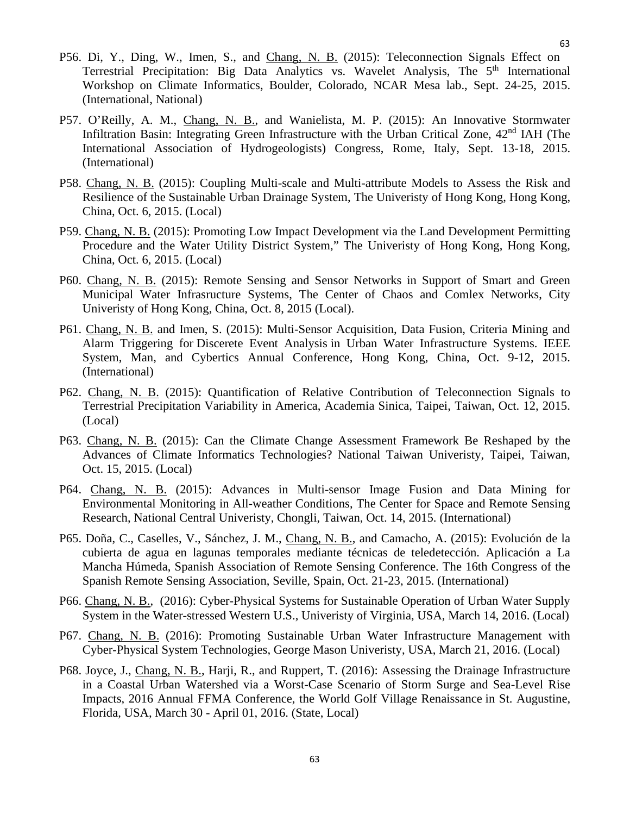63

- P56. Di, Y., Ding, W., Imen, S., and Chang, N. B. (2015): Teleconnection Signals Effect on Terrestrial Precipitation: Big Data Analytics vs. Wavelet Analysis, The 5<sup>th</sup> International Workshop on Climate Informatics, Boulder, Colorado, NCAR Mesa lab., Sept. 24-25, 2015. (International, National)
- P57. O'Reilly, A. M., Chang, N. B., and Wanielista, M. P. (2015): An Innovative Stormwater Infiltration Basin: Integrating Green Infrastructure with the Urban Critical Zone, 42<sup>nd</sup> IAH (The International Association of Hydrogeologists) Congress, Rome, Italy, Sept. 13-18, 2015. (International)
- P58. Chang, N. B. (2015): Coupling Multi-scale and Multi-attribute Models to Assess the Risk and Resilience of the Sustainable Urban Drainage System, The Univeristy of Hong Kong, Hong Kong, China, Oct. 6, 2015. (Local)
- P59. Chang, N. B. (2015): Promoting Low Impact Development via the Land Development Permitting Procedure and the Water Utility District System," The Univeristy of Hong Kong, Hong Kong, China, Oct. 6, 2015. (Local)
- P60. Chang, N. B. (2015): Remote Sensing and Sensor Networks in Support of Smart and Green Municipal Water Infrasructure Systems, The Center of Chaos and Comlex Networks, City Univeristy of Hong Kong, China, Oct. 8, 2015 (Local).
- P61. Chang, N. B. and Imen, S. (2015): Multi-Sensor Acquisition, Data Fusion, Criteria Mining and Alarm Triggering for Discerete Event Analysis in Urban Water Infrastructure Systems. IEEE System, Man, and Cybertics Annual Conference, Hong Kong, China, Oct. 9-12, 2015. (International)
- P62. Chang, N. B. (2015): Quantification of Relative Contribution of Teleconnection Signals to Terrestrial Precipitation Variability in America, Academia Sinica, Taipei, Taiwan, Oct. 12, 2015. (Local)
- P63. Chang, N. B. (2015): Can the Climate Change Assessment Framework Be Reshaped by the Advances of Climate Informatics Technologies? National Taiwan Univeristy, Taipei, Taiwan, Oct. 15, 2015. (Local)
- P64. Chang, N. B. (2015): Advances in Multi-sensor Image Fusion and Data Mining for Environmental Monitoring in All-weather Conditions, The Center for Space and Remote Sensing Research, National Central Univeristy, Chongli, Taiwan, Oct. 14, 2015. (International)
- P65. Doña, C., Caselles, V., Sánchez, J. M., Chang, N. B., and Camacho, A. (2015): Evolución de la cubierta de agua en lagunas temporales mediante técnicas de teledetección. Aplicación a La Mancha Húmeda, Spanish Association of Remote Sensing Conference. The 16th Congress of the Spanish Remote Sensing Association, Seville, Spain, Oct. 21-23, 2015. (International)
- P66. Chang, N. B., (2016): Cyber-Physical Systems for Sustainable Operation of Urban Water Supply System in the Water-stressed Western U.S., Univeristy of Virginia, USA, March 14, 2016. (Local)
- P67. Chang, N. B. (2016): Promoting Sustainable Urban Water Infrastructure Management with Cyber-Physical System Technologies, George Mason Univeristy, USA, March 21, 2016. (Local)
- P68. Joyce, J., Chang, N. B., Harji, R., and Ruppert, T. (2016): Assessing the Drainage Infrastructure in a Coastal Urban Watershed via a Worst-Case Scenario of Storm Surge and Sea-Level Rise Impacts, 2016 Annual FFMA Conference, the World Golf Village Renaissance in St. Augustine, Florida, USA, March 30 - April 01, 2016. (State, Local)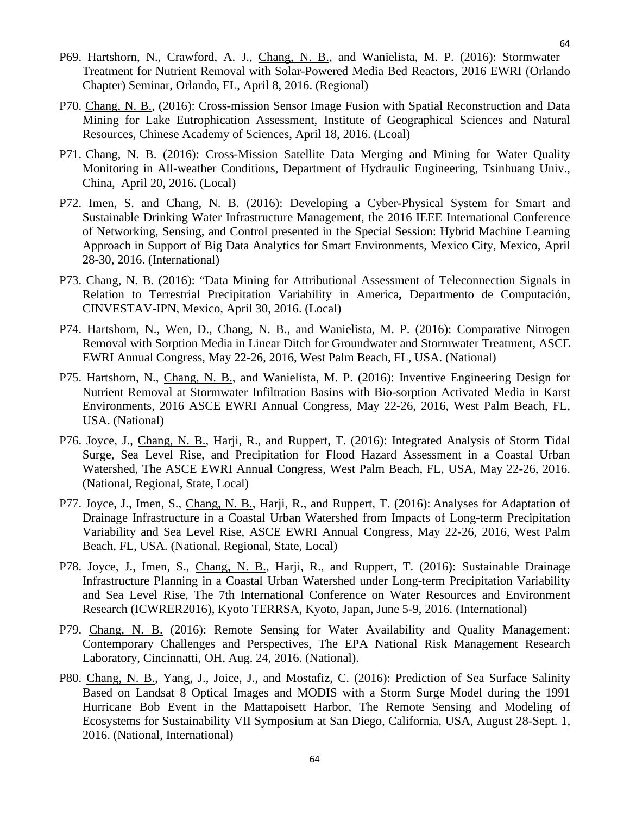- P69. Hartshorn, N., Crawford, A. J., Chang, N. B., and Wanielista, M. P. (2016): Stormwater Treatment for Nutrient Removal with Solar-Powered Media Bed Reactors, 2016 EWRI (Orlando Chapter) Seminar, Orlando, FL, April 8, 2016. (Regional)
- P70. Chang, N. B., (2016): Cross-mission Sensor Image Fusion with Spatial Reconstruction and Data Mining for Lake Eutrophication Assessment, Institute of Geographical Sciences and Natural Resources, Chinese Academy of Sciences, April 18, 2016. (Lcoal)
- P71. Chang, N. B. (2016): Cross-Mission Satellite Data Merging and Mining for Water Quality Monitoring in All-weather Conditions, Department of Hydraulic Engineering, Tsinhuang Univ., China, April 20, 2016. (Local)
- P72. Imen, S. and Chang, N. B. (2016): Developing a Cyber-Physical System for Smart and Sustainable Drinking Water Infrastructure Management, the 2016 IEEE International Conference of Networking, Sensing, and Control presented in the Special Session: Hybrid Machine Learning Approach in Support of Big Data Analytics for Smart Environments, Mexico City, Mexico, April 28-30, 2016. (International)
- P73. Chang, N. B. (2016): "Data Mining for Attributional Assessment of Teleconnection Signals in Relation to Terrestrial Precipitation Variability in America**,** Departmento de Computación, CINVESTAV-IPN, Mexico, April 30, 2016. (Local)
- P74. Hartshorn, N., Wen, D., Chang, N. B., and Wanielista, M. P. (2016): Comparative Nitrogen Removal with Sorption Media in Linear Ditch for Groundwater and Stormwater Treatment, ASCE EWRI Annual Congress, May 22-26, 2016, West Palm Beach, FL, USA. (National)
- P75. Hartshorn, N., Chang, N. B., and Wanielista, M. P. (2016): Inventive Engineering Design for Nutrient Removal at Stormwater Infiltration Basins with Bio-sorption Activated Media in Karst Environments, 2016 ASCE EWRI Annual Congress, May 22-26, 2016, West Palm Beach, FL, USA. (National)
- P76. Joyce, J., Chang, N. B., Harji, R., and Ruppert, T. (2016): Integrated Analysis of Storm Tidal Surge, Sea Level Rise, and Precipitation for Flood Hazard Assessment in a Coastal Urban Watershed, The ASCE EWRI Annual Congress, West Palm Beach, FL, USA, May 22-26, 2016. (National, Regional, State, Local)
- P77. Joyce, J., Imen, S., Chang, N. B., Harji, R., and Ruppert, T. (2016): Analyses for Adaptation of Drainage Infrastructure in a Coastal Urban Watershed from Impacts of Long-term Precipitation Variability and Sea Level Rise, ASCE EWRI Annual Congress, May 22-26, 2016, West Palm Beach, FL, USA. (National, Regional, State, Local)
- P78. Joyce, J., Imen, S., Chang, N. B., Harji, R., and Ruppert, T. (2016): Sustainable Drainage Infrastructure Planning in a Coastal Urban Watershed under Long-term Precipitation Variability and Sea Level Rise, The 7th International Conference on Water Resources and Environment Research (ICWRER2016), Kyoto TERRSA, Kyoto, Japan, June 5-9, 2016. (International)
- P79. Chang, N. B. (2016): Remote Sensing for Water Availability and Quality Management: Contemporary Challenges and Perspectives, The EPA National Risk Management Research Laboratory, Cincinnatti, OH, Aug. 24, 2016. (National).
- P80. Chang, N. B., Yang, J., Joice, J., and Mostafiz, C. (2016): Prediction of Sea Surface Salinity Based on Landsat 8 Optical Images and MODIS with a Storm Surge Model during the 1991 Hurricane Bob Event in the Mattapoisett Harbor, The Remote Sensing and Modeling of Ecosystems for Sustainability VII Symposium at San Diego, California, USA, August 28-Sept. 1, 2016. (National, International)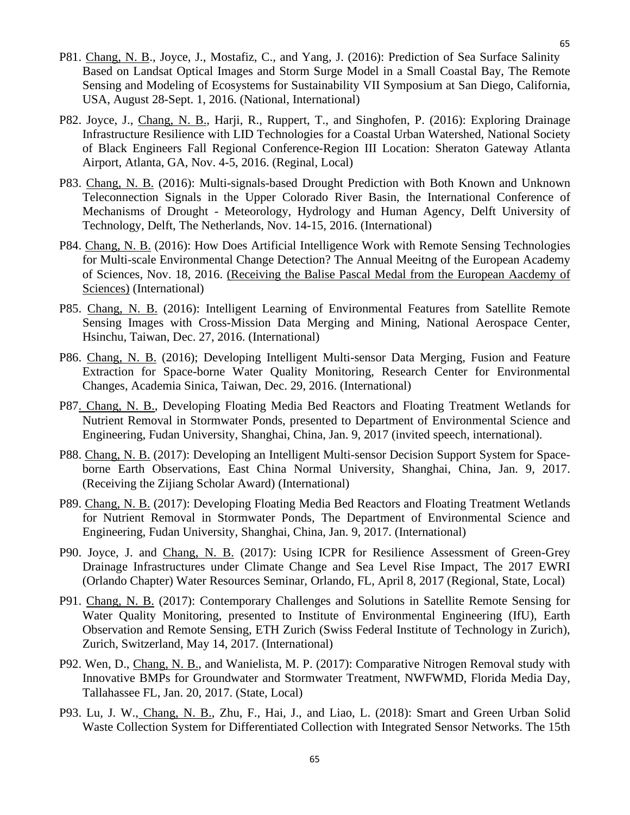- P81. Chang, N. B., Joyce, J., Mostafiz, C., and Yang, J. (2016): Prediction of Sea Surface Salinity Based on Landsat Optical Images and Storm Surge Model in a Small Coastal Bay, The Remote Sensing and Modeling of Ecosystems for Sustainability VII Symposium at San Diego, California, USA, August 28-Sept. 1, 2016. (National, International)
- P82. Joyce, J., Chang, N. B., Harji, R., Ruppert, T., and Singhofen, P. (2016): Exploring Drainage Infrastructure Resilience with LID Technologies for a Coastal Urban Watershed, National Society of Black Engineers Fall Regional Conference-Region III Location: Sheraton Gateway Atlanta Airport, Atlanta, GA, Nov. 4-5, 2016. (Reginal, Local)
- P83. Chang, N. B. (2016): Multi-signals-based Drought Prediction with Both Known and Unknown Teleconnection Signals in the Upper Colorado River Basin, the International Conference of Mechanisms of Drought - Meteorology, Hydrology and Human Agency, Delft University of Technology, Delft, The Netherlands, Nov. 14-15, 2016. (International)
- P84. Chang, N. B. (2016): How Does Artificial Intelligence Work with Remote Sensing Technologies for Multi-scale Environmental Change Detection? The Annual Meeitng of the European Academy of Sciences, Nov. 18, 2016. (Receiving the Balise Pascal Medal from the European Aacdemy of Sciences) (International)
- P85. Chang, N. B. (2016): Intelligent Learning of Environmental Features from Satellite Remote Sensing Images with Cross-Mission Data Merging and Mining, National Aerospace Center, Hsinchu, Taiwan, Dec. 27, 2016. (International)
- P86. Chang, N. B. (2016); Developing Intelligent Multi-sensor Data Merging, Fusion and Feature Extraction for Space-borne Water Quality Monitoring, Research Center for Environmental Changes, Academia Sinica, Taiwan, Dec. 29, 2016. (International)
- P87. Chang, N. B., Developing Floating Media Bed Reactors and Floating Treatment Wetlands for Nutrient Removal in Stormwater Ponds, presented to Department of Environmental Science and Engineering, Fudan University, Shanghai, China, Jan. 9, 2017 (invited speech, international).
- P88. Chang, N. B. (2017): Developing an Intelligent Multi-sensor Decision Support System for Spaceborne Earth Observations, East China Normal University, Shanghai, China, Jan. 9, 2017. (Receiving the Zijiang Scholar Award) (International)
- P89. Chang, N. B. (2017): Developing Floating Media Bed Reactors and Floating Treatment Wetlands for Nutrient Removal in Stormwater Ponds, The Department of Environmental Science and Engineering, Fudan University, Shanghai, China, Jan. 9, 2017. (International)
- P90. Joyce, J. and Chang, N. B. (2017): Using ICPR for Resilience Assessment of Green-Grey Drainage Infrastructures under Climate Change and Sea Level Rise Impact, The 2017 EWRI (Orlando Chapter) Water Resources Seminar, Orlando, FL, April 8, 2017 (Regional, State, Local)
- P91. Chang, N. B. (2017): Contemporary Challenges and Solutions in Satellite Remote Sensing for Water Quality Monitoring, presented to Institute of Environmental Engineering (IfU), Earth Observation and Remote Sensing, ETH Zurich (Swiss Federal Institute of Technology in Zurich), Zurich, Switzerland, May 14, 2017. (International)
- P92. Wen, D., Chang, N. B., and Wanielista, M. P. (2017): Comparative Nitrogen Removal study with Innovative BMPs for Groundwater and Stormwater Treatment, NWFWMD, Florida Media Day, Tallahassee FL, Jan. 20, 2017. (State, Local)
- P93. Lu, J. W., Chang, N. B., Zhu, F., Hai, J., and Liao, L. (2018): Smart and Green Urban Solid Waste Collection System for Differentiated Collection with Integrated Sensor Networks. The 15th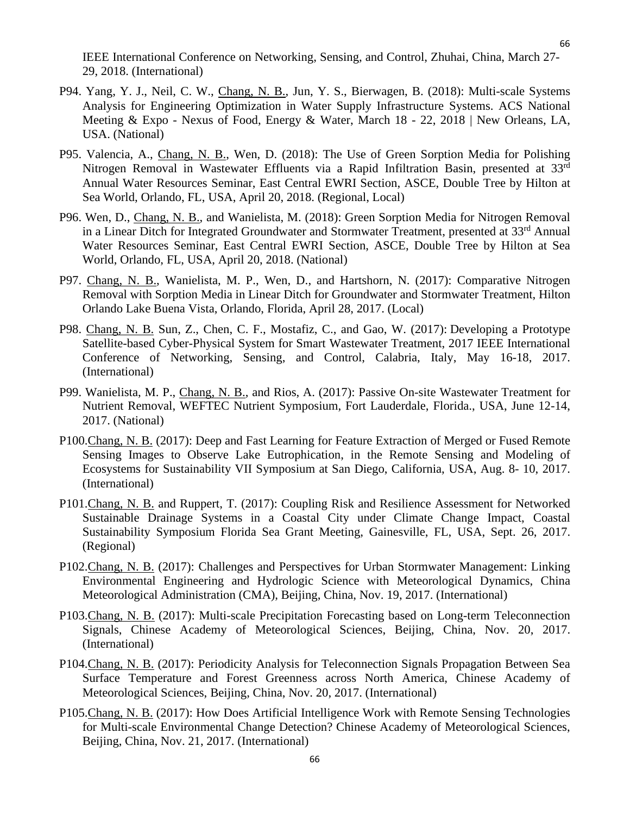P94. Yang, Y. J., Neil, C. W., Chang, N. B., Jun, Y. S., Bierwagen, B. (2018): Multi-scale Systems Analysis for Engineering Optimization in Water Supply Infrastructure Systems. ACS National Meeting & Expo - Nexus of Food, Energy & Water, March 18 - 22, 2018 | New Orleans, LA, USA. (National)

29, 2018. (International)

- P95. Valencia, A., Chang, N. B., Wen, D. (2018): The Use of Green Sorption Media for Polishing Nitrogen Removal in Wastewater Effluents via a Rapid Infiltration Basin, presented at 33rd Annual Water Resources Seminar, East Central EWRI Section, ASCE, Double Tree by Hilton at Sea World, Orlando, FL, USA, April 20, 2018. (Regional, Local)
- P96. Wen, D., Chang, N. B., and Wanielista, M. (2018): Green Sorption Media for Nitrogen Removal in a Linear Ditch for Integrated Groundwater and Stormwater Treatment, presented at 33<sup>rd</sup> Annual Water Resources Seminar, East Central EWRI Section, ASCE, Double Tree by Hilton at Sea World, Orlando, FL, USA, April 20, 2018. (National)
- P97. Chang, N. B., Wanielista, M. P., Wen, D., and Hartshorn, N. (2017): Comparative Nitrogen Removal with Sorption Media in Linear Ditch for Groundwater and Stormwater Treatment, Hilton Orlando Lake Buena Vista, Orlando, Florida, April 28, 2017. (Local)
- P98. Chang, N. B. Sun, Z., Chen, C. F., Mostafiz, C., and Gao, W. (2017): Developing a Prototype Satellite-based Cyber-Physical System for Smart Wastewater Treatment, 2017 IEEE International Conference of Networking, Sensing, and Control, Calabria, Italy, May 16-18, 2017. (International)
- P99. Wanielista, M. P., Chang, N. B., and Rios, A. (2017): Passive On-site Wastewater Treatment for Nutrient Removal, WEFTEC Nutrient Symposium, Fort Lauderdale, Florida., USA, June 12-14, 2017. (National)
- P100.Chang, N. B. (2017): Deep and Fast Learning for Feature Extraction of Merged or Fused Remote Sensing Images to Observe Lake Eutrophication, in the Remote Sensing and Modeling of Ecosystems for Sustainability VII Symposium at San Diego, California, USA, Aug. 8- 10, 2017. (International)
- P101.Chang, N. B. and Ruppert, T. (2017): Coupling Risk and Resilience Assessment for Networked Sustainable Drainage Systems in a Coastal City under Climate Change Impact, Coastal Sustainability Symposium Florida Sea Grant Meeting, Gainesville, FL, USA, Sept. 26, 2017. (Regional)
- P102.Chang, N. B. (2017): Challenges and Perspectives for Urban Stormwater Management: Linking Environmental Engineering and Hydrologic Science with Meteorological Dynamics, China Meteorological Administration (CMA), Beijing, China, Nov. 19, 2017. (International)
- P103.Chang, N. B. (2017): Multi-scale Precipitation Forecasting based on Long-term Teleconnection Signals, Chinese Academy of Meteorological Sciences, Beijing, China, Nov. 20, 2017. (International)
- P104.Chang, N. B. (2017): Periodicity Analysis for Teleconnection Signals Propagation Between Sea Surface Temperature and Forest Greenness across North America, Chinese Academy of Meteorological Sciences, Beijing, China, Nov. 20, 2017. (International)
- P105.Chang, N. B. (2017): How Does Artificial Intelligence Work with Remote Sensing Technologies for Multi-scale Environmental Change Detection? Chinese Academy of Meteorological Sciences, Beijing, China, Nov. 21, 2017. (International)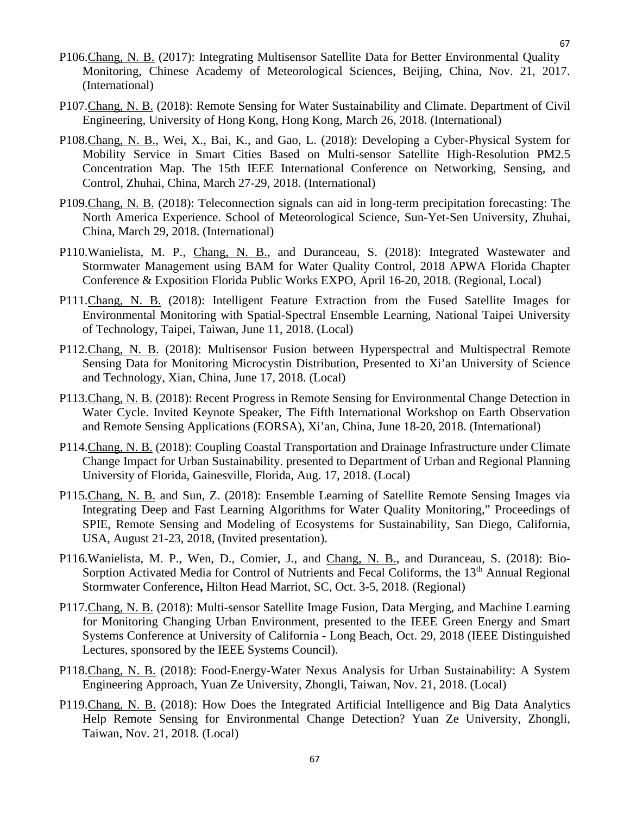- P106.Chang, N. B. (2017): Integrating Multisensor Satellite Data for Better Environmental Quality Monitoring, Chinese Academy of Meteorological Sciences, Beijing, China, Nov. 21, 2017. (International)
- P107.Chang, N. B. (2018): Remote Sensing for Water Sustainability and Climate. Department of Civil Engineering, University of Hong Kong, Hong Kong, March 26, 2018. (International)
- P108.Chang, N. B., Wei, X., Bai, K., and Gao, L. (2018): Developing a Cyber-Physical System for Mobility Service in Smart Cities Based on Multi-sensor Satellite High-Resolution PM2.5 Concentration Map. The 15th IEEE International Conference on Networking, Sensing, and Control, Zhuhai, China, March 27-29, 2018. (International)
- P109.Chang, N. B. (2018): Teleconnection signals can aid in long-term precipitation forecasting: The North America Experience. School of Meteorological Science, Sun-Yet-Sen University, Zhuhai, China, March 29, 2018. (International)
- P110.Wanielista, M. P., Chang, N. B., and Duranceau, S. (2018): Integrated Wastewater and Stormwater Management using BAM for Water Quality Control, 2018 APWA Florida Chapter Conference & Exposition Florida Public Works EXPO, April 16-20, 2018. (Regional, Local)
- P111.Chang, N. B. (2018): Intelligent Feature Extraction from the Fused Satellite Images for Environmental Monitoring with Spatial-Spectral Ensemble Learning, National Taipei University of Technology, Taipei, Taiwan, June 11, 2018. (Local)
- P112.Chang, N. B. (2018): Multisensor Fusion between Hyperspectral and Multispectral Remote Sensing Data for Monitoring Microcystin Distribution, Presented to Xi'an University of Science and Technology, Xian, China, June 17, 2018. (Local)
- P113.Chang, N. B. (2018): Recent Progress in Remote Sensing for Environmental Change Detection in Water Cycle. Invited Keynote Speaker, The Fifth International Workshop on Earth Observation and Remote Sensing Applications (EORSA), Xi'an, China, June 18-20, 2018. (International)
- P114.Chang, N. B. (2018): Coupling Coastal Transportation and Drainage Infrastructure under Climate Change Impact for Urban Sustainability. presented to Department of Urban and Regional Planning University of Florida, Gainesville, Florida, Aug. 17, 2018. (Local)
- P115.Chang, N. B. and Sun, Z. (2018): Ensemble Learning of Satellite Remote Sensing Images via Integrating Deep and Fast Learning Algorithms for Water Quality Monitoring," Proceedings of SPIE, Remote Sensing and Modeling of Ecosystems for Sustainability, San Diego, California, USA, August 21-23, 2018, (Invited presentation).
- P116.Wanielista, M. P., Wen, D., Comier, J., and Chang, N. B., and Duranceau, S. (2018): Bio-Sorption Activated Media for Control of Nutrients and Fecal Coliforms, the 13<sup>th</sup> Annual Regional Stormwater Conference**,** Hilton Head Marriot, SC, Oct. 3-5, 2018. (Regional)
- P117.Chang, N. B. (2018): Multi-sensor Satellite Image Fusion, Data Merging, and Machine Learning for Monitoring Changing Urban Environment, presented to the IEEE Green Energy and Smart Systems Conference at University of California - Long Beach, Oct. 29, 2018 (IEEE Distinguished Lectures, sponsored by the IEEE Systems Council).
- P118.Chang, N. B. (2018): Food-Energy-Water Nexus Analysis for Urban Sustainability: A System Engineering Approach, Yuan Ze University, Zhongli, Taiwan, Nov. 21, 2018. (Local)
- P119.Chang, N. B. (2018): How Does the Integrated Artificial Intelligence and Big Data Analytics Help Remote Sensing for Environmental Change Detection? Yuan Ze University, Zhongli, Taiwan, Nov. 21, 2018. (Local)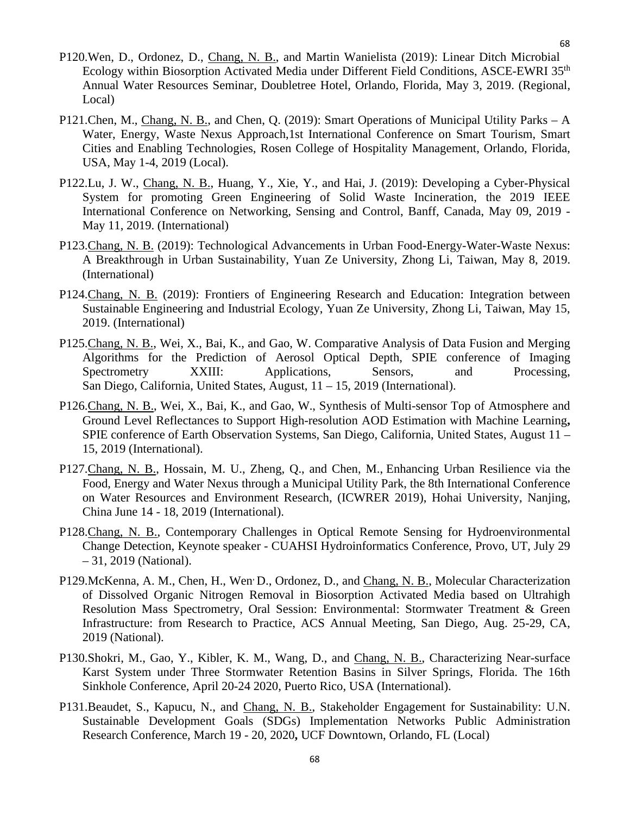- P120.Wen, D., Ordonez, D., Chang, N. B., and Martin Wanielista (2019): Linear Ditch Microbial Ecology within Biosorption Activated Media under Different Field Conditions, ASCE-EWRI 35th Annual Water Resources Seminar, Doubletree Hotel, Orlando, Florida, May 3, 2019. (Regional, Local)
- P121.Chen, M., Chang, N. B., and Chen, Q. (2019): Smart Operations of Municipal Utility Parks A Water, Energy, Waste Nexus Approach,1st International Conference on Smart Tourism, Smart Cities and Enabling Technologies, Rosen College of Hospitality Management, Orlando, Florida, USA, May 1-4, 2019 (Local).
- P122.Lu, J. W., Chang, N. B., Huang, Y., Xie, Y., and Hai, J. (2019): Developing a Cyber-Physical System for promoting Green Engineering of Solid Waste Incineration, the 2019 IEEE International Conference on Networking, Sensing and Control, Banff, Canada, May 09, 2019 - May 11, 2019. (International)
- P123.Chang, N. B. (2019): Technological Advancements in Urban Food-Energy-Water-Waste Nexus: A Breakthrough in Urban Sustainability, Yuan Ze University, Zhong Li, Taiwan, May 8, 2019. (International)
- P124.Chang, N. B. (2019): Frontiers of Engineering Research and Education: Integration between Sustainable Engineering and Industrial Ecology, Yuan Ze University, Zhong Li, Taiwan, May 15, 2019. (International)
- P125.Chang, N. B., Wei, X., Bai, K., and Gao, W. Comparative Analysis of Data Fusion and Merging Algorithms for the Prediction of Aerosol Optical Depth, SPIE conference of Imaging Spectrometry XXIII: Applications, Sensors, and Processing, San Diego, California, United States, August, 11 – 15, 2019 (International).
- P126.Chang, N. B., Wei, X., Bai, K., and Gao, W., Synthesis of Multi-sensor Top of Atmosphere and Ground Level Reflectances to Support High-resolution AOD Estimation with Machine Learning**,**  SPIE conference of Earth Observation Systems, San Diego, California, United States, August 11 – 15, 2019 (International).
- P127.Chang, N. B., Hossain, M. U., Zheng, Q., and Chen, M., Enhancing Urban Resilience via the Food, Energy and Water Nexus through a Municipal Utility Park, the 8th International Conference on Water Resources and Environment Research, (ICWRER 2019), Hohai University, Nanjing, China June 14 - 18, 2019 (International).
- P128.Chang, N. B., Contemporary Challenges in Optical Remote Sensing for Hydroenvironmental Change Detection, Keynote speaker - CUAHSI Hydroinformatics Conference, Provo, UT, July 29 – 31, 2019 (National).
- P129.McKenna, A. M., Chen, H., Wen, D., Ordonez, D., and Chang, N. B., Molecular Characterization of Dissolved Organic Nitrogen Removal in Biosorption Activated Media based on Ultrahigh Resolution Mass Spectrometry, Oral Session: Environmental: Stormwater Treatment & Green Infrastructure: from Research to Practice, ACS Annual Meeting, San Diego, Aug. 25-29, CA, 2019 (National).
- P130.Shokri, M., Gao, Y., Kibler, K. M., Wang, D., and Chang, N. B., Characterizing Near-surface Karst System under Three Stormwater Retention Basins in Silver Springs, Florida. The 16th Sinkhole Conference, April 20-24 2020, Puerto Rico, USA (International).
- P131.Beaudet, S., Kapucu, N., and Chang, N. B., Stakeholder Engagement for Sustainability: U.N. Sustainable Development Goals (SDGs) Implementation Networks Public Administration Research Conference, March 19 - 20, 2020**,** UCF Downtown, Orlando, FL (Local)